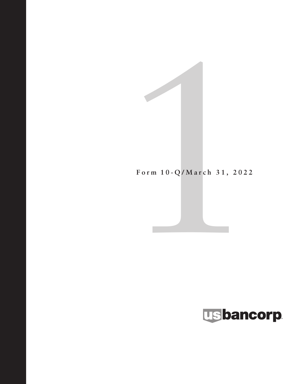

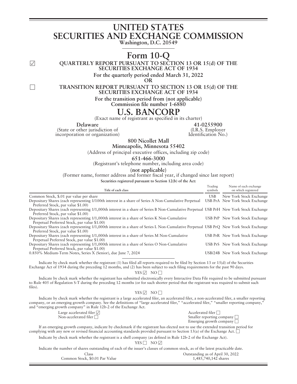# **UNITED STATES SECURITIES AND EXCHANGE COMMISSION**

**Washington, D.C. 20549**

# **Form 10-Q**

**IVECTION 13 OR 15(d) OF THE** QUARTERLY REPORT PURSUANT TO SECTION 13 OR 15(d) OF THE

**SECURITIES EXCHANGE ACT OF 1934**

**For the quarterly period ended March 31, 2022**

**OR**

' **TRANSITION REPORT PURSUANT TO SECTION 13 OR 15(d) OF THE SECURITIES EXCHANGE ACT OF 1934**

**For the transition period from (not applicable)**

**Commission file number 1-6880**

# **U.S. BANCORP**

(Exact name of registrant as specified in its charter)

(State or other jurisdiction of incorporation or organization)

**Delaware 41-0255900** (I.R.S. Employer

Identification No.)

**800 Nicollet Mall Minneapolis, Minnesota 55402**

(Address of principal executive offices, including zip code)

**651-466-3000**

(Registrant's telephone number, including area code)

**(not applicable)** (Former name, former address and former fiscal year, if changed since last report)

**Securities registered pursuant to Section 12(b) of the Act:**

| Title of each class                                                                                                                     | Trading<br>symbols | Name of each exchange<br>on which registered |
|-----------------------------------------------------------------------------------------------------------------------------------------|--------------------|----------------------------------------------|
| Common Stock, \$.01 par value per share                                                                                                 | USB                | New York Stock Exchange                      |
| Depositary Shares (each representing 1/100th interest in a share of Series A Non-Cumulative Perpetual                                   |                    | USB PrA New York Stock Exchange              |
| Preferred Stock, par value \$1.00)                                                                                                      |                    |                                              |
| Depositary Shares (each representing 1/1,000th interest in a share of Series B Non-Cumulative Perpetual USB PrH New York Stock Exchange |                    |                                              |
| Preferred Stock, par value \$1.00)                                                                                                      |                    |                                              |
| Depositary Shares (each representing 1/1,000th interest in a share of Series K Non-Cumulative                                           |                    | USB PrP New York Stock Exchange              |
| Perpetual Preferred Stock, par value \$1.00)                                                                                            |                    |                                              |
| Depositary Shares (each representing 1/1,000th interest in a share of Series L Non-Cumulative Perpetual USB PrQ New York Stock Exchange |                    |                                              |
| Preferred Stock, par value \$1.00)                                                                                                      |                    |                                              |
| Depositary Shares (each representing 1/1,000th interest in a share of Series M Non-Cumulative                                           |                    | USB PrR New York Stock Exchange              |
| Perpetual Preferred Stock, par value \$1.00)                                                                                            |                    |                                              |
| Depositary Shares (each representing 1/1,000th interest in a share of Series O Non-Cumulative                                           |                    | USB PrS New York Stock Exchange              |
| Perpetual Preferred Stock, par value \$1.00)                                                                                            |                    |                                              |
| 0.850% Medium-Term Notes, Series X (Senior), due June 7, 2024                                                                           |                    | USB/24B New York Stock Exchange              |

Indicate by check mark whether the registrant (1) has filed all reports required to be filed by Section 13 or 15(d) of the Securities Exchange Act of 1934 during the preceding 12 months, and (2) has been subject to such filing requirements for the past 90 days.

YES  $\boxtimes$  NO  $\Box$ 

Indicate by check mark whether the registrant has submitted electronically every Interactive Data File required to be submitted pursuant to Rule 405 of Regulation S-T during the preceding 12 months (or for such shorter period that the registrant was required to submit such files).

 $YES \oslash NO$ 

Indicate by check mark whether the registrant is a large accelerated filer, an accelerated filer, a non-accelerated filer, a smaller reporting company, or an emerging growth company. See the definitions of "large accelerated filer," "accelerated filer," "smaller reporting company," and "emerging growth company" in Rule 12b-2 of the Exchange Act.

Large accelerated filer  $\Box$ <br>
Non-accelerated filer  $\Box$ <br>
Non-accelerated filer  $\Box$ 

Smaller reporting company  $\Box$ Emerging growth company  $\Box$ 

If an emerging growth company, indicate by checkmark if the registrant has elected not to use the extended transition period for complying with any new or revised financial accounting standards provided pursuant to Section 13(a) of the Exchange Act.

Indicate by check mark whether the registrant is a shell company (as defined in Rule 12b-2 of the Exchange Act).

YES  $\Box$  NO  $\Box$ 

Indicate the number of shares outstanding of each of the issuer's classes of common stock, as of the latest practicable date.

| :lass                          | Outstanding as of April 30, 2022 |
|--------------------------------|----------------------------------|
| Common Stock, \$0.01 Par Value | 1,485,740,142 shares             |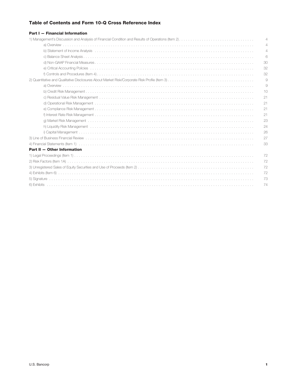# **Table of Contents and Form 10-Q Cross Reference Index**

| Part I - Financial Information                                                                                                                                                                                                     |
|------------------------------------------------------------------------------------------------------------------------------------------------------------------------------------------------------------------------------------|
| 4                                                                                                                                                                                                                                  |
|                                                                                                                                                                                                                                    |
| b) Statement of Income Analysis enterpresent contact the control of the control of the control of the control of the control of the control of the control of the control of the control of the control of the control of the<br>4 |
| 6                                                                                                                                                                                                                                  |
| 3C                                                                                                                                                                                                                                 |
| 32                                                                                                                                                                                                                                 |
| 32                                                                                                                                                                                                                                 |
| g                                                                                                                                                                                                                                  |
| g                                                                                                                                                                                                                                  |
| 1C                                                                                                                                                                                                                                 |
| 21                                                                                                                                                                                                                                 |
| 21                                                                                                                                                                                                                                 |
| 21                                                                                                                                                                                                                                 |
| 21                                                                                                                                                                                                                                 |
| 23                                                                                                                                                                                                                                 |
| 24                                                                                                                                                                                                                                 |
| 26                                                                                                                                                                                                                                 |
| 27                                                                                                                                                                                                                                 |
| 33                                                                                                                                                                                                                                 |
| Part II - Other Information                                                                                                                                                                                                        |
| 72                                                                                                                                                                                                                                 |
| 72                                                                                                                                                                                                                                 |
| 72                                                                                                                                                                                                                                 |
| 72                                                                                                                                                                                                                                 |
| 73                                                                                                                                                                                                                                 |
| 74                                                                                                                                                                                                                                 |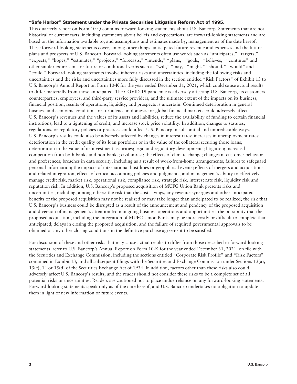#### **"Safe Harbor" Statement under the Private Securities Litigation Reform Act of 1995.**

This quarterly report on Form 10-Q contains forward-looking statements about U.S. Bancorp. Statements that are not historical or current facts, including statements about beliefs and expectations, are forward-looking statements and are based on the information available to, and assumptions and estimates made by, management as of the date hereof. These forward-looking statements cover, among other things, anticipated future revenue and expenses and the future plans and prospects of U.S. Bancorp. Forward-looking statements often use words such as "anticipates," "targets," "expects," "hopes," "estimates," "projects," "forecasts," "intends," "plans," "goals," "believes," "continue" and other similar expressions or future or conditional verbs such as "will," "may," "might," "should," "would" and "could." Forward-looking statements involve inherent risks and uncertainties, including the following risks and uncertainties and the risks and uncertainties more fully discussed in the section entitled "Risk Factors" of Exhibit 13 to U.S. Bancorp's Annual Report on Form 10-K for the year ended December 31, 2021, which could cause actual results to differ materially from those anticipated. The COVID-19 pandemic is adversely affecting U.S. Bancorp, its customers, counterparties, employees, and third-party service providers, and the ultimate extent of the impacts on its business, financial position, results of operations, liquidity, and prospects is uncertain. Continued deterioration in general business and economic conditions or turbulence in domestic or global financial markets could adversely affect U.S. Bancorp's revenues and the values of its assets and liabilities, reduce the availability of funding to certain financial institutions, lead to a tightening of credit, and increase stock price volatility. In addition, changes to statutes, regulations, or regulatory policies or practices could affect U.S. Bancorp in substantial and unpredictable ways. U.S. Bancorp's results could also be adversely affected by changes in interest rates; increases in unemployment rates; deterioration in the credit quality of its loan portfolios or in the value of the collateral securing those loans; deterioration in the value of its investment securities; legal and regulatory developments; litigation; increased competition from both banks and non-banks; civil unrest; the effects of climate change; changes in customer behavior and preferences; breaches in data security, including as a result of work-from-home arrangements; failures to safeguard personal information; the impacts of international hostilities or geopolitical events; effects of mergers and acquisitions and related integration; effects of critical accounting policies and judgments; and management's ability to effectively manage credit risk, market risk, operational risk, compliance risk, strategic risk, interest rate risk, liquidity risk and reputation risk. In addition, U.S. Bancorp's proposed acquisition of MUFG Union Bank presents risks and uncertainties, including, among others: the risk that the cost savings, any revenue synergies and other anticipated benefits of the proposed acquisition may not be realized or may take longer than anticipated to be realized; the risk that U.S. Bancorp's business could be disrupted as a result of the announcement and pendency of the proposed acquisition and diversion of management's attention from ongoing business operations and opportunities; the possibility that the proposed acquisition, including the integration of MUFG Union Bank, may be more costly or difficult to complete than anticipated; delays in closing the proposed acquisition; and the failure of required governmental approvals to be obtained or any other closing conditions in the definitive purchase agreement to be satisfied.

For discussion of these and other risks that may cause actual results to differ from those described in forward-looking statements, refer to U.S. Bancorp's Annual Report on Form 10-K for the year ended December 31, 2021, on file with the Securities and Exchange Commission, including the sections entitled "Corporate Risk Profile" and "Risk Factors" contained in Exhibit 13, and all subsequent filings with the Securities and Exchange Commission under Sections 13(a), 13(c), 14 or 15(d) of the Securities Exchange Act of 1934. In addition, factors other than these risks also could adversely affect U.S. Bancorp's results, and the reader should not consider these risks to be a complete set of all potential risks or uncertainties. Readers are cautioned not to place undue reliance on any forward-looking statements. Forward-looking statements speak only as of the date hereof, and U.S. Bancorp undertakes no obligation to update them in light of new information or future events.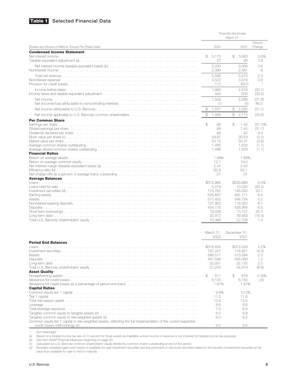## **Table 1 Selected Financial Data**

|                                                                                                                                                                                                                                | Three Months Ended<br>March 31                                                                          |                                                                                                          |                                                                             |
|--------------------------------------------------------------------------------------------------------------------------------------------------------------------------------------------------------------------------------|---------------------------------------------------------------------------------------------------------|----------------------------------------------------------------------------------------------------------|-----------------------------------------------------------------------------|
| (Dollars and Shares in Millions, Except Per Share Data)                                                                                                                                                                        | 2022                                                                                                    | 2021                                                                                                     | Percent<br>Change                                                           |
| <b>Condensed Income Statement</b>                                                                                                                                                                                              |                                                                                                         |                                                                                                          |                                                                             |
|                                                                                                                                                                                                                                | \$.<br>3,173<br>27                                                                                      | £.<br>3.063<br>26                                                                                        | 3.6%<br>3.8                                                                 |
|                                                                                                                                                                                                                                | 3,200<br>2,396                                                                                          | 3.089<br>2,381                                                                                           | 3.6<br>.6                                                                   |
|                                                                                                                                                                                                                                | 5.596<br>3,502<br>112                                                                                   | 5.470<br>3,379<br>(827)                                                                                  | 2.3<br>3.6<br>$\star$                                                       |
|                                                                                                                                                                                                                                | 1.982<br>424                                                                                            | 2.918<br>633                                                                                             | (32.1)<br>(33.0)                                                            |
| Net income business and account of the contract of the contract of the contract of the contract of the contract of the contract of the contract of the contract of the contract of the contract of the contract of the contrac | 1,558<br>(1)                                                                                            | 2,285<br>(5)                                                                                             | (31.8)<br>80.0                                                              |
|                                                                                                                                                                                                                                | $\mathcal{F}$<br>1.557                                                                                  | $\mathcal{L}$<br>2,280                                                                                   | (31.7)                                                                      |
|                                                                                                                                                                                                                                | \$.<br>1.466                                                                                            | $\mathbb S$<br>2,175                                                                                     | (32.6)                                                                      |
| <b>Per Common Share</b><br>Dividends declared per share education of the contract of the contract of the contract of the contract of the c<br><b>Financial Ratios</b>                                                          | \$<br>.99<br>.99<br>.46<br>29.87<br>53.15<br>1,485<br>1,486                                             | \$<br>1.45<br>1.45<br>.42<br>30.53<br>55.31<br>1.502<br>1,503                                            | $(31.7)\%$<br>(31.7)<br>9.5<br>(2.2)<br>(3.9)<br>(1.1)<br>(1.1)             |
| <b>Average Balances</b>                                                                                                                                                                                                        | 1.09%<br>12.7<br>2.44<br>62.8<br>.21                                                                    | 1.69%<br>19.0<br>2.50<br>62.1<br>.31                                                                     |                                                                             |
|                                                                                                                                                                                                                                | \$312,966<br>5.479<br>174,762<br>529.837<br>577.402<br>127,963<br>454,176<br>19.038<br>32.972<br>53.466 | \$293.989<br>10,032<br>145,520<br>497.711<br>548.734<br>118,352<br>426,364<br>13.107<br>39.463<br>52.729 | 6.5%<br>(45.4)<br>20.1<br>6.5<br>5.2<br>8.1<br>6.5<br>45.3<br>(16.4)<br>1.4 |

|                                                                                                                                                                                                                                | March 31.<br>2022    | December 31.<br>2021 |        |
|--------------------------------------------------------------------------------------------------------------------------------------------------------------------------------------------------------------------------------|----------------------|----------------------|--------|
| <b>Period End Balances</b>                                                                                                                                                                                                     |                      |                      |        |
|                                                                                                                                                                                                                                | \$318,934            | \$312,028            | 2.2%   |
|                                                                                                                                                                                                                                | 167.247              | 174.821              | (4.3)  |
| Assets                                                                                                                                                                                                                         | 586.517              | 573.284              | 2.3    |
|                                                                                                                                                                                                                                | 461.546              | 456.083              | 1.2    |
|                                                                                                                                                                                                                                | 32.931               | 32.125               | 2.5    |
|                                                                                                                                                                                                                                | 51.200               | 54.918               | (6.8)  |
| <b>Asset Quality</b>                                                                                                                                                                                                           |                      |                      |        |
|                                                                                                                                                                                                                                | $\mathcal{L}$<br>811 | S.<br>878            | (7.6)% |
|                                                                                                                                                                                                                                | 6.105                | 6.155                | (.8)   |
|                                                                                                                                                                                                                                | 1.91%                | 1.97%                |        |
| <b>Capital Ratios</b>                                                                                                                                                                                                          |                      |                      |        |
|                                                                                                                                                                                                                                | 9.8%                 | 10.0%                |        |
|                                                                                                                                                                                                                                | 11.5                 | 11.6                 |        |
|                                                                                                                                                                                                                                | 13.4                 | 13.4                 |        |
|                                                                                                                                                                                                                                | 8.6                  | 8.6                  |        |
|                                                                                                                                                                                                                                | 7.0                  | 6.9                  |        |
|                                                                                                                                                                                                                                | 6.0                  | 6.8                  |        |
| Tangible common equity to risk-weighted assets (b) with the content of the content of the common equity to risk-weighted assets (b) with the content of the content of the content of the content of the content of the conten | 8.0                  | 9.2                  |        |
| Common equity tier 1 capital to risk-weighted assets, reflecting the full implementation of the current expected                                                                                                               |                      |                      |        |
|                                                                                                                                                                                                                                | 9.5                  | 9.6                  |        |

*\* Not meaningful*

*(a) Based on a federal income tax rate of 21 percent for those assets and liabilities whose income or expense is not included for federal income tax purposes.*

*(b) See Non-GAAP Financial Measures beginning on page 30.*

*(c) Calculated as U.S. Bancorp common shareholders' equity divided by common shares outstanding at end of the period.*

*(d) Excludes unrealized gains and losses on available-for-sale investment securities and any premiums or discounts recorded related to the transfer of investment securities at fair value from available-for-sale to held-to-maturity.*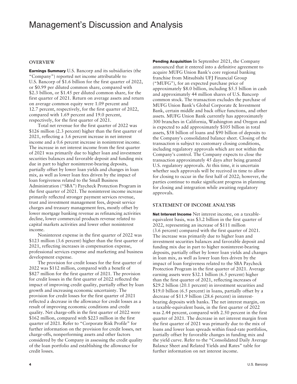# <span id="page-5-0"></span>Management's Discussion and Analysis

#### <span id="page-5-1"></span>**OVERVIEW**

**Earnings Summary** U.S. Bancorp and its subsidiaries (the "Company") reported net income attributable to U.S. Bancorp of \$1.6 billion for the first quarter of 2022, or \$0.99 per diluted common share, compared with \$2.3 billion, or \$1.45 per diluted common share, for the first quarter of 2021. Return on average assets and return on average common equity were 1.09 percent and 12.7 percent, respectively, for the first quarter of 2022, compared with 1.69 percent and 19.0 percent, respectively, for the first quarter of 2021.

Total net revenue for the first quarter of 2022 was \$126 million (2.3 percent) higher than the first quarter of 2021, reflecting a 3.6 percent increase in net interest income and a 0.6 percent increase in noninterest income. The increase in net interest income from the first quarter of 2021 was primarily due to higher loan and investment securities balances and favorable deposit and funding mix due in part to higher noninterest-bearing deposits, partially offset by lower loan yields and changes in loan mix, as well as lower loan fees driven by the impact of loan forgiveness related to the Small Business Administration ("SBA") Paycheck Protection Program in the first quarter of 2021. The noninterest income increase primarily reflected stronger payment services revenue, trust and investment management fees, deposit service charges and treasury management fees, mostly offset by lower mortgage banking revenue as refinancing activities decline, lower commercial products revenue related to capital markets activities and lower other noninterest income.

<span id="page-5-2"></span>Noninterest expense in the first quarter of 2022 was \$123 million (3.6 percent) higher than the first quarter of 2021, reflecting increases in compensation expense, professional services expense and marketing and business development expense.

The provision for credit losses for the first quarter of 2022 was \$112 million, compared with a benefit of \$827 million for the first quarter of 2021. The provision for credit losses in the first quarter of 2022 reflected the impact of improving credit quality, partially offset by loan growth and increasing economic uncertainty. The provision for credit losses for the first quarter of 2021 reflected a decrease in the allowance for credit losses as a result of improving economic conditions and credit quality. Net charge-offs in the first quarter of 2022 were \$162 million, compared with \$223 million in the first quarter of 2021. Refer to "Corporate Risk Profile" for further information on the provision for credit losses, net charge-offs, nonperforming assets and other factors considered by the Company in assessing the credit quality of the loan portfolio and establishing the allowance for credit losses.

**Pending Acquisition** In September 2021, the Company announced that it entered into a definitive agreement to acquire MUFG Union Bank's core regional banking franchise from Mitsubishi UFJ Financial Group ("MUFG"), for an expected purchase price of approximately \$8.0 billion, including \$5.5 billion in cash and approximately 44 million shares of U.S. Bancorp common stock. The transaction excludes the purchase of MUFG Union Bank's Global Corporate & Investment Bank, certain middle and back office functions, and other assets. MUFG Union Bank currently has approximately 300 branches in California, Washington and Oregon and is expected to add approximately \$105 billion in total assets, \$58 billion of loans and \$90 billion of deposits to the Company's consolidated balance sheet. Closing of the transaction is subject to customary closing conditions, including regulatory approvals which are not within the Company's control. The Company expects to close the transaction approximately 45 days after being granted U.S. regulatory approvals. At this time, it is uncertain whether such approvals will be received in time to allow for closing to occur in the first half of 2022; however, the parties continue to make significant progress in planning for closing and integration while awaiting regulatory approvals.

#### **STATEMENT OF INCOME ANALYSIS**

**Net Interest Income** Net interest income, on a taxableequivalent basis, was \$3.2 billion in the first quarter of 2022, representing an increase of \$111 million (3.6 percent) compared with the first quarter of 2021. The increase was primarily due to higher loan and investment securities balances and favorable deposit and funding mix due in part to higher noninterest-bearing deposits, partially offset by lower loan yields and changes in loan mix, as well as lower loan fees driven by the impact of loan forgiveness related to the SBA Paycheck Protection Program in the first quarter of 2021. Average earning assets were \$32.1 billion (6.5 percent) higher than the first quarter of 2021, reflecting increases of \$29.2 billion (20.1 percent) in investment securities and \$19.0 billion (6.5 percent) in loans, partially offset by a decrease of \$11.9 billion (28.6 percent) in interestbearing deposits with banks. The net interest margin, on a taxable-equivalent basis, in the first quarter of 2022 was 2.44 percent, compared with 2.50 percent in the first quarter of 2021. The decrease in net interest margin from the first quarter of 2021 was primarily due to the mix of loans and lower loan spreads within fixed-rate portfolios, partially offset by favorable changes in funding mix and the yield curve. Refer to the "Consolidated Daily Average Balance Sheet and Related Yields and Rates" table for further information on net interest income.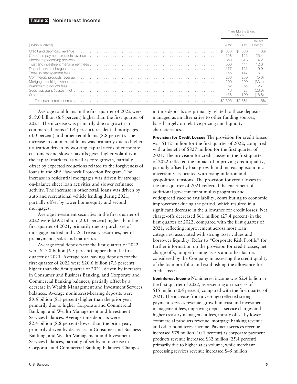## **Table 2 Noninterest Income**

|                                                                                                                                                                                                                                |         | Three Months Ended<br>March 31 |                   |
|--------------------------------------------------------------------------------------------------------------------------------------------------------------------------------------------------------------------------------|---------|--------------------------------|-------------------|
| (Dollars in Millions)                                                                                                                                                                                                          | 2022    | 2021                           | Percent<br>Change |
| Credit and debit card revenue education of the contract of the contract of the contract of the contract of the contract of the contract of the contract of the contract of the contract of the contract of the contract of the |         | $\mathbb{R}$<br>336            | - 6%              |
| Corporate payment products revenue with an intervent and the contract of the corporate payment products revenue with a state of the contract of the corporate payment of the corporation of the corporation of the corporation | 158     | 126                            | 25.4              |
|                                                                                                                                                                                                                                | 363     | 318                            | 14.2              |
|                                                                                                                                                                                                                                | 500     | 444                            | 12.6              |
|                                                                                                                                                                                                                                | 177     | 161                            | 9.9               |
|                                                                                                                                                                                                                                | 156     | 147                            | 6.1               |
| Commercial products revenue with an array and array and array array and array array array array and array array array array array array array array array array array array array array array array array array array array ar | 266     | 280                            | (5.0)             |
| Mortgage banking revenue with the contract of the contract of the contract of the contract of the contract of the contract of the contract of the contract of the contract of the contract of the contract of the contract of  | 200     | 299                            | (33.1)            |
| Investment products fees with a contract the contract of the contract of the contract of the contract of the contract of the contract of the contract of the contract of the contract of the contract of the contract of the c | -62     | 55                             | 12.7              |
|                                                                                                                                                                                                                                | 18      | 25                             | (28.0)            |
|                                                                                                                                                                                                                                | 158     | 190                            | (16.8)            |
|                                                                                                                                                                                                                                | \$2.396 | \$2.381                        | .6%               |

Average total loans in the first quarter of 2022 were \$19.0 billion (6.5 percent) higher than the first quarter of 2021. The increase was primarily due to growth in commercial loans (11.4 percent), residential mortgages (3.0 percent) and other retail loans (8.8 percent). The increase in commercial loans was primarily due to higher utilization driven by working capital needs of corporate customers and slower payoffs given higher volatility in the capital markets, as well as core growth, partially offset by expected reductions related to the forgiveness of loans in the SBA Paycheck Protection Program. The increase in residential mortgages was driven by stronger on-balance sheet loan activities and slower refinance activity. The increase in other retail loans was driven by auto and recreational vehicle lending during 2021, partially offset by lower home equity and second mortgages.

Average investment securities in the first quarter of 2022 were \$29.2 billion (20.1 percent) higher than the first quarter of 2021, primarily due to purchases of mortgage-backed and U.S. Treasury securities, net of prepayments, sales and maturities.

Average total deposits for the first quarter of 2022 were \$27.8 billion (6.5 percent) higher than the first quarter of 2021. Average total savings deposits for the first quarter of 2022 were \$20.6 billion (7.3 percent) higher than the first quarter of 2021, driven by increases in Consumer and Business Banking, and Corporate and Commercial Banking balances, partially offset by a decrease in Wealth Management and Investment Services balances. Average noninterest-bearing deposits were \$9.6 billion (8.1 percent) higher than the prior year, primarily due to higher Corporate and Commercial Banking, and Wealth Management and Investment Services balances. Average time deposits were \$2.4 billion (8.8 percent) lower than the prior year, primarily driven by decreases in Consumer and Business Banking, and Wealth Management and Investment Services balances, partially offset by an increase in Corporate and Commercial Banking balances. Changes

in time deposits are primarily related to those deposits managed as an alternative to other funding sources, based largely on relative pricing and liquidity characteristics.

**Provision for Credit Losses** The provision for credit losses was \$112 million for the first quarter of 2022, compared with a benefit of \$827 million for the first quarter of 2021. The provision for credit losses in the first quarter of 2022 reflected the impact of improving credit quality, partially offset by loan growth and increasing economic uncertainty associated with rising inflation and geopolitical tensions. The provision for credit losses in the first quarter of 2021 reflected the enactment of additional government stimulus programs and widespread vaccine availability, contributing to economic improvement during the period, which resulted in a significant decrease in the allowance for credit losses. Net charge-offs decreased \$61 million (27.4 percent) in the first quarter of 2022, compared with the first quarter of 2021, reflecting improvement across most loan categories, associated with strong asset values and borrower liquidity. Refer to "Corporate Risk Profile" for further information on the provision for credit losses, net charge-offs, nonperforming assets and other factors considered by the Company in assessing the credit quality of the loan portfolio and establishing the allowance for credit losses.

**Noninterest Income** Noninterest income was \$2.4 billion in the first quarter of 2022, representing an increase of \$15 million (0.6 percent) compared with the first quarter of 2021. The increase from a year ago reflected strong payment services revenue, growth in trust and investment management fees, improving deposit service charges and higher treasury management fees, mostly offset by lower commercial products revenue, mortgage banking revenue and other noninterest income. Payment services revenue increased \$79 million (10.1 percent) as corporate payment products revenue increased \$32 million (25.4 percent) primarily due to higher sales volume, while merchant processing services revenue increased \$45 million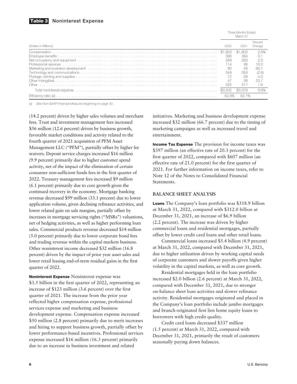### **Table 3 Noninterest Expense**

|                                                                                                                                                                                                                                |         | Three Months Ended<br>March 31 |                   |
|--------------------------------------------------------------------------------------------------------------------------------------------------------------------------------------------------------------------------------|---------|--------------------------------|-------------------|
| (Dollars in Millions)                                                                                                                                                                                                          | 2022    | 2021                           | Percent<br>Change |
| Compensation<br>Financial S1,853<br>Temployee benefits<br>Net occupancy and equipment<br>$\therefore$<br>$\therefore$<br>$\therefore$<br>269                                                                                   |         | \$1.803                        | 2.8%              |
|                                                                                                                                                                                                                                |         | 384                            | 3.1               |
|                                                                                                                                                                                                                                |         | 263                            | 2.3               |
|                                                                                                                                                                                                                                | 114     | 98                             | 16.3              |
| Marketing and business development with an array and array and array and array and array and array and the Marketing and business development with a subsequent and array and the Marketine and array and the Marketine and th | - 80    | 48                             | 66.7              |
|                                                                                                                                                                                                                                | 349     | 359                            | (2.8)             |
|                                                                                                                                                                                                                                |         |                                | 4.3               |
|                                                                                                                                                                                                                                | 47      | 38                             | 23.7              |
|                                                                                                                                                                                                                                | 322     | -317                           | 1.6               |
|                                                                                                                                                                                                                                | \$3,502 | \$3,379                        | 3.6%              |
|                                                                                                                                                                                                                                | 62.8%   | 62.1%                          |                   |

*(a) See Non-GAAP Financial Measures beginning on page 30.*

<span id="page-7-0"></span>(14.2 percent) driven by higher sales volumes and merchant fees. Trust and investment management fees increased \$56 million (12.6 percent) driven by business growth, favorable market conditions and activity related to the fourth quarter of 2021 acquisition of PFM Asset Management LLC ("PFM"), partially offset by higher fee waivers. Deposit service charges increased \$16 million (9.9 percent) primarily due to higher customer spend activity, net of the impact of the elimination of certain consumer non-sufficient funds fees in the first quarter of 2022. Treasury management fees increased \$9 million (6.1 percent) primarily due to core growth given the continued recovery in the economy. Mortgage banking revenue decreased \$99 million (33.1 percent) due to lower application volume, given declining refinance activities, and lower related gain on sale margins, partially offset by increases in mortgage servicing rights ("MSRs") valuations, net of hedging activities, as well as higher performing loan sales. Commercial products revenue decreased \$14 million (5.0 percent) primarily due to lower corporate bond fees and trading revenue within the capital markets business. Other noninterest income decreased \$32 million (16.8 percent) driven by the impact of prior year asset sales and lower retail leasing end-of-term residual gains in the first quarter of 2022.

**Noninterest Expense** Noninterest expense was \$3.5 billion in the first quarter of 2022, representing an increase of \$123 million (3.6 percent) over the first quarter of 2021. The increase from the prior year reflected higher compensation expense, professional services expense and marketing and business development expense. Compensation expense increased \$50 million (2.8 percent) primarily due to merit increases and hiring to support business growth, partially offset by lower performance-based incentives. Professional services expense increased \$16 million (16.3 percent) primarily due to an increase in business investment and related

initiatives. Marketing and business development expense increased \$32 million (66.7 percent) due to the timing of marketing campaigns as well as increased travel and entertainment.

**Income Tax Expense** The provision for income taxes was \$397 million (an effective rate of 20.3 percent) for the first quarter of 2022, compared with \$607 million (an effective rate of 21.0 percent) for the first quarter of 2021. For further information on income taxes, refer to Note 12 of the Notes to Consolidated Financial Statements.

#### **BALANCE SHEET ANALYSIS**

**Loans** The Company's loan portfolio was \$318.9 billion at March 31, 2022, compared with \$312.0 billion at December 31, 2021, an increase of \$6.9 billion (2.2 percent). The increase was driven by higher commercial loans and residential mortgages, partially offset by lower credit card loans and other retail loans.

Commercial loans increased \$5.4 billion (4.9 percent) at March 31, 2022, compared with December 31, 2021, due to higher utilization driven by working capital needs of corporate customers and slower payoffs given higher volatility in the capital markets, as well as core growth.

Residential mortgages held in the loan portfolio increased \$2.0 billion (2.6 percent) at March 31, 2022, compared with December 31, 2021, due to stronger on-balance sheet loan activities and slower refinance activity. Residential mortgages originated and placed in the Company's loan portfolio include jumbo mortgages and branch-originated first lien home equity loans to borrowers with high credit quality.

Credit card loans decreased \$337 million (1.5 percent) at March 31, 2022, compared with December 31, 2021, primarily the result of customers seasonally paying down balances.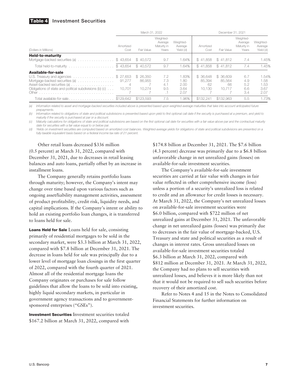# **Table 4 Investment Securities**

|                                                                                                                                                         |                       | March 31, 2022<br>December 31, 2021 |                                              |                                       |                                     |                                     |                                              |                                       |
|---------------------------------------------------------------------------------------------------------------------------------------------------------|-----------------------|-------------------------------------|----------------------------------------------|---------------------------------------|-------------------------------------|-------------------------------------|----------------------------------------------|---------------------------------------|
| (Dollars in Millions)                                                                                                                                   | Amortized<br>Cost     | Fair Value                          | Weighted-<br>Average<br>Maturity in<br>Years | Weighted-<br>Average<br>Yield (d)     | Amortized<br>Cost                   | Fair Value                          | Weighted-<br>Average<br>Maturity in<br>Years | Weighted-<br>Average<br>Yield (d)     |
| <b>Held-to-maturity</b><br>Mortgage-backed securities (a) $\ldots \ldots \ldots \ldots$ $\updownarrow$ 43,654                                           |                       | \$40.572                            | 9.7                                          | 1.64%                                 | \$41.858                            | \$41.812                            | 7.4                                          | 1.45%                                 |
| Total held-to-maturity $\ldots \ldots \ldots \ldots \ldots \ldots$ \$ 43,654                                                                            |                       | \$40.572                            | 9.7                                          | 1.64%                                 | \$41.858                            | \$41.812                            | 7.4                                          | 1.45%                                 |
| Available-for-sale<br>U.S. Treasury and agencies \$ 27,653<br>Mortgage-backed securities (a)<br>Obligations of state and political subdivisions (b) (c) | 91.277<br>4<br>10.701 | \$26,350<br>86.955<br>10.274        | 7.2<br>7.3<br>4.1<br>9.5<br>- 1              | 1.83%<br>1.80<br>2.00<br>3.64<br>2.07 | \$ 36.648<br>85.394<br>62<br>10.130 | \$ 36,609<br>85.564<br>66<br>10.717 | 6.7<br>4.9<br>5.2<br>6.6<br>3.4              | 1.54%<br>1.58<br>1.53<br>3.67<br>2.07 |
|                                                                                                                                                         | \$129.642             | \$123,593                           | 7.5                                          | 1.96%                                 | \$132.241                           | \$132,963                           | 5.5                                          | 1.73%                                 |

*(a) Information related to asset and mortgage-backed securities included above is presented based upon weighted-average maturities that take into account anticipated future prepayments.*

*(b) Information related to obligations of state and political subdivisions is presented based upon yield to first optional call date if the security is purchased at a premium, and yield to maturity if the security is purchased at par or a discount.*

*(c) Maturity calculations for obligations of state and political subdivisions are based on the first optional call date for securities with a fair value above par and the contractual maturity date for securities with a fair value equal to or below par.*

*(d) Yields on investment securities are computed based on amortized cost balances. Weighted-average yields for obligations of state and political subdivisions are presented on a fully-taxable equivalent basis based on a federal income tax rate of 21 percent.*

Other retail loans decreased \$336 million (0.5 percent) at March 31, 2022, compared with December 31, 2021, due to decreases in retail leasing balances and auto loans, partially offset by an increase in installment loans.

The Company generally retains portfolio loans through maturity; however, the Company's intent may change over time based upon various factors such as ongoing asset/liability management activities, assessment of product profitability, credit risk, liquidity needs, and capital implications. If the Company's intent or ability to hold an existing portfolio loan changes, it is transferred to loans held for sale.

**Loans Held for Sale** Loans held for sale, consisting primarily of residential mortgages to be sold in the secondary market, were \$3.3 billion at March 31, 2022, compared with \$7.8 billion at December 31, 2021. The decrease in loans held for sale was principally due to a lower level of mortgage loan closings in the first quarter of 2022, compared with the fourth quarter of 2021. Almost all of the residential mortgage loans the Company originates or purchases for sale follow guidelines that allow the loans to be sold into existing, highly liquid secondary markets, in particular in government agency transactions and to governmentsponsored enterprises ("GSEs").

**Investment Securities** Investment securities totaled \$167.2 billion at March 31, 2022, compared with

\$174.8 billion at December 31, 2021. The \$7.6 billion (4.3 percent) decrease was primarily due to a \$6.8 billion unfavorable change in net unrealized gains (losses) on available-for-sale investment securities.

The Company's available-for-sale investment securities are carried at fair value with changes in fair value reflected in other comprehensive income (loss) unless a portion of a security's unrealized loss is related to credit and an allowance for credit losses is necessary. At March 31, 2022, the Company's net unrealized losses on available-for-sale investment securities were \$6.0 billion, compared with \$722 million of net unrealized gains at December 31, 2021. The unfavorable change in net unrealized gains (losses) was primarily due to decreases in the fair value of mortgage-backed, U.S. Treasury and state and political securities as a result of changes in interest rates. Gross unrealized losses on available-for-sale investment securities totaled \$6.3 billion at March 31, 2022, compared with \$812 million at December 31, 2021. At March 31, 2022, the Company had no plans to sell securities with unrealized losses, and believes it is more likely than not that it would not be required to sell such securities before recovery of their amortized cost.

Refer to Notes 4 and 15 in the Notes to Consolidated Financial Statements for further information on investment securities.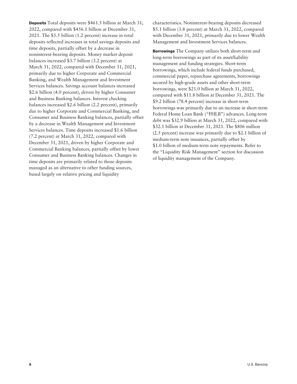**Deposits** Total deposits were \$461.5 billion at March 31, 2022, compared with \$456.1 billion at December 31, 2021. The \$5.5 billion (1.2 percent) increase in total deposits reflected increases in total savings deposits and time deposits, partially offset by a decrease in noninterest-bearing deposits. Money market deposit balances increased \$3.7 billion (3.2 percent) at March 31, 2022, compared with December 31, 2021, primarily due to higher Corporate and Commercial Banking, and Wealth Management and Investment Services balances. Savings account balances increased \$2.6 billion (4.0 percent), driven by higher Consumer and Business Banking balances. Interest checking balances increased \$2.6 billion (2.2 percent), primarily due to higher Corporate and Commercial Banking, and Consumer and Business Banking balances, partially offset by a decrease in Wealth Management and Investment Services balances. Time deposits increased \$1.6 billion (7.2 percent) at March 31, 2022, compared with December 31, 2021, driven by higher Corporate and Commercial Banking balances, partially offset by lower Consumer and Business Banking balances. Changes in time deposits are primarily related to those deposits managed as an alternative to other funding sources, based largely on relative pricing and liquidity

characteristics. Noninterest-bearing deposits decreased \$5.1 billion (3.8 percent) at March 31, 2022, compared with December 31, 2021, primarily due to lower Wealth Management and Investment Services balances.

**Borrowings** The Company utilizes both short-term and long-term borrowings as part of its asset/liability management and funding strategies. Short-term borrowings, which include federal funds purchased, commercial paper, repurchase agreements, borrowings secured by high-grade assets and other short-term borrowings, were \$21.0 billion at March 31, 2022, compared with \$11.8 billion at December 31, 2021. The \$9.2 billion (78.4 percent) increase in short-term borrowings was primarily due to an increase in short-term Federal Home Loan Bank ("FHLB") advances. Long-term debt was \$32.9 billion at March 31, 2022, compared with \$32.1 billion at December 31, 2021. The \$806 million (2.5 percent) increase was primarily due to \$2.1 billion of medium-term note issuances, partially offset by \$1.0 billion of medium-term note repayments. Refer to the "Liquidity Risk Management" section for discussion of liquidity management of the Company.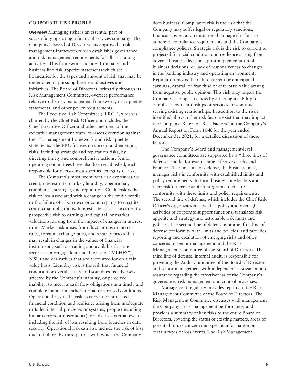#### <span id="page-10-1"></span><span id="page-10-0"></span>**CORPORATE RISK PROFILE**

**Overview** Managing risks is an essential part of successfully operating a financial services company. The Company's Board of Directors has approved a risk management framework which establishes governance and risk management requirements for all risk-taking activities. This framework includes Company and business line risk appetite statements which set boundaries for the types and amount of risk that may be undertaken in pursuing business objectives and initiatives. The Board of Directors, primarily through its Risk Management Committee, oversees performance relative to the risk management framework, risk appetite statements, and other policy requirements.

The Executive Risk Committee ("ERC"), which is chaired by the Chief Risk Officer and includes the Chief Executive Officer and other members of the executive management team, oversees execution against the risk management framework and risk appetite statements. The ERC focuses on current and emerging risks, including strategic and reputation risks, by directing timely and comprehensive actions. Senior operating committees have also been established, each responsible for overseeing a specified category of risk.

The Company's most prominent risk exposures are credit, interest rate, market, liquidity, operational, compliance, strategic, and reputation. Credit risk is the risk of loss associated with a change in the credit profile or the failure of a borrower or counterparty to meet its contractual obligations. Interest rate risk is the current or prospective risk to earnings and capital, or market valuations, arising from the impact of changes in interest rates. Market risk arises from fluctuations in interest rates, foreign exchange rates, and security prices that may result in changes in the values of financial instruments, such as trading and available-for-sale securities, mortgage loans held for sale ("MLHFS"), MSRs and derivatives that are accounted for on a fair value basis. Liquidity risk is the risk that financial condition or overall safety and soundness is adversely affected by the Company's inability, or perceived inability, to meet its cash flow obligations in a timely and complete manner in either normal or stressed conditions. Operational risk is the risk to current or projected financial condition and resilience arising from inadequate or failed internal processes or systems, people (including human errors or misconduct), or adverse external events, including the risk of loss resulting from breaches in data security. Operational risk can also include the risk of loss due to failures by third parties with which the Company

does business. Compliance risk is the risk that the Company may suffer legal or regulatory sanctions, financial losses, and reputational damage if it fails to adhere to compliance requirements and the Company's compliance policies. Strategic risk is the risk to current or projected financial condition and resilience arising from adverse business decisions, poor implementation of business decisions, or lack of responsiveness to changes in the banking industry and operating environment. Reputation risk is the risk to current or anticipated earnings, capital, or franchise or enterprise value arising from negative public opinion. This risk may impair the Company's competitiveness by affecting its ability to establish new relationships or services, or continue serving existing relationships. In addition to the risks identified above, other risk factors exist that may impact the Company. Refer to "Risk Factors" in the Company's Annual Report on Form 10-K for the year ended December 31, 2021, for a detailed discussion of these factors.

The Company's Board and management-level governance committees are supported by a "three lines of defense" model for establishing effective checks and balances. The first line of defense, the business lines, manages risks in conformity with established limits and policy requirements. In turn, business line leaders and their risk officers establish programs to ensure conformity with these limits and policy requirements. The second line of defense, which includes the Chief Risk Officer's organization as well as policy and oversight activities of corporate support functions, translates risk appetite and strategy into actionable risk limits and policies. The second line of defense monitors first line of defense conformity with limits and policies, and provides reporting and escalation of emerging risks and other concerns to senior management and the Risk Management Committee of the Board of Directors. The third line of defense, internal audit, is responsible for providing the Audit Committee of the Board of Directors and senior management with independent assessment and assurance regarding the effectiveness of the Company's governance, risk management and control processes.

Management regularly provides reports to the Risk Management Committee of the Board of Directors. The Risk Management Committee discusses with management the Company's risk management performance, and provides a summary of key risks to the entire Board of Directors, covering the status of existing matters, areas of potential future concern and specific information on certain types of loss events. The Risk Management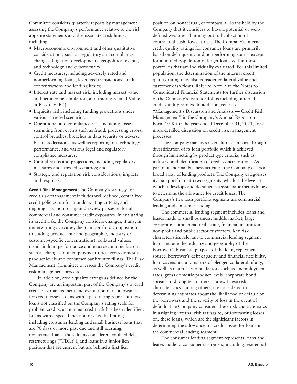Committee considers quarterly reports by management assessing the Company's performance relative to the risk appetite statements and the associated risk limits, including:

- Macroeconomic environment and other qualitative considerations, such as regulatory and compliance changes, litigation developments, geopolitical events, and technology and cybersecurity;
- Credit measures, including adversely rated and nonperforming loans, leveraged transactions, credit concentrations and lending limits;
- Interest rate and market risk, including market value and net income simulation, and trading-related Value at Risk ("VaR");
- Liquidity risk, including funding projections under various stressed scenarios;
- Operational and compliance risk, including losses stemming from events such as fraud, processing errors, control breaches, breaches in data security or adverse business decisions, as well as reporting on technology performance, and various legal and regulatory compliance measures;
- Capital ratios and projections, including regulatory measures and stressed scenarios; and
- Strategic and reputation risk considerations, impacts and responses.

<span id="page-11-0"></span>**Credit Risk Management** The Company's strategy for credit risk management includes well-defined, centralized credit policies, uniform underwriting criteria, and ongoing risk monitoring and review processes for all commercial and consumer credit exposures. In evaluating its credit risk, the Company considers changes, if any, in underwriting activities, the loan portfolio composition (including product mix and geographic, industry or customer-specific concentrations), collateral values, trends in loan performance and macroeconomic factors, such as changes in unemployment rates, gross domestic product levels and consumer bankruptcy filings. The Risk Management Committee oversees the Company's credit risk management process.

In addition, credit quality ratings as defined by the Company are an important part of the Company's overall credit risk management and evaluation of its allowance for credit losses. Loans with a pass rating represent those loans not classified on the Company's rating scale for problem credits, as minimal credit risk has been identified. Loans with a special mention or classified rating, including consumer lending and small business loans that are 90 days or more past due and still accruing, nonaccrual loans, those loans considered troubled debt restructurings ("TDRs"), and loans in a junior lien position that are current but are behind a first lien

position on nonaccrual, encompass all loans held by the Company that it considers to have a potential or welldefined weakness that may put full collection of contractual cash flows at risk. The Company's internal credit quality ratings for consumer loans are primarily based on delinquency and nonperforming status, except for a limited population of larger loans within those portfolios that are individually evaluated. For this limited population, the determination of the internal credit quality rating may also consider collateral value and customer cash flows. Refer to Note 5 in the Notes to Consolidated Financial Statements for further discussion of the Company's loan portfolios including internal credit quality ratings. In addition, refer to "Management's Discussion and Analysis — Credit Risk Management" in the Company's Annual Report on Form 10-K for the year ended December 31, 2021, for a more detailed discussion on credit risk management processes.

The Company manages its credit risk, in part, through diversification of its loan portfolio which is achieved through limit setting by product type criteria, such as industry, and identification of credit concentrations. As part of its normal business activities, the Company offers a broad array of lending products. The Company categorizes its loan portfolio into two segments, which is the level at which it develops and documents a systematic methodology to determine the allowance for credit losses. The Company's two loan portfolio segments are commercial lending and consumer lending.

The commercial lending segment includes loans and leases made to small business, middle market, large corporate, commercial real estate, financial institution, non-profit and public sector customers. Key risk characteristics relevant to commercial lending segment loans include the industry and geography of the borrower's business, purpose of the loan, repayment source, borrower's debt capacity and financial flexibility, loan covenants, and nature of pledged collateral, if any, as well as macroeconomic factors such as unemployment rates, gross domestic product levels, corporate bond spreads and long-term interest rates. These risk characteristics, among others, are considered in determining estimates about the likelihood of default by the borrowers and the severity of loss in the event of default. The Company considers these risk characteristics in assigning internal risk ratings to, or forecasting losses on, these loans, which are the significant factors in determining the allowance for credit losses for loans in the commercial lending segment.

The consumer lending segment represents loans and leases made to consumer customers, including residential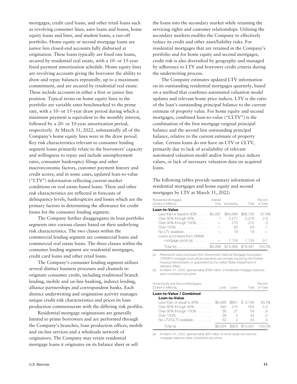mortgages, credit card loans, and other retail loans such as revolving consumer lines, auto loans and leases, home equity loans and lines, and student loans, a run-off portfolio. Home equity or second mortgage loans are junior lien closed-end accounts fully disbursed at origination. These loans typically are fixed rate loans, secured by residential real estate, with a 10- or 15-year fixed payment amortization schedule. Home equity lines are revolving accounts giving the borrower the ability to draw and repay balances repeatedly, up to a maximum commitment, and are secured by residential real estate. These include accounts in either a first or junior lien position. Typical terms on home equity lines in the portfolio are variable rates benchmarked to the prime rate, with a 10- or 15-year draw period during which a minimum payment is equivalent to the monthly interest, followed by a 20- or 10-year amortization period, respectively. At March 31, 2022, substantially all of the Company's home equity lines were in the draw period. Key risk characteristics relevant to consumer lending segment loans primarily relate to the borrowers' capacity and willingness to repay and include unemployment rates, consumer bankruptcy filings and other macroeconomic factors, customer payment history and credit scores, and in some cases, updated loan-to-value ("LTV") information reflecting current market conditions on real estate-based loans. These and other risk characteristics are reflected in forecasts of delinquency levels, bankruptcies and losses which are the primary factors in determining the allowance for credit losses for the consumer lending segment.

The Company further disaggregates its loan portfolio segments into various classes based on their underlying risk characteristics. The two classes within the commercial lending segment are commercial loans and commercial real estate loans. The three classes within the consumer lending segment are residential mortgages, credit card loans and other retail loans.

The Company's consumer lending segment utilizes several distinct business processes and channels to originate consumer credit, including traditional branch lending, mobile and on-line banking, indirect lending, alliance partnerships and correspondent banks. Each distinct underwriting and origination activity manages unique credit risk characteristics and prices its loan production commensurate with the differing risk profiles.

Residential mortgage originations are generally limited to prime borrowers and are performed through the Company's branches, loan production offices, mobile and on-line services and a wholesale network of originators. The Company may retain residential mortgage loans it originates on its balance sheet or sell

the loans into the secondary market while retaining the servicing rights and customer relationships. Utilizing the secondary markets enables the Company to effectively reduce its credit and other asset/liability risks. For residential mortgages that are retained in the Company's portfolio and for home equity and second mortgages, credit risk is also diversified by geography and managed by adherence to LTV and borrower credit criteria during the underwriting process.

The Company estimates updated LTV information on its outstanding residential mortgages quarterly, based on a method that combines automated valuation model updates and relevant home price indices. LTV is the ratio of the loan's outstanding principal balance to the current estimate of property value. For home equity and second mortgages, combined loan-to-value ("CLTV") is the combination of the first mortgage original principal balance and the second lien outstanding principal balance, relative to the current estimate of property value. Certain loans do not have an LTV or CLTV, primarily due to lack of availability of relevant automated valuation model and/or home price indices values, or lack of necessary valuation data on acquired loans.

The following tables provide summary information of residential mortgages and home equity and second mortgages by LTV at March 31, 2022:

| Residential Mortgages<br>(Dollars in Millions)               | Interest<br>Only | Amortizing                | Total       | Percent<br>of Total |
|--------------------------------------------------------------|------------------|---------------------------|-------------|---------------------|
| Loan-to-Value                                                |                  |                           |             |                     |
| Less than or equal to $80\%$                                 | \$4,097          | \$64,696                  | \$68,793    | 87.6%               |
| Over 80% through 90%                                         |                  | 2.277                     | 2.278       | 2.9                 |
| Over 90% through 100%                                        |                  | 210                       | 210         | .3                  |
| Over 100%                                                    |                  | 63                        | 63          | .1                  |
| $\mathsf{No} \mathsf{I}$ TV available $\ldots \ldots \ldots$ |                  | 19                        | 19          |                     |
| Loans purchased from GNMA                                    |                  |                           |             |                     |
| mortgage pools $(a) \dots$ .                                 |                  |                           | 7.124 7.124 | 9.1                 |
| Total (b)                                                    |                  | \$4,098 \$74,389 \$78,487 |             | 100.0%              |

*(a) Represents loans purchased from Government National Mortgage Association ("GNMA") mortgage pools whose payments are primarily insured by the Federal Housing Administration or guaranteed by the United States Department of Veterans Affairs.*

*(b) At March 31, 2022, approximately \$399 million of residential mortgage balances were considered sub-prime.*

| Home Equity and Second Mortgages<br>(Dollars in Millions)                                                                        | l ines                           | Loans                         | Total                            | Percent<br>of Total                        |
|----------------------------------------------------------------------------------------------------------------------------------|----------------------------------|-------------------------------|----------------------------------|--------------------------------------------|
| <b>Loan-to-Value / Combined</b><br><b>Loan-to-Value</b>                                                                          |                                  |                               |                                  |                                            |
| Less than or equal to $80\%$ $\ldots$ .<br>Over 80% through 90%<br>Over 90% through 100%<br>Over 100%<br>No I TV/CI TV available | \$9,065<br>340<br>38<br>39<br>52 | \$681<br>215<br>-21<br>4<br>2 | \$9.746<br>555<br>59<br>43<br>54 | 93.2%<br>5.3<br>-6<br>$\overline{A}$<br>.5 |
| Total (a)<br>.                                                                                                                   | \$9.534                          |                               | \$923 \$10.457                   | 100.0%                                     |

*(a) At March 31, 2022, approximately \$29 million of home equity and second mortgage balances were considered sub-prime.*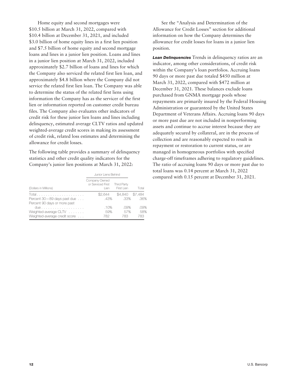Home equity and second mortgages were \$10.5 billion at March 31, 2022, compared with \$10.4 billion at December 31, 2021, and included \$3.0 billion of home equity lines in a first lien position and \$7.5 billion of home equity and second mortgage loans and lines in a junior lien position. Loans and lines in a junior lien position at March 31, 2022, included approximately \$2.7 billion of loans and lines for which the Company also serviced the related first lien loan, and approximately \$4.8 billion where the Company did not service the related first lien loan. The Company was able to determine the status of the related first liens using information the Company has as the servicer of the first lien or information reported on customer credit bureau files. The Company also evaluates other indicators of credit risk for these junior lien loans and lines including delinquency, estimated average CLTV ratios and updated weighted-average credit scores in making its assessment of credit risk, related loss estimates and determining the allowance for credit losses.

The following table provides a summary of delinquency statistics and other credit quality indicators for the Company's junior lien positions at March 31, 2022:

|                                                             | Junior Liens Behind                         |                           |                    |
|-------------------------------------------------------------|---------------------------------------------|---------------------------|--------------------|
| (Dollars in Millions)                                       | Company Owned<br>or Serviced First<br>I ien | Third Party<br>First Lien | Total              |
| Percent 30-89 days past due<br>Percent 90 days or more past | \$2.644<br>.43%                             | \$4,840<br>.33%           | \$7.484<br>.36%    |
| Weighted-average CLTV<br>Weighted-average credit score      | .10%<br>59%<br>782                          | .09%<br>57%<br>783        | .09%<br>58%<br>783 |

See the "Analysis and Determination of the Allowance for Credit Losses" section for additional information on how the Company determines the allowance for credit losses for loans in a junior lien position.

*Loan Delinquencies* Trends in delinquency ratios are an indicator, among other considerations, of credit risk within the Company's loan portfolios. Accruing loans 90 days or more past due totaled \$450 million at March 31, 2022, compared with \$472 million at December 31, 2021. These balances exclude loans purchased from GNMA mortgage pools whose repayments are primarily insured by the Federal Housing Administration or guaranteed by the United States Department of Veterans Affairs. Accruing loans 90 days or more past due are not included in nonperforming assets and continue to accrue interest because they are adequately secured by collateral, are in the process of collection and are reasonably expected to result in repayment or restoration to current status, or are managed in homogeneous portfolios with specified charge-off timeframes adhering to regulatory guidelines. The ratio of accruing loans 90 days or more past due to total loans was 0.14 percent at March 31, 2022 compared with 0.15 percent at December 31, 2021.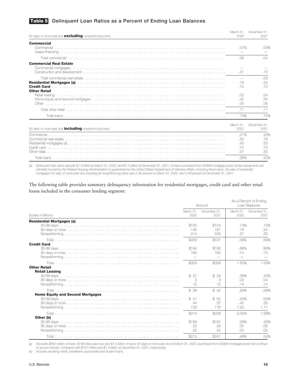### **Table 5 Delinquent Loan Ratios as a Percent of Ending Loan Balances**

| 90 days or more past due <b>excluding</b> nonperforming loans                                                                                                                                                                      | March 31.<br>2022 | December 31<br>2021 |
|------------------------------------------------------------------------------------------------------------------------------------------------------------------------------------------------------------------------------------|-------------------|---------------------|
| <b>Commercial</b>                                                                                                                                                                                                                  |                   |                     |
| Commercial                                                                                                                                                                                                                         |                   | 05%                 |
|                                                                                                                                                                                                                                    |                   |                     |
|                                                                                                                                                                                                                                    | 06                | N.                  |
| <b>Commercial Real Estate</b>                                                                                                                                                                                                      |                   |                     |
|                                                                                                                                                                                                                                    |                   |                     |
|                                                                                                                                                                                                                                    | $\bigcap$ 1       |                     |
| Total commercial real estate with a subsequent contract to contact the contract of the commercial real estate with the contract of the contract of the contract of the contract of the contract of the contract of the contrac     |                   |                     |
| <b>Residential Mortgages (a)</b> entertainment containment and containment and contained a series of the containing of the containing of the containing of the containing of the containing of the containing of the containing of | .18               | .24                 |
| <b>Credit Card</b>                                                                                                                                                                                                                 | .74               | .73                 |
| <b>Other Retail</b>                                                                                                                                                                                                                |                   |                     |
|                                                                                                                                                                                                                                    | O3                |                     |
|                                                                                                                                                                                                                                    | 42                | .35                 |
|                                                                                                                                                                                                                                    | .05               | .06                 |
|                                                                                                                                                                                                                                    | .11               |                     |
|                                                                                                                                                                                                                                    | .14%              | .15%                |

| 90 days or more past due <b>including</b> nonperforming loans                                                                                                                                                                  | 2022 | March 31. December 31. |
|--------------------------------------------------------------------------------------------------------------------------------------------------------------------------------------------------------------------------------|------|------------------------|
|                                                                                                                                                                                                                                |      | .20%                   |
| Commercial real estate experience and contact the state of the state of the state of the state of the state of the state of the state of the state of the state of the state of the state of the state of the state of the sta | .55  | .76                    |
|                                                                                                                                                                                                                                | .45  | .53                    |
|                                                                                                                                                                                                                                |      |                        |
|                                                                                                                                                                                                                                |      |                        |
|                                                                                                                                                                                                                                |      | 42%                    |

*(a) Delinquent loan ratios exclude \$1.3 billion at March 31, 2022, and \$1.5 billion at December 31, 2021, of loans purchased from GNMA mortgage pools whose repayments are primarily insured by the Federal Housing Administration or guaranteed by the United States Department of Veterans Affairs. Including these loans, the ratio of residential mortgages 90 days or more past due including all nonperforming loans was 2.08 percent at March 31, 2022, and 2.43 percent at December 31, 2021.*

The following table provides summary delinquency information for residential mortgages, credit card and other retail loans included in the consumer lending segment:

|                                              |                                        | Amount                     | As a Percent of Ending<br>Loan Balances |                             |  |
|----------------------------------------------|----------------------------------------|----------------------------|-----------------------------------------|-----------------------------|--|
| (Dollars in Millions)                        | March 31.<br>2022                      | December 31.<br>2021       | March 31.<br>2022                       | December 31.<br>2021        |  |
| <b>Residential Mortgages (a)</b>             | \$105<br>140<br>214                    | \$124<br>181<br>226        | .13%<br>.18<br>.27                      | .15%<br>.24<br>.30          |  |
| <b>Credit Card</b>                           | \$459<br>\$194<br>165<br>$\frac{1}{2}$ | \$531<br>\$193<br>165      | .58%<br>.88%<br>.74                     | .69%<br>.86%<br>.73         |  |
| <b>Other Retail</b><br><b>Retail Leasing</b> | \$359<br>S.<br>-27<br>10               | \$358<br>\$29<br>3<br>10   | 1.62%<br>.39%<br>.03<br>.14             | 1.59%<br>.40%<br>.04<br>.14 |  |
| <b>Home Equity and Second Mortgages</b>      | \$ 39<br>\$41<br>44<br>129             | \$42<br>\$55<br>37<br>116  | .56%<br>.40%<br>.42<br>1.23             | .58%<br>.53%<br>.35<br>1.11 |  |
| Other (b)                                    | \$214<br>\$169<br>22<br>22             | \$208<br>\$191<br>26<br>24 | 2.05%<br>.38%<br>.05<br>.05             | 1.99%<br>.43%<br>.06<br>.05 |  |
|                                              | \$213                                  | \$241                      | .48%                                    | .54%                        |  |

*(a) Excludes \$662 million of loans 30-89 days past due and \$1.3 billion of loans 90 days or more past due at March 31, 2022, purchased from GNMA mortgage pools that continue to accrue interest, compared with \$791 million and \$1.5 billion at December 31, 2021, respectively.*

*(b) Includes revolving credit, installment, automobile and student loans.*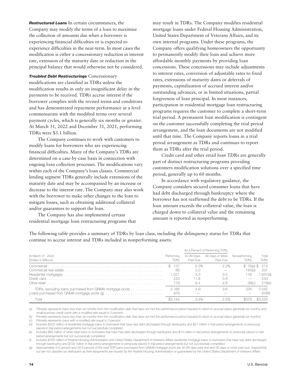*Restructured Loans* In certain circumstances, the Company may modify the terms of a loan to maximize the collection of amounts due when a borrower is experiencing financial difficulties or is expected to experience difficulties in the near-term. In most cases the modification is either a concessionary reduction in interest rate, extension of the maturity date or reduction in the principal balance that would otherwise not be considered.

*Troubled Debt Restructurings* Concessionary modifications are classified as TDRs unless the modification results in only an insignificant delay in the payments to be received. TDRs accrue interest if the borrower complies with the revised terms and conditions and has demonstrated repayment performance at a level commensurate with the modified terms over several payment cycles, which is generally six months or greater. At March 31, 2022 and December 31, 2021, performing TDRs were \$3.1 billion.

The Company continues to work with customers to modify loans for borrowers who are experiencing financial difficulties. Many of the Company's TDRs are determined on a case-by-case basis in connection with ongoing loan collection processes. The modifications vary within each of the Company's loan classes. Commercial lending segment TDRs generally include extensions of the maturity date and may be accompanied by an increase or decrease to the interest rate. The Company may also work with the borrower to make other changes to the loan to mitigate losses, such as obtaining additional collateral and/or guarantees to support the loan.

The Company has also implemented certain residential mortgage loan restructuring programs that may result in TDRs. The Company modifies residential mortgage loans under Federal Housing Administration, United States Department of Veterans Affairs, and its own internal programs. Under these programs, the Company offers qualifying homeowners the opportunity to permanently modify their loan and achieve more affordable monthly payments by providing loan concessions. These concessions may include adjustments to interest rates, conversion of adjustable rates to fixed rates, extensions of maturity dates or deferrals of payments, capitalization of accrued interest and/or outstanding advances, or in limited situations, partial forgiveness of loan principal. In most instances, participation in residential mortgage loan restructuring programs requires the customer to complete a short-term trial period. A permanent loan modification is contingent on the customer successfully completing the trial period arrangement, and the loan documents are not modified until that time. The Company reports loans in a trial period arrangement as TDRs and continues to report them as TDRs after the trial period.

Credit card and other retail loan TDRs are generally part of distinct restructuring programs providing customers modification solutions over a specified time period, generally up to 60 months.

In accordance with regulatory guidance, the Company considers secured consumer loans that have had debt discharged through bankruptcy where the borrower has not reaffirmed the debt to be TDRs. If the loan amount exceeds the collateral value, the loan is charged down to collateral value and the remaining amount is reported as nonperforming.

The following table provides a summary of TDRs by loan class, including the delinquency status for TDRs that continue to accrue interest and TDRs included in nonperforming assets:

|                                                          |                            |             | As a Percent of Performing TDRs                      |                         |                 |
|----------------------------------------------------------|----------------------------|-------------|------------------------------------------------------|-------------------------|-----------------|
| At March 31, 2022<br>(Dollars in Millions)               |                            | Past Due    | 30-89 Days 90 Days or More Nonperforming<br>Past Due | <b>TDRs</b>             | Total<br>TDRs   |
|                                                          | 137<br>$\mathcal{L}$<br>86 | 5.3%<br>2.0 | 2.2%                                                 | \$76(a) \$213<br>145(b) | 231             |
|                                                          | .521                       | 3.3         | 3.5                                                  | 116.                    | 1,637(d)        |
|                                                          | 243<br>179                 | 11.8<br>9.4 | 5.6<br>4.8                                           | 39(c)                   | 243<br>218(e)   |
| TDRs, excluding loans purchased from GNMA mortgage pools | 2.166<br>978               | 4.9         | 36                                                   | 376.                    | 2.542<br>978(f) |
|                                                          | \$3.144                    | .34%        | 2.5%                                                 |                         |                 |

*(a) Primarily represents loans less than six months from the modification date that have not met the performance period required to return to accrual status (generally six months) and small business credit cards with a modified rate equal to 0 percent.*

*(b) Primarily represents loans less than six months from the modification date that have not met the performance period required to return to accrual status (generally six months). (c) Primarily represents loans with a modified rate equal to 0 percent.*

*(d) Includes \$222 million of residential mortgage loans to borrowers that have had debt discharged through bankruptcy and \$21 million in trial period arrangements or previously placed in trial period arrangements but not successfully completed.*

*(e) Includes \$65 million of other retail loans to borrowers that have had debt discharged through bankruptcy and \$14 million in trial period arrangements or previously placed in trial period arrangements but not successfully completed.*

*(f) Includes \$165 million of Federal Housing Administration and United States Department of Veterans Affairs residential mortgage loans to borrowers that have had debt discharged through bankruptcy and \$132 million in trial period arrangements or previously placed in trial period arrangements but not successfully completed.*

*(g) Approximately 9.6 percent and 34.9 percent of the total TDR loans purchased from GNMA mortgage pools are 30-89 days past due and 90 days or more past due, respectively, but are not classified as delinquent as their repayments are insured by the Federal Housing Administration or guaranteed by the United States Department of Veterans Affairs.*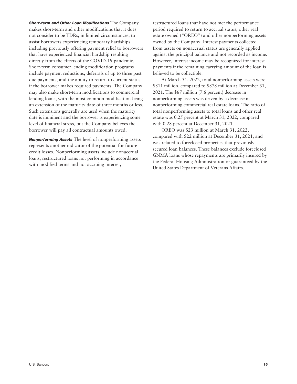*Short-term and Other Loan Modifications* The Company makes short-term and other modifications that it does not consider to be TDRs, in limited circumstances, to assist borrowers experiencing temporary hardships, including previously offering payment relief to borrowers that have experienced financial hardship resulting directly from the effects of the COVID-19 pandemic. Short-term consumer lending modification programs include payment reductions, deferrals of up to three past due payments, and the ability to return to current status if the borrower makes required payments. The Company may also make short-term modifications to commercial lending loans, with the most common modification being an extension of the maturity date of three months or less. Such extensions generally are used when the maturity date is imminent and the borrower is experiencing some level of financial stress, but the Company believes the borrower will pay all contractual amounts owed.

*Nonperforming Assets* The level of nonperforming assets represents another indicator of the potential for future credit losses. Nonperforming assets include nonaccrual loans, restructured loans not performing in accordance with modified terms and not accruing interest,

restructured loans that have not met the performance period required to return to accrual status, other real estate owned ("OREO") and other nonperforming assets owned by the Company. Interest payments collected from assets on nonaccrual status are generally applied against the principal balance and not recorded as income. However, interest income may be recognized for interest payments if the remaining carrying amount of the loan is believed to be collectible.

At March 31, 2022, total nonperforming assets were \$811 million, compared to \$878 million at December 31, 2021. The \$67 million (7.6 percent) decrease in nonperforming assets was driven by a decrease in nonperforming commercial real estate loans. The ratio of total nonperforming assets to total loans and other real estate was 0.25 percent at March 31, 2022, compared with 0.28 percent at December 31, 2021.

OREO was \$23 million at March 31, 2022, compared with \$22 million at December 31, 2021, and was related to foreclosed properties that previously secured loan balances. These balances exclude foreclosed GNMA loans whose repayments are primarily insured by the Federal Housing Administration or guaranteed by the United States Department of Veterans Affairs.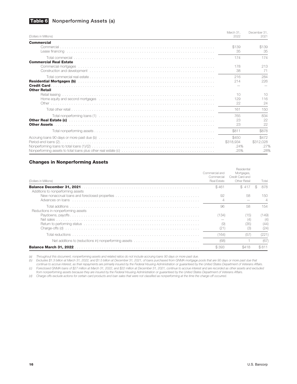# **Table 6 Nonperforming Assets (a)**

| (Dollars in Millions)                                                                                                                                                                                                          | March 31.<br>2022                  | December 31.<br>2021               |
|--------------------------------------------------------------------------------------------------------------------------------------------------------------------------------------------------------------------------------|------------------------------------|------------------------------------|
| <b>Commercial</b>                                                                                                                                                                                                              |                                    |                                    |
|                                                                                                                                                                                                                                | \$139                              | \$139                              |
|                                                                                                                                                                                                                                | 35                                 | 35                                 |
| <b>Commercial Real Estate</b>                                                                                                                                                                                                  | 174                                | 174                                |
|                                                                                                                                                                                                                                | 178                                | 213                                |
| Construction and development enterity and the contract of the construction and development enterity and the construction of the construction and development enterity and the construction of the construction of the construc | 38                                 | 71                                 |
|                                                                                                                                                                                                                                | 216                                | 284                                |
|                                                                                                                                                                                                                                | 214                                | 226                                |
| <b>Other Retail</b>                                                                                                                                                                                                            |                                    |                                    |
|                                                                                                                                                                                                                                | 10                                 | 10                                 |
| Home equity and second mortgages entertainment containment containers and mortgages of the second mortgages of the containers of the containers of the containing the second mortgages of the containing the second more conta | 129                                | 116                                |
|                                                                                                                                                                                                                                | 22                                 | 24                                 |
|                                                                                                                                                                                                                                | 161                                | 150                                |
| Total nonperforming loans (1) with the contract of the contract of the contract of the contract of the contract of the contract of the contract of the contract of the contract of the contract of the contract of the contrac | 765                                | 834                                |
|                                                                                                                                                                                                                                | 23                                 | 22                                 |
|                                                                                                                                                                                                                                | 23                                 | 22                                 |
|                                                                                                                                                                                                                                | \$811                              | \$878                              |
|                                                                                                                                                                                                                                | \$450<br>\$318,934<br>.24%<br>.25% | \$472<br>\$312,028<br>.27%<br>.28% |

#### **Changes in Nonperforming Assets**

| (Dollars in Millions)                                                                                                                                                                                                          | Commercial and<br>Commercial<br>Real Estate | Residentia<br>Mortgages,<br>Credit Card and<br>Other Retail |               | Total        |
|--------------------------------------------------------------------------------------------------------------------------------------------------------------------------------------------------------------------------------|---------------------------------------------|-------------------------------------------------------------|---------------|--------------|
| Additions to nonperforming assets                                                                                                                                                                                              | \$461                                       | \$417                                                       | $\mathcal{F}$ | 878          |
|                                                                                                                                                                                                                                | 92                                          | 58                                                          |               | 150          |
| Reductions in nonperforming assets                                                                                                                                                                                             | 96                                          | 58                                                          |               | 154          |
|                                                                                                                                                                                                                                | 134)                                        | 15)                                                         |               | (149)<br>(4) |
| Return to performing status with the content of the content of the content of the content of the content of the content of the content of the content of the content of the content of the content of the content of the conte | (9)<br>(21)                                 | (35<br>(3)                                                  |               | (44)<br>(24) |
|                                                                                                                                                                                                                                | (164)                                       | (57                                                         |               | (221)        |
|                                                                                                                                                                                                                                | (68)                                        |                                                             |               | (67          |
|                                                                                                                                                                                                                                | \$393                                       | \$418                                                       |               | \$811        |

*(a) Throughout this document, nonperforming assets and related ratios do not include accruing loans 90 days or more past due.*

*(b) Excludes \$1.3 billion at March 31, 2022, and \$1.5 billion at December 31, 2021, of loans purchased from GNMA mortgage pools that are 90 days or more past due that continue to accrue interest, as their repayments are primarily insured by the Federal Housing Administration or guaranteed by the United States Department of Veterans Affairs. (c) Foreclosed GNMA loans of \$27 million at March 31, 2022, and \$22 million at December 31, 2021, continue to accrue interest and are recorded as other assets and excluded*

*from nonperforming assets because they are insured by the Federal Housing Administration or guaranteed by the United States Department of Veterans Affairs.*

*(d) Charge-offs exclude actions for certain card products and loan sales that were not classified as nonperforming at the time the charge-off occurred.*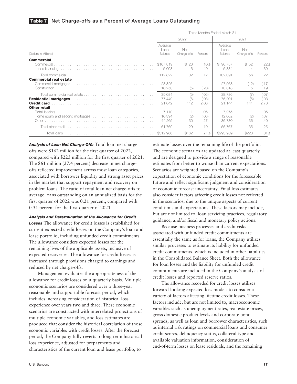### **Table 7 Net Charge-offs as a Percent of Average Loans Outstanding**

|                                                                                                                                                                                                                                | Three Months Ended March 31 |                    |                        |                             |                    |                        |
|--------------------------------------------------------------------------------------------------------------------------------------------------------------------------------------------------------------------------------|-----------------------------|--------------------|------------------------|-----------------------------|--------------------|------------------------|
|                                                                                                                                                                                                                                |                             | 2022               |                        |                             | 2021               |                        |
| (Dollars in Millions)                                                                                                                                                                                                          | Average<br>l oan<br>Balance | Net<br>Charge-offs | Percent                | Average<br>l oan<br>Balance | Net<br>Charge-offs | Percent                |
| <b>Commercial</b>                                                                                                                                                                                                              |                             |                    |                        |                             |                    |                        |
| Lease financing business assembly and the contract of the contract of the contract of the case of the contract of the contract of the contract of the contract of the contract of the contract of the contract of the contract | \$107.819<br>5.003          | \$26<br>6          | .10%<br>.49            | \$96.757<br>5.334           | \$52<br>4          | .22%<br>.30            |
| <b>Commercial real estate</b>                                                                                                                                                                                                  | 112,822                     | 32                 | .12                    | 102,091                     | 56                 | .22                    |
|                                                                                                                                                                                                                                | 28,826<br>10,258            | (5)                | (.20)                  | 27,968<br>10.818            | (12)<br>5          | (.17)<br>.19           |
| <b>Credit card</b>                                                                                                                                                                                                             | 39.084<br>77.449<br>21,842  | (5)<br>(6)<br>112  | (.05)<br>(.03)<br>2.08 | 38.786<br>75.201<br>21,144  | (5)<br>144         | (.07)<br>(.03)<br>2.76 |
| <b>Other retail</b>                                                                                                                                                                                                            | 7,110<br>10.394<br>44,265   | (2)<br>30          | .06<br>(.08)<br>.27    | 7.975<br>12.062<br>36,730   | (2)<br>36          | .05<br>(.07)<br>.40    |
|                                                                                                                                                                                                                                | 61.769                      | 29                 | .19                    | 56.767                      | 35                 | .25                    |
|                                                                                                                                                                                                                                | \$312,966                   | \$162              | .21%                   | \$293.989                   | \$223              | .31%                   |

*Analysis of Loan Net Charge-Offs* Total loan net chargeoffs were \$162 million for the first quarter of 2022, compared with \$223 million for the first quarter of 2021. The \$61 million (27.4 percent) decrease in net chargeoffs reflected improvement across most loan categories, associated with borrower liquidity and strong asset prices in the market that support repayment and recovery on problem loans. The ratio of total loan net charge-offs to average loans outstanding on an annualized basis for the first quarter of 2022 was 0.21 percent, compared with 0.31 percent for the first quarter of 2021.

*Analysis and Determination of the Allowance for Credit*

*Losses* The allowance for credit losses is established for current expected credit losses on the Company's loan and lease portfolio, including unfunded credit commitments. The allowance considers expected losses for the remaining lives of the applicable assets, inclusive of expected recoveries. The allowance for credit losses is increased through provisions charged to earnings and reduced by net charge-offs.

Management evaluates the appropriateness of the allowance for credit losses on a quarterly basis. Multiple economic scenarios are considered over a three-year reasonable and supportable forecast period, which includes increasing consideration of historical loss experience over years two and three. These economic scenarios are constructed with interrelated projections of multiple economic variables, and loss estimates are produced that consider the historical correlation of those economic variables with credit losses. After the forecast period, the Company fully reverts to long-term historical loss experience, adjusted for prepayments and characteristics of the current loan and lease portfolio, to

estimate losses over the remaining life of the portfolio. The economic scenarios are updated at least quarterly and are designed to provide a range of reasonable estimates from better to worse than current expectations. Scenarios are weighted based on the Company's expectation of economic conditions for the foreseeable future and reflect significant judgment and consideration of economic forecast uncertainty. Final loss estimates also consider factors affecting credit losses not reflected in the scenarios, due to the unique aspects of current conditions and expectations. These factors may include, but are not limited to, loan servicing practices, regulatory guidance, and/or fiscal and monetary policy actions.

Because business processes and credit risks associated with unfunded credit commitments are essentially the same as for loans, the Company utilizes similar processes to estimate its liability for unfunded credit commitments, which is included in other liabilities in the Consolidated Balance Sheet. Both the allowance for loan losses and the liability for unfunded credit commitments are included in the Company's analysis of credit losses and reported reserve ratios.

The allowance recorded for credit losses utilizes forward-looking expected loss models to consider a variety of factors affecting lifetime credit losses. These factors include, but are not limited to, macroeconomic variables such as unemployment rates, real estate prices, gross domestic product levels and corporate bond spreads, as well as loan and borrower characteristics, such as internal risk ratings on commercial loans and consumer credit scores, delinquency status, collateral type and available valuation information, consideration of end-of-term losses on lease residuals, and the remaining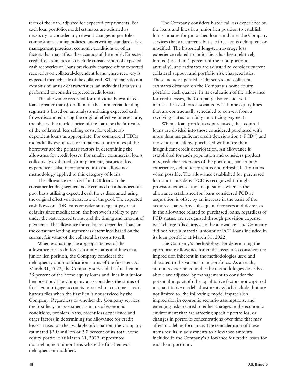term of the loan, adjusted for expected prepayments. For each loan portfolio, model estimates are adjusted as necessary to consider any relevant changes in portfolio composition, lending policies, underwriting standards, risk management practices, economic conditions or other factors that may affect the accuracy of the model. Expected credit loss estimates also include consideration of expected cash recoveries on loans previously charged-off or expected recoveries on collateral-dependent loans where recovery is expected through sale of the collateral. Where loans do not exhibit similar risk characteristics, an individual analysis is performed to consider expected credit losses.

The allowance recorded for individually evaluated loans greater than \$5 million in the commercial lending segment is based on an analysis utilizing expected cash flows discounted using the original effective interest rate, the observable market price of the loan, or the fair value of the collateral, less selling costs, for collateraldependent loans as appropriate. For commercial TDRs individually evaluated for impairment, attributes of the borrower are the primary factors in determining the allowance for credit losses. For smaller commercial loans collectively evaluated for impairment, historical loss experience is also incorporated into the allowance methodology applied to this category of loans.

The allowance recorded for TDR loans in the consumer lending segment is determined on a homogenous pool basis utilizing expected cash flows discounted using the original effective interest rate of the pool. The expected cash flows on TDR loans consider subsequent payment defaults since modification, the borrower's ability to pay under the restructured terms, and the timing and amount of payments. The allowance for collateral-dependent loans in the consumer lending segment is determined based on the current fair value of the collateral less costs to sell.

When evaluating the appropriateness of the allowance for credit losses for any loans and lines in a junior lien position, the Company considers the delinquency and modification status of the first lien. At March 31, 2022, the Company serviced the first lien on 35 percent of the home equity loans and lines in a junior lien position. The Company also considers the status of first lien mortgage accounts reported on customer credit bureau files when the first lien is not serviced by the Company. Regardless of whether the Company services the first lien, an assessment is made of economic conditions, problem loans, recent loss experience and other factors in determining the allowance for credit losses. Based on the available information, the Company estimated \$205 million or 2.0 percent of its total home equity portfolio at March 31, 2022, represented non-delinquent junior liens where the first lien was delinquent or modified.

The Company considers historical loss experience on the loans and lines in a junior lien position to establish loss estimates for junior lien loans and lines the Company services that are current, but the first lien is delinquent or modified. The historical long-term average loss experience related to junior liens has been relatively limited (less than 1 percent of the total portfolio annually), and estimates are adjusted to consider current collateral support and portfolio risk characteristics. These include updated credit scores and collateral estimates obtained on the Company's home equity portfolio each quarter. In its evaluation of the allowance for credit losses, the Company also considers the increased risk of loss associated with home equity lines that are contractually scheduled to convert from a revolving status to a fully amortizing payment.

When a loan portfolio is purchased, the acquired loans are divided into those considered purchased with more than insignificant credit deterioration ("PCD") and those not considered purchased with more than insignificant credit deterioration. An allowance is established for each population and considers product mix, risk characteristics of the portfolio, bankruptcy experience, delinquency status and refreshed LTV ratios when possible. The allowance established for purchased loans not considered PCD is recognized through provision expense upon acquisition, whereas the allowance established for loans considered PCD at acquisition is offset by an increase in the basis of the acquired loans. Any subsequent increases and decreases in the allowance related to purchased loans, regardless of PCD status, are recognized through provision expense, with charge-offs charged to the allowance. The Company did not have a material amount of PCD loans included in its loan portfolio at March 31, 2022.

The Company's methodology for determining the appropriate allowance for credit losses also considers the imprecision inherent in the methodologies used and allocated to the various loan portfolios. As a result, amounts determined under the methodologies described above are adjusted by management to consider the potential impact of other qualitative factors not captured in quantitative model adjustments which include, but are not limited to, the following: model imprecision, imprecision in economic scenario assumptions, and emerging risks related to either changes in the economic environment that are affecting specific portfolios, or changes in portfolio concentrations over time that may affect model performance. The consideration of these items results in adjustments to allowance amounts included in the Company's allowance for credit losses for each loan portfolio.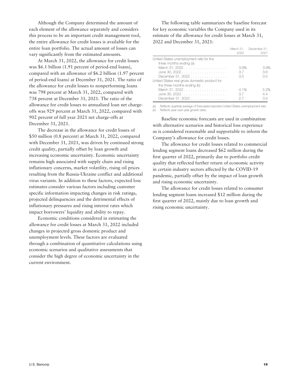Although the Company determined the amount of each element of the allowance separately and considers this process to be an important credit management tool, the entire allowance for credit losses is available for the entire loan portfolio. The actual amount of losses can vary significantly from the estimated amounts.

At March 31, 2022, the allowance for credit losses was \$6.1 billion (1.91 percent of period-end loans), compared with an allowance of \$6.2 billion (1.97 percent of period-end loans) at December 31, 2021. The ratio of the allowance for credit losses to nonperforming loans was 798 percent at March 31, 2022, compared with 738 percent at December 31, 2021. The ratio of the allowance for credit losses to annualized loan net chargeoffs was 929 percent at March 31, 2022, compared with 902 percent of full year 2021 net charge-offs at December 31, 2021.

The decrease in the allowance for credit losses of \$50 million (0.8 percent) at March 31, 2022, compared with December 31, 2021, was driven by continued strong credit quality, partially offset by loan growth and increasing economic uncertainty. Economic uncertainty remains high associated with supply chain and rising inflationary concerns, market volatility, rising oil prices resulting from the Russia-Ukraine conflict and additional virus variants. In addition to these factors, expected loss estimates consider various factors including customer specific information impacting changes in risk ratings, projected delinquencies and the detrimental effects of inflationary pressures and rising interest rates which impact borrowers' liquidity and ability to repay.

Economic conditions considered in estimating the allowance for credit losses at March 31, 2022 included changes in projected gross domestic product and unemployment levels. These factors are evaluated through a combination of quantitative calculations using economic scenarios and qualitative assessments that consider the high degree of economic uncertainty in the current environment.

The following table summarizes the baseline forecast for key economic variables the Company used in its estimate of the allowance for credit losses at March 31, 2022 and December 31, 2021:

|                                                                    | 2022 | March 31. December 31.<br>2021 |
|--------------------------------------------------------------------|------|--------------------------------|
| United States unemployment rate for the<br>three months ending (a) |      |                                |
|                                                                    | 3.9% | 3.9%                           |
|                                                                    | 37   | 36                             |
| December 31, 2022                                                  | 3.5  | 3.5                            |
| United States real gross domestic product for                      |      |                                |
| the three months ending (b)                                        |      |                                |
|                                                                    | 4.1% | 5.2%                           |
|                                                                    | 37   | 4.4                            |
| December 31, 2022                                                  | 27   | 3.4                            |

*(a) Reflects quarterly average of forecasted reported United States unemployment rate. (b) Reflects year-over-year growth rates.*

Baseline economic forecasts are used in combination with alternative scenarios and historical loss experience as is considered reasonable and supportable to inform the Company's allowance for credit losses.

The allowance for credit losses related to commercial lending segment loans decreased \$62 million during the first quarter of 2022, primarily due to portfolio credit quality that reflected further return of economic activity in certain industry sectors affected by the COVID-19 pandemic, partially offset by the impact of loan growth and rising economic uncertainty.

The allowance for credit losses related to consumer lending segment loans increased \$12 million during the first quarter of 2022, mainly due to loan growth and rising economic uncertainty.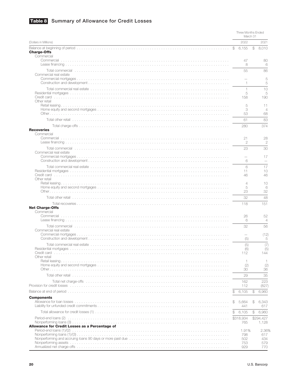# Table 8 Summary of Allowance for Credit Losses

|                                                                                                                                                                                                                                |    | Three Months Ended<br>March 31 |             |                      |
|--------------------------------------------------------------------------------------------------------------------------------------------------------------------------------------------------------------------------------|----|--------------------------------|-------------|----------------------|
| (Dollars in Millions)                                                                                                                                                                                                          |    | 2022                           |             | 2021                 |
| <b>Charge-Offs</b><br>Commercial                                                                                                                                                                                               |    | \$6,155                        |             | \$8,010              |
|                                                                                                                                                                                                                                |    | 47<br>8                        |             | 80<br>6              |
| Commercial real estate                                                                                                                                                                                                         |    | 55                             |             | 86                   |
|                                                                                                                                                                                                                                |    | $\mathbf{1}$                   |             | 5<br>5               |
|                                                                                                                                                                                                                                |    | $\mathbf{1}$                   |             | 10                   |
| Credit card<br>Other retail                                                                                                                                                                                                    |    | 5<br>158                       |             | 5<br>190             |
|                                                                                                                                                                                                                                |    | 5<br>3                         |             | 11<br>$\overline{4}$ |
|                                                                                                                                                                                                                                |    | 53                             |             | 68                   |
| Total other retail with a constant contact the constant contact of the constant of the constant constant contact of the constant of the constant of the constant constant of the constant of the constant of the constant of t |    | 61                             |             | 83                   |
| <b>Recoveries</b>                                                                                                                                                                                                              |    | 280                            |             | 374                  |
| Commercial<br>Commercial                                                                                                                                                                                                       |    | 21                             |             | 28                   |
| Lease financing                                                                                                                                                                                                                |    | 2                              |             | 2                    |
| Total commercial<br>Commercial real estate                                                                                                                                                                                     |    | 23                             |             | 30                   |
|                                                                                                                                                                                                                                |    | 6                              |             | 17                   |
| Total commercial real estate edition of the content of the content of the content of the content of the content of the content of the content of the content of the content of the content of the content of the content of th |    | 6                              |             | 17                   |
| Residential mortgages<br>Credit card                                                                                                                                                                                           |    | 11<br>46                       |             | 10<br>46             |
| Other retail                                                                                                                                                                                                                   |    | $\overline{4}$                 |             | 10                   |
|                                                                                                                                                                                                                                |    | 5<br>23                        |             | 6<br>32              |
|                                                                                                                                                                                                                                |    | 32                             |             | 48                   |
|                                                                                                                                                                                                                                |    | 118                            |             | 151                  |
| <b>Net Charge-Offs</b><br>Commercial                                                                                                                                                                                           |    |                                |             |                      |
|                                                                                                                                                                                                                                |    | 26<br>6                        |             | 52<br>4              |
| Commercial real estate                                                                                                                                                                                                         |    | 32                             |             | 56                   |
| Construction and development                                                                                                                                                                                                   |    | (5)                            |             | (12)<br>5            |
|                                                                                                                                                                                                                                |    | (5)<br>(6)                     |             | (7)<br>(5)           |
| Credit card<br>Other retail                                                                                                                                                                                                    |    | 112                            |             | 144                  |
|                                                                                                                                                                                                                                |    | 1                              |             |                      |
|                                                                                                                                                                                                                                |    | (2)<br>30                      |             | (2)<br>36            |
| Total other retail with with the contract of the contract of the contract of the contract of the contract of the contract of the contract of the contract of the contract of the contract of the contract of the contract of t |    | 29                             |             | 35                   |
|                                                                                                                                                                                                                                |    | 162<br>112                     |             | 223<br>(827)         |
|                                                                                                                                                                                                                                | S  | 6,105                          | \$          | 6,960                |
| <b>Components</b>                                                                                                                                                                                                              |    |                                |             |                      |
|                                                                                                                                                                                                                                | S. | 5,664<br>441                   | S           | 6,343<br>617         |
|                                                                                                                                                                                                                                | S. | 6,105                          | $\mathbb S$ | 6,960                |
|                                                                                                                                                                                                                                |    | \$318,934<br>765               |             | \$294,427<br>1,128   |
| Allowance for Credit Losses as a Percentage of                                                                                                                                                                                 |    | 1.91%<br>798                   |             | 2.36%<br>617         |
|                                                                                                                                                                                                                                |    | 502<br>753                     |             | 434<br>579           |
| Annualized net charge-offs                                                                                                                                                                                                     |    | 929                            |             | 770                  |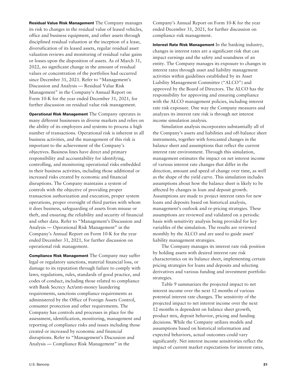<span id="page-22-3"></span><span id="page-22-0"></span>**Residual Value Risk Management** The Company manages its risk to changes in the residual value of leased vehicles, office and business equipment, and other assets through disciplined residual valuation at the inception of a lease, diversification of its leased assets, regular residual asset valuation reviews and monitoring of residual value gains or losses upon the disposition of assets. As of March 31, 2022, no significant change in the amount of residual values or concentration of the portfolios had occurred since December 31, 2021. Refer to "Management's Discussion and Analysis — Residual Value Risk Management" in the Company's Annual Report on Form 10-K for the year ended December 31, 2021, for further discussion on residual value risk management.

<span id="page-22-1"></span>**Operational Risk Management** The Company operates in many different businesses in diverse markets and relies on the ability of its employees and systems to process a high number of transactions. Operational risk is inherent in all business activities, and the management of this risk is important to the achievement of the Company's objectives. Business lines have direct and primary responsibility and accountability for identifying, controlling, and monitoring operational risks embedded in their business activities, including those additional or increased risks created by economic and financial disruptions. The Company maintains a system of controls with the objective of providing proper transaction authorization and execution, proper system operations, proper oversight of third parties with whom it does business, safeguarding of assets from misuse or theft, and ensuring the reliability and security of financial and other data. Refer to "Management's Discussion and Analysis — Operational Risk Management" in the Company's Annual Report on Form 10-K for the year ended December 31, 2021, for further discussion on operational risk management.

<span id="page-22-2"></span>**Compliance Risk Management** The Company may suffer legal or regulatory sanctions, material financial loss, or damage to its reputation through failure to comply with laws, regulations, rules, standards of good practice, and codes of conduct, including those related to compliance with Bank Secrecy Act/anti-money laundering requirements, sanctions compliance requirements as administered by the Office of Foreign Assets Control, consumer protection and other requirements. The Company has controls and processes in place for the assessment, identification, monitoring, management and reporting of compliance risks and issues including those created or increased by economic and financial disruptions. Refer to "Management's Discussion and Analysis — Compliance Risk Management" in the

Company's Annual Report on Form 10-K for the year ended December 31, 2021, for further discussion on compliance risk management.

**Interest Rate Risk Management** In the banking industry, changes in interest rates are a significant risk that can impact earnings and the safety and soundness of an entity. The Company manages its exposure to changes in interest rates through asset and liability management activities within guidelines established by its Asset Liability Management Committee ("ALCO") and approved by the Board of Directors. The ALCO has the responsibility for approving and ensuring compliance with the ALCO management policies, including interest rate risk exposure. One way the Company measures and analyzes its interest rate risk is through net interest income simulation analysis.

Simulation analysis incorporates substantially all of the Company's assets and liabilities and off-balance sheet instruments, together with forecasted changes in the balance sheet and assumptions that reflect the current interest rate environment. Through this simulation, management estimates the impact on net interest income of various interest rate changes that differ in the direction, amount and speed of change over time, as well as the shape of the yield curve. This simulation includes assumptions about how the balance sheet is likely to be affected by changes in loan and deposit growth. Assumptions are made to project interest rates for new loans and deposits based on historical analysis, management's outlook and re-pricing strategies. These assumptions are reviewed and validated on a periodic basis with sensitivity analysis being provided for key variables of the simulation. The results are reviewed monthly by the ALCO and are used to guide asset/ liability management strategies.

The Company manages its interest rate risk position by holding assets with desired interest rate risk characteristics on its balance sheet, implementing certain pricing strategies for loans and deposits and selecting derivatives and various funding and investment portfolio strategies.

Table 9 summarizes the projected impact to net interest income over the next 12 months of various potential interest rate changes. The sensitivity of the projected impact to net interest income over the next 12 months is dependent on balance sheet growth, product mix, deposit behavior, pricing and funding decisions. While the Company utilizes models and assumptions based on historical information and expected behaviors, actual outcomes could vary significantly. Net interest income sensitivities reflect the impact of current market expectations for interest rates,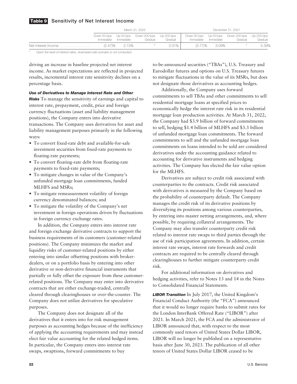# **Table 9 Sensitivity of Net Interest Income**

|                     | March 31, 2022 |           |                                                          |          | December 31, 2021   |         |                                                          |         |
|---------------------|----------------|-----------|----------------------------------------------------------|----------|---------------------|---------|----------------------------------------------------------|---------|
|                     | Immediate      | Immediate | Down 50 bps Up 50 bps Down 200 bps Up 200 bps<br>Gradual | Gradual  | Immediate Immediate |         | Down 50 bps Up 50 bps Down 200 bps Up 200 bps<br>Gradual | Gradual |
| Net interest income | (2.47)%        | 2.15%     |                                                          | $3.31\%$ | (3.77)%             | - 3.09% |                                                          | 5.39%   |

*\* Given the level of interest rates, downward rate scenario is not computed.*

driving an increase in baseline projected net interest income. As market expectations are reflected in projected results, incremental interest rate sensitivity declines on a percentage basis.

*Use of Derivatives to Manage Interest Rate and Other*

*Risks* To manage the sensitivity of earnings and capital to interest rate, prepayment, credit, price and foreign currency fluctuations (asset and liability management positions), the Company enters into derivative transactions. The Company uses derivatives for asset and liability management purposes primarily in the following ways:

- To convert fixed-rate debt and available-for-sale investment securities from fixed-rate payments to floating-rate payments;
- To convert floating-rate debt from floating-rate payments to fixed-rate payments;
- To mitigate changes in value of the Company's unfunded mortgage loan commitments, funded MLHFS and MSRs;
- To mitigate remeasurement volatility of foreign currency denominated balances; and
- To mitigate the volatility of the Company's net investment in foreign operations driven by fluctuations in foreign currency exchange rates.

In addition, the Company enters into interest rate and foreign exchange derivative contracts to support the business requirements of its customers (customer-related positions). The Company minimizes the market and liquidity risks of customer-related positions by either entering into similar offsetting positions with brokerdealers, or on a portfolio basis by entering into other derivative or non-derivative financial instruments that partially or fully offset the exposure from these customerrelated positions. The Company may enter into derivative contracts that are either exchange-traded, centrally cleared through clearinghouses or over-the-counter. The Company does not utilize derivatives for speculative purposes.

The Company does not designate all of the derivatives that it enters into for risk management purposes as accounting hedges because of the inefficiency of applying the accounting requirements and may instead elect fair value accounting for the related hedged items. In particular, the Company enters into interest rate swaps, swaptions, forward commitments to buy

to-be-announced securities ("TBAs"), U.S. Treasury and Eurodollar futures and options on U.S. Treasury futures to mitigate fluctuations in the value of its MSRs, but does not designate those derivatives as accounting hedges.

Additionally, the Company uses forward commitments to sell TBAs and other commitments to sell residential mortgage loans at specified prices to economically hedge the interest rate risk in its residential mortgage loan production activities. At March 31, 2022, the Company had \$3.9 billion of forward commitments to sell, hedging \$1.4 billion of MLHFS and \$3.3 billion of unfunded mortgage loan commitments. The forward commitments to sell and the unfunded mortgage loan commitments on loans intended to be sold are considered derivatives under the accounting guidance related to accounting for derivative instruments and hedging activities. The Company has elected the fair value option for the MLHFS.

Derivatives are subject to credit risk associated with counterparties to the contracts. Credit risk associated with derivatives is measured by the Company based on the probability of counterparty default. The Company manages the credit risk of its derivative positions by diversifying its positions among various counterparties, by entering into master netting arrangements, and, where possible, by requiring collateral arrangements. The Company may also transfer counterparty credit risk related to interest rate swaps to third parties through the use of risk participation agreements. In addition, certain interest rate swaps, interest rate forwards and credit contracts are required to be centrally cleared through clearinghouses to further mitigate counterparty credit risk.

For additional information on derivatives and hedging activities, refer to Notes 13 and 14 in the Notes to Consolidated Financial Statements.

*LIBOR Transition* In July 2017, the United Kingdom's Financial Conduct Authority (the "FCA") announced that it would no longer require banks to submit rates for the London InterBank Offered Rate ("LIBOR") after 2021. In March 2021, the FCA and the administrator of LIBOR announced that, with respect to the most commonly used tenors of United States Dollar LIBOR, LIBOR will no longer be published on a representative basis after June 30, 2023. The publication of all other tenors of United States Dollar LIBOR ceased to be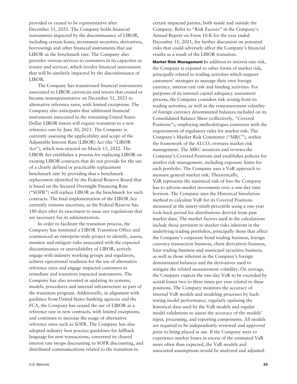provided or ceased to be representative after December 31, 2021. The Company holds financial instruments impacted by the discontinuance of LIBOR, including certain loans, investment securities, derivatives, borrowings and other financial instruments that use LIBOR as the benchmark rate. The Company also provides various services to customers in its capacities as trustee and servicer, which involve financial instruments that will be similarly impacted by the discontinuance of LIBOR.

<span id="page-24-0"></span>The Company has transitioned financial instruments associated to LIBOR currencies and tenors that ceased or became nonrepresentative on December 31, 2021 to alternative reference rates, with limited exceptions. The Company also anticipates that additional financial instruments associated to the remaining United States Dollar LIBOR tenors will require transition to a new reference rate by June 30, 2023. The Company is currently assessing the applicability and scope of the Adjustable Interest Rate (LIBOR) Act (the "LIBOR Act"), which was enacted on March 15, 2022. The LIBOR Act establishes a process for replacing LIBOR on existing LIBOR contracts that do not provide for the use of a clearly defined or practicable replacement benchmark rate by providing that a benchmark replacement identified by the Federal Reserve Board that is based on the Secured Overnight Financing Rate ("SOFR") will replace LIBOR as the benchmark for such contracts. The final implementation of the LIBOR Act currently remains uncertain, as the Federal Reserve has 180 days after its enactment to issue any regulations that are necessary for its administration.

In order to facilitate the transition process, the Company has instituted a LIBOR Transition Office and commenced an enterprise-wide project to identify, assess, monitor and mitigate risks associated with the expected discontinuance or unavailability of LIBOR, actively engage with industry working groups and regulators, achieve operational readiness for the use of alternative reference rates and engage impacted customers to remediate and transition impacted instruments. The Company has also invested in updating its systems, models, procedures and internal infrastructure as part of the transition program. Additionally, in alignment with guidance from United States banking agencies and the FCA, the Company has ceased the use of LIBOR as a reference rate in new contracts, with limited exceptions, and continues to increase the usage of alternative reference rates such as SOFR. The Company has also adopted industry best practice guidelines for fallback language for new transactions, converted its cleared interest rate swaps discounting to SOFR discounting, and distributed communications related to the transition to

certain impacted parties, both inside and outside the Company. Refer to "Risk Factors" in the Company's Annual Report on Form 10-K for the year ended December 31, 2021, for further discussion on potential risks that could adversely affect the Company's financial results as a result of the LIBOR transition.

**Market Risk Management** In addition to interest rate risk, the Company is exposed to other forms of market risk, principally related to trading activities which support customers' strategies to manage their own foreign currency, interest rate risk and funding activities. For purposes of its internal capital adequacy assessment process, the Company considers risk arising from its trading activities, as well as the remeasurement volatility of foreign currency denominated balances included on its Consolidated Balance Sheet (collectively, "Covered Positions"), employing methodologies consistent with the requirements of regulatory rules for market risk. The Company's Market Risk Committee ("MRC"), within the framework of the ALCO, oversees market risk management. The MRC monitors and reviews the Company's Covered Positions and establishes policies for market risk management, including exposure limits for each portfolio. The Company uses a VaR approach to measure general market risk. Theoretically, VaR represents the statistical risk of loss the Company has to adverse market movements over a one-day time horizon. The Company uses the Historical Simulation method to calculate VaR for its Covered Positions measured at the ninety-ninth percentile using a one-year look-back period for distributions derived from past market data. The market factors used in the calculations include those pertinent to market risks inherent in the underlying trading portfolios, principally those that affect the Company's corporate bond trading business, foreign currency transaction business, client derivatives business, loan trading business and municipal securities business, as well as those inherent in the Company's foreign denominated balances and the derivatives used to mitigate the related measurement volatility. On average, the Company expects the one-day VaR to be exceeded by actual losses two to three times per year related to these positions. The Company monitors the accuracy of internal VaR models and modeling processes by backtesting model performance, regularly updating the historical data used by the VaR models and regular model validations to assess the accuracy of the models' input, processing, and reporting components. All models are required to be independently reviewed and approved prior to being placed in use. If the Company were to experience market losses in excess of the estimated VaR more often than expected, the VaR models and associated assumptions would be analyzed and adjusted.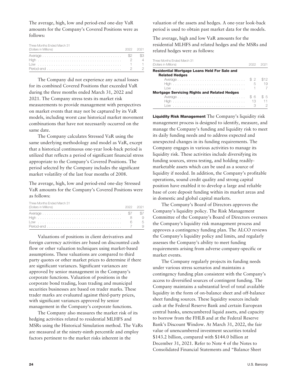The average, high, low and period-end one-day VaR amounts for the Company's Covered Positions were as follows:

| Three Months Ended March 31<br>(Dollars in Millions) | 2022 | 2021                                    |
|------------------------------------------------------|------|-----------------------------------------|
|                                                      |      | \$3<br>$\overline{4}$<br>$\overline{1}$ |

The Company did not experience any actual losses for its combined Covered Positions that exceeded VaR during the three months ended March 31, 2022 and 2021. The Company stress tests its market risk measurements to provide management with perspectives on market events that may not be captured by its VaR models, including worst case historical market movement combinations that have not necessarily occurred on the same date.

<span id="page-25-0"></span>The Company calculates Stressed VaR using the same underlying methodology and model as VaR, except that a historical continuous one-year look-back period is utilized that reflects a period of significant financial stress appropriate to the Company's Covered Positions. The period selected by the Company includes the significant market volatility of the last four months of 2008.

The average, high, low and period-end one-day Stressed VaR amounts for the Company's Covered Positions were as follows:

| Three Months Ended March 31<br>(Dollars in Millions) | 2022 2021  |
|------------------------------------------------------|------------|
|                                                      |            |
|                                                      | -9         |
|                                                      | $\sqrt{2}$ |
|                                                      | g          |

Valuations of positions in client derivatives and foreign currency activities are based on discounted cash flow or other valuation techniques using market-based assumptions. These valuations are compared to third party quotes or other market prices to determine if there are significant variances. Significant variances are approved by senior management in the Company's corporate functions. Valuation of positions in the corporate bond trading, loan trading and municipal securities businesses are based on trader marks. These trader marks are evaluated against third-party prices, with significant variances approved by senior management in the Company's corporate functions.

The Company also measures the market risk of its hedging activities related to residential MLHFS and MSRs using the Historical Simulation method. The VaRs are measured at the ninety-ninth percentile and employ factors pertinent to the market risks inherent in the

valuation of the assets and hedges. A one-year look-back period is used to obtain past market data for the models.

The average, high and low VaR amounts for the residential MLHFS and related hedges and the MSRs and related hedges were as follows:

| Three Months Ended March 31<br>(Dollars in Millions)                         |                |       |
|------------------------------------------------------------------------------|----------------|-------|
| <b>Residential Mortgage Loans Held For Sale and</b><br><b>Related Hedges</b> |                |       |
|                                                                              | \$2<br>5       | SA 12 |
| <b>Mortgage Servicing Rights and Related Hedges</b><br>Average               | \$6<br>13<br>R | SS 5  |

**Liquidity Risk Management** The Company's liquidity risk management process is designed to identify, measure, and manage the Company's funding and liquidity risk to meet its daily funding needs and to address expected and unexpected changes in its funding requirements. The Company engages in various activities to manage its liquidity risk. These activities include diversifying its funding sources, stress testing, and holding readilymarketable assets which can be used as a source of liquidity if needed. In addition, the Company's profitable operations, sound credit quality and strong capital position have enabled it to develop a large and reliable base of core deposit funding within its market areas and in domestic and global capital markets.

The Company's Board of Directors approves the Company's liquidity policy. The Risk Management Committee of the Company's Board of Directors oversees the Company's liquidity risk management process and approves a contingency funding plan. The ALCO reviews the Company's liquidity policy and limits, and regularly assesses the Company's ability to meet funding requirements arising from adverse company-specific or market events.

The Company regularly projects its funding needs under various stress scenarios and maintains a contingency funding plan consistent with the Company's access to diversified sources of contingent funding. The Company maintains a substantial level of total available liquidity in the form of on-balance sheet and off-balance sheet funding sources. These liquidity sources include cash at the Federal Reserve Bank and certain European central banks, unencumbered liquid assets, and capacity to borrow from the FHLB and at the Federal Reserve Bank's Discount Window. At March 31, 2022, the fair value of unencumbered investment securities totaled \$143.2 billion, compared with \$144.0 billion at December 31, 2021. Refer to Note 4 of the Notes to Consolidated Financial Statements and "Balance Sheet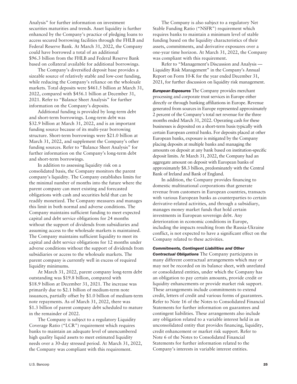Analysis" for further information on investment securities maturities and trends. Asset liquidity is further enhanced by the Company's practice of pledging loans to access secured borrowing facilities through the FHLB and Federal Reserve Bank. At March 31, 2022, the Company could have borrowed a total of an additional \$96.3 billion from the FHLB and Federal Reserve Bank based on collateral available for additional borrowings.

The Company's diversified deposit base provides a sizeable source of relatively stable and low-cost funding, while reducing the Company's reliance on the wholesale markets. Total deposits were \$461.5 billion at March 31, 2022, compared with \$456.1 billion at December 31, 2021. Refer to "Balance Sheet Analysis" for further information on the Company's deposits.

Additional funding is provided by long-term debt and short-term borrowings. Long-term debt was \$32.9 billion at March 31, 2022, and is an important funding source because of its multi-year borrowing structure. Short-term borrowings were \$21.0 billion at March 31, 2022, and supplement the Company's other funding sources. Refer to "Balance Sheet Analysis" for further information on the Company's long-term debt and short-term borrowings.

In addition to assessing liquidity risk on a consolidated basis, the Company monitors the parent company's liquidity. The Company establishes limits for the minimal number of months into the future where the parent company can meet existing and forecasted obligations with cash and securities held that can be readily monetized. The Company measures and manages this limit in both normal and adverse conditions. The Company maintains sufficient funding to meet expected capital and debt service obligations for 24 months without the support of dividends from subsidiaries and assuming access to the wholesale markets is maintained. The Company maintains sufficient liquidity to meet its capital and debt service obligations for 12 months under adverse conditions without the support of dividends from subsidiaries or access to the wholesale markets. The parent company is currently well in excess of required liquidity minimums.

At March 31, 2022, parent company long-term debt outstanding was \$19.8 billion, compared with \$18.9 billion at December 31, 2021. The increase was primarily due to \$2.1 billion of medium-term note issuances, partially offset by \$1.0 billion of medium-term note repayments. As of March 31, 2022, there was \$1.3 billion of parent company debt scheduled to mature in the remainder of 2022.

The Company is subject to a regulatory Liquidity Coverage Ratio ("LCR") requirement which requires banks to maintain an adequate level of unencumbered high quality liquid assets to meet estimated liquidity needs over a 30-day stressed period. At March 31, 2022, the Company was compliant with this requirement.

The Company is also subject to a regulatory Net Stable Funding Ratio ("NSFR") requirement which requires banks to maintain a minimum level of stable funding based on the liquidity characteristics of their assets, commitments, and derivative exposures over a one-year time horizon. At March 31, 2022, the Company was compliant with this requirement.

Refer to "Management's Discussion and Analysis — Liquidity Risk Management" in the Company's Annual Report on Form 10-K for the year ended December 31, 2021, for further discussion on liquidity risk management.

*European Exposures* The Company provides merchant processing and corporate trust services in Europe either directly or through banking affiliations in Europe. Revenue generated from sources in Europe represented approximately 2 percent of the Company's total net revenue for the three months ended March 31, 2022. Operating cash for these businesses is deposited on a short-term basis typically with certain European central banks. For deposits placed at other European banks, exposure is mitigated by the Company placing deposits at multiple banks and managing the amounts on deposit at any bank based on institution-specific deposit limits. At March 31, 2022, the Company had an aggregate amount on deposit with European banks of approximately \$8.3 billion, predominately with the Central Bank of Ireland and Bank of England.

In addition, the Company provides financing to domestic multinational corporations that generate revenue from customers in European countries, transacts with various European banks as counterparties to certain derivative-related activities, and through a subsidiary, manages money market funds that hold certain investments in European sovereign debt. Any deterioration in economic conditions in Europe, including the impacts resulting from the Russia-Ukraine conflict, is not expected to have a significant effect on the Company related to these activities.

#### *Commitments, Contingent Liabilities and Other*

*Contractual Obligations* The Company participates in many different contractual arrangements which may or may not be recorded on its balance sheet, with unrelated or consolidated entities, under which the Company has an obligation to pay certain amounts, provide credit or liquidity enhancements or provide market risk support. These arrangements include commitments to extend credit, letters of credit and various forms of guarantees. Refer to Note 16 of the Notes to Consolidated Financial Statements for further information on guarantees and contingent liabilities. These arrangements also include any obligation related to a variable interest held in an unconsolidated entity that provides financing, liquidity, credit enhancement or market risk support. Refer to Note 6 of the Notes to Consolidated Financial Statements for further information related to the Company's interests in variable interest entities.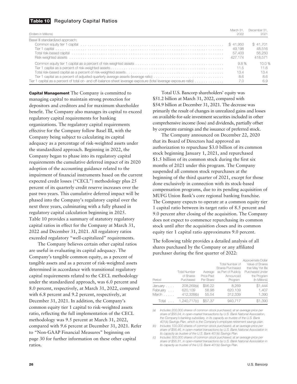## **Table 10 Regulatory Capital Ratios**

| (Dollars in Millions)            | March 31.<br>2022 | December 31. |
|----------------------------------|-------------------|--------------|
| Basel III standardized approach: |                   |              |
|                                  | \$41.950          | \$41.701     |
|                                  | 49.198            | 48.516       |
|                                  | 57,403            | 56,250       |
|                                  | 427.174           | 418.571      |
|                                  | 9.8%              | 100%         |
|                                  | 11.5              | 11.6         |
|                                  | 13.4              | 13.4         |
|                                  | 8.6               | 86           |
|                                  | 7.0               | 69           |

<span id="page-27-0"></span>**Capital Management** The Company is committed to managing capital to maintain strong protection for depositors and creditors and for maximum shareholder benefit. The Company also manages its capital to exceed regulatory capital requirements for banking organizations. The regulatory capital requirements effective for the Company follow Basel III, with the Company being subject to calculating its capital adequacy as a percentage of risk-weighted assets under the standardized approach. Beginning in 2022, the Company began to phase into its regulatory capital requirements the cumulative deferred impact of its 2020 adoption of the accounting guidance related to the impairment of financial instruments based on the current expected credit losses ("CECL") methodology plus 25 percent of its quarterly credit reserve increases over the past two years. This cumulative deferred impact will be phased into the Company's regulatory capital over the next three years, culminating with a fully phased in regulatory capital calculation beginning in 2025. Table 10 provides a summary of statutory regulatory capital ratios in effect for the Company at March 31, 2022 and December 31, 2021. All regulatory ratios exceeded regulatory "well-capitalized" requirements.

The Company believes certain other capital ratios are useful in evaluating its capital adequacy. The Company's tangible common equity, as a percent of tangible assets and as a percent of risk-weighted assets determined in accordance with transitional regulatory capital requirements related to the CECL methodology under the standardized approach, was 6.0 percent and 8.0 percent, respectively, at March 31, 2022, compared with 6.8 percent and 9.2 percent, respectively, at December 31, 2021. In addition, the Company's common equity tier 1 capital to risk-weighted assets ratio, reflecting the full implementation of the CECL methodology was 9.5 percent at March 31, 2022, compared with 9.6 percent at December 31, 2021. Refer to "Non-GAAP Financial Measures" beginning on page 30 for further information on these other capital ratios.

Total U.S. Bancorp shareholders' equity was \$51.2 billion at March 31, 2022, compared with \$54.9 billion at December 31, 2021. The decrease was primarily the result of changes in unrealized gains and losses on available-for-sale investment securities included in other comprehensive income (loss) and dividends, partially offset by corporate earnings and the issuance of preferred stock.

The Company announced on December 22, 2020 that its Board of Directors had approved an authorization to repurchase \$3.0 billion of its common stock beginning January 1, 2021, and repurchased \$1.5 billion of its common stock during the first six months of 2021 under this program. The Company suspended all common stock repurchases at the beginning of the third quarter of 2021, except for those done exclusively in connection with its stock-based compensation programs, due to its pending acquisition of MUFG Union Bank's core regional banking franchise. The Company expects to operate at a common equity tier 1 capital ratio between its target ratio of 8.5 percent and 9.0 percent after closing of the acquisition. The Company does not expect to commence repurchasing its common stock until after the acquisition closes and its common equity tier 1 capital ratio approximates 9.0 percent.

The following table provides a detailed analysis of all shares purchased by the Company or any affiliated purchaser during the first quarter of 2022:

|                            |                     |            |                     | Approximate Dollar |
|----------------------------|---------------------|------------|---------------------|--------------------|
|                            |                     |            | Total Number of     | Value of Shares    |
|                            |                     |            | Shares Purchased    | that May Yet Be    |
|                            | <b>Total Number</b> | Average    | as Part of Publicly | Purchased Under    |
|                            | of Shares           | Price Paid | Announced           | the Program        |
| Period                     | Purchased           | Per Share  | Program             | (In Millions)      |
| January $\ldots$ .         | 208,269(a)          | \$56.22    | 8.269               | \$1,444            |
| February<br><b>College</b> | 620.109             | 58.98      | 620.109             | 1.407              |
| March $\ldots$             | 412.339(b)          | 55.54      | 312.339             | 1.390              |
| Total                      | 1,240,717(c)        | \$57.37    | 940,717             | \$1,390            |

*(a) Includes 200,000 shares of common stock purchased, at an average price per share of \$56.24, in open-market transactions by U.S. Bank National Association, the Company's banking subsidiary, in its capacity as trustee of the U.S. Bank 401(k) Savings Plan, which is the Company's employee retirement savings plan.*

*(b) Includes 100,000 shares of common stock purchased, at an average price per share of \$56.46, in open-market transactions by U.S. Bank National Association in its capacity as trustee of the U.S. Bank 401(k) Savings Plan.*

*(c) Includes 300,000 shares of common stock purchased, at an average price per share of \$56.31, in open-market transactions by U.S. Bank National Association in its capacity as trustee of the U.S. Bank 401(k) Savings Plan.*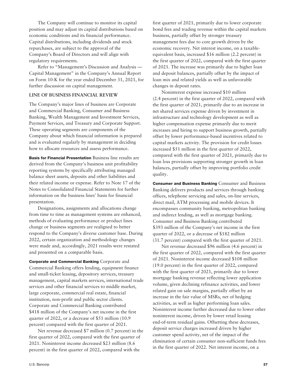The Company will continue to monitor its capital position and may adjust its capital distributions based on economic conditions and its financial performance. Capital distributions, including dividends and stock repurchases, are subject to the approval of the Company's Board of Directors and will align with regulatory requirements.

Refer to "Management's Discussion and Analysis — Capital Management" in the Company's Annual Report on Form 10-K for the year ended December 31, 2021, for further discussion on capital management.

#### <span id="page-28-0"></span>**LINE OF BUSINESS FINANCIAL REVIEW**

The Company's major lines of business are Corporate and Commercial Banking, Consumer and Business Banking, Wealth Management and Investment Services, Payment Services, and Treasury and Corporate Support. These operating segments are components of the Company about which financial information is prepared and is evaluated regularly by management in deciding how to allocate resources and assess performance.

**Basis for Financial Presentation** Business line results are derived from the Company's business unit profitability reporting systems by specifically attributing managed balance sheet assets, deposits and other liabilities and their related income or expense. Refer to Note 17 of the Notes to Consolidated Financial Statements for further information on the business lines' basis for financial presentation.

Designations, assignments and allocations change from time to time as management systems are enhanced, methods of evaluating performance or product lines change or business segments are realigned to better respond to the Company's diverse customer base. During 2022, certain organization and methodology changes were made and, accordingly, 2021 results were restated and presented on a comparable basis.

**Corporate and Commercial Banking** Corporate and Commercial Banking offers lending, equipment finance and small-ticket leasing, depository services, treasury management, capital markets services, international trade services and other financial services to middle market, large corporate, commercial real estate, financial institution, non-profit and public sector clients. Corporate and Commercial Banking contributed \$418 million of the Company's net income in the first quarter of 2022, or a decrease of \$51 million (10.9 percent) compared with the first quarter of 2021.

Net revenue decreased \$7 million (0.7 percent) in the first quarter of 2022, compared with the first quarter of 2021. Noninterest income decreased \$23 million (8.6 percent) in the first quarter of 2022, compared with the

U.S. Bancorp **27**

first quarter of 2021, primarily due to lower corporate bond fees and trading revenue within the capital markets business, partially offset by stronger treasury management fees due to core growth driven by the economic recovery. Net interest income, on a taxableequivalent basis, increased \$16 million (2.2 percent) in the first quarter of 2022, compared with the first quarter of 2021. The increase was primarily due to higher loan and deposit balances, partially offset by the impact of loan mix and related yields as well as unfavorable changes in deposit rates.

Noninterest expense increased \$10 million (2.4 percent) in the first quarter of 2022, compared with the first quarter of 2021, primarily due to an increase in net shared services expense driven by investment in infrastructure and technology development as well as higher compensation expense primarily due to merit increases and hiring to support business growth, partially offset by lower performance-based incentives related to capital markets activity. The provision for credit losses increased \$51 million in the first quarter of 2022, compared with the first quarter of 2021, primarily due to loan loss provisions supporting stronger growth in loan balances, partially offset by improving portfolio credit quality.

**Consumer and Business Banking** Consumer and Business Banking delivers products and services through banking offices, telephone servicing and sales, on-line services, direct mail, ATM processing and mobile devices. It encompasses community banking, metropolitan banking and indirect lending, as well as mortgage banking. Consumer and Business Banking contributed \$393 million of the Company's net income in the first quarter of 2022, or a decrease of \$182 million (31.7 percent) compared with the first quarter of 2021.

Net revenue decreased \$96 million (4.6 percent) in the first quarter of 2022, compared with the first quarter of 2021. Noninterest income decreased \$108 million (19.0 percent) in the first quarter of 2022, compared with the first quarter of 2021, primarily due to lower mortgage banking revenue reflecting lower application volume, given declining refinance activities, and lower related gain on sale margins, partially offset by an increase in the fair value of MSRs, net of hedging activities, as well as higher performing loan sales. Noninterest income further decreased due to lower other noninterest income, driven by lower retail leasing end-of-term residual gains. Offsetting these decreases, deposit service charges increased driven by higher customer spend activity, net of the impact of the elimination of certain consumer non-sufficient funds fees in the first quarter of 2022. Net interest income, on a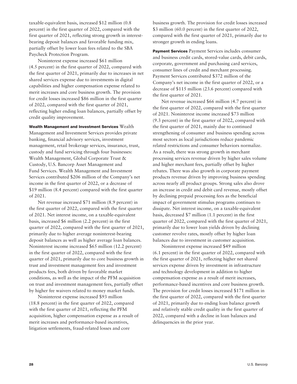taxable-equivalent basis, increased \$12 million (0.8 percent) in the first quarter of 2022, compared with the first quarter of 2021, reflecting strong growth in interestbearing deposit balances and favorable funding mix, partially offset by lower loan fees related to the SBA Paycheck Protection Program.

Noninterest expense increased \$61 million (4.5 percent) in the first quarter of 2022, compared with the first quarter of 2021, primarily due to increases in net shared services expense due to investments in digital capabilities and higher compensation expense related to merit increases and core business growth. The provision for credit losses increased \$86 million in the first quarter of 2022, compared with the first quarter of 2021, reflecting higher ending loan balances, partially offset by credit quality improvement.

**Wealth Management and Investment Services** Wealth Management and Investment Services provides private banking, financial advisory services, investment management, retail brokerage services, insurance, trust, custody and fund servicing through four businesses: Wealth Management, Global Corporate Trust & Custody, U.S. Bancorp Asset Management and Fund Services. Wealth Management and Investment Services contributed \$206 million of the Company's net income in the first quarter of 2022, or a decrease of \$19 million (8.4 percent) compared with the first quarter of 2021.

Net revenue increased \$71 million (8.9 percent) in the first quarter of 2022, compared with the first quarter of 2021. Net interest income, on a taxable-equivalent basis, increased \$6 million (2.2 percent) in the first quarter of 2022, compared with the first quarter of 2021, primarily due to higher average noninterest-bearing deposit balances as well as higher average loan balances. Noninterest income increased \$65 million (12.2 percent) in the first quarter of 2022, compared with the first quarter of 2021, primarily due to core business growth in trust and investment management fees and investment products fees, both driven by favorable market conditions, as well as the impact of the PFM acquisition on trust and investment management fees, partially offset by higher fee waivers related to money market funds.

Noninterest expense increased \$93 million (18.8 percent) in the first quarter of 2022, compared with the first quarter of 2021, reflecting the PFM acquisition, higher compensation expense as a result of merit increases and performance-based incentives, litigation settlements, fraud-related losses and core

business growth. The provision for credit losses increased \$3 million (60.0 percent) in the first quarter of 2022, compared with the first quarter of 2021, primarily due to stronger growth in ending loans.

**Payment Services** Payment Services includes consumer and business credit cards, stored-value cards, debit cards, corporate, government and purchasing card services, consumer lines of credit and merchant processing. Payment Services contributed \$372 million of the Company's net income in the first quarter of 2022, or a decrease of \$115 million (23.6 percent) compared with the first quarter of 2021.

Net revenue increased \$66 million (4.7 percent) in the first quarter of 2022, compared with the first quarter of 2021. Noninterest income increased \$73 million (9.3 percent) in the first quarter of 2022, compared with the first quarter of 2021, mainly due to continued strengthening of consumer and business spending across most sectors as local jurisdictions reduce pandemic related restrictions and consumer behaviors normalize. As a result, there was strong growth in merchant processing services revenue driven by higher sales volume and higher merchant fees, partially offset by higher rebates. There was also growth in corporate payment products revenue driven by improving business spending across nearly all product groups. Strong sales also drove an increase in credit and debit card revenue, mostly offset by declining prepaid processing fees as the beneficial impact of government stimulus programs continues to dissipate. Net interest income, on a taxable-equivalent basis, decreased \$7 million (1.1 percent) in the first quarter of 2022, compared with the first quarter of 2021, primarily due to lower loan yields driven by declining customer revolve rates, mostly offset by higher loan balances due to investment in customer acquisition.

Noninterest expense increased \$49 million (6.1 percent) in the first quarter of 2022, compared with the first quarter of 2021, reflecting higher net shared services expense driven by investment in infrastructure and technology development in addition to higher compensation expense as a result of merit increases, performance-based incentives and core business growth. The provision for credit losses increased \$171 million in the first quarter of 2022, compared with the first quarter of 2021, primarily due to ending loan balance growth and relatively stable credit quality in the first quarter of 2022, compared with a decline in loan balances and delinquencies in the prior year.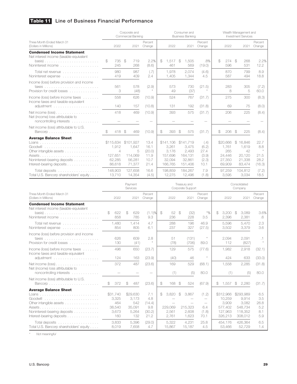# **Table 11 Line of Business Financial Performance**

|                                                                                                                      |                                                                     | Corporate and<br>Commercial Banking                    |                                                |                                                             | Consumer and<br><b>Business Banking</b> |                                                |                                                 |                                                        | Wealth Management and<br><b>Investment Services</b>   |                                       |
|----------------------------------------------------------------------------------------------------------------------|---------------------------------------------------------------------|--------------------------------------------------------|------------------------------------------------|-------------------------------------------------------------|-----------------------------------------|------------------------------------------------|-------------------------------------------------|--------------------------------------------------------|-------------------------------------------------------|---------------------------------------|
| Three Month Ended March 31<br>(Dollars in Millions)                                                                  | 2022                                                                | 2021                                                   | Percent<br>Change                              | 2022                                                        |                                         | 2021                                           | Percent<br>Change                               | 2022                                                   | 2021                                                  | Percent<br>Change                     |
| <b>Condensed Income Statement</b><br>Net interest income (taxable-equivalent<br>Noninterest income                   | 735<br>S.<br>245                                                    | $\mathbb{S}$<br>719<br>268                             | 2.2%<br>(8.6)                                  | $\mathcal{F}$<br>1.517<br>461                               | $\mathcal{L}$                           | 1.505<br>569                                   | .8%<br>(19.0)                                   | \$<br>$274 \text{ } $$<br>596                          | 268<br>531                                            | 2.2%<br>12.2                          |
| Total net revenue<br>Noninterest expense                                                                             | 980<br>419                                                          | 987<br>409                                             | (.7)<br>2.4                                    | 1,978<br>1,405                                              |                                         | 2,074<br>1,344                                 | (4.6)<br>4.5                                    | 870<br>587                                             | 799<br>494                                            | 8.9<br>18.8                           |
| Income (loss) before provision and income<br>Provision for credit losses                                             | 561<br>3                                                            | 578<br>(48)                                            | (2.9)                                          | 573                                                         | 49                                      | 730<br>(37)                                    | (21.5)                                          | 283<br>8                                               | 305<br>5                                              | (7.2)<br>60.0                         |
| Income (loss) before income taxes<br>Income taxes and taxable-equivalent                                             | 558<br>140                                                          | 626<br>157                                             | (10.9)<br>(10.8)                               | 524<br>131                                                  |                                         | 767<br>192                                     | (31.7)<br>(31.8)                                | 275<br>69                                              | 300<br>75                                             | (8.3)<br>(8.0)                        |
| Net income $(\text{loss})$<br>Net (income) loss attributable to<br>noncontrolling interests                          | 418                                                                 | 469                                                    | (10.9)                                         | 393                                                         |                                         | 575                                            | (31.7)                                          | 206                                                    | 225                                                   | (8.4)                                 |
| Net income (loss) attributable to U.S.                                                                               | 418 \$<br>$\mathcal{F}$                                             | 469                                                    | (10.9)                                         | \$.                                                         | 393 \$                                  | 575                                            | (31.7)                                          | \$<br>$206$ \$                                         | 225                                                   | (8.4)                                 |
| <b>Average Balance Sheet</b><br>Other intangible assets<br>Noninterest-bearing deposits<br>Interest-bearing deposits | \$115.634<br>1.912<br>$\overline{4}$<br>127,651<br>62.285<br>86,618 | \$101.927<br>1,647<br>5<br>114,069<br>56,281<br>71,377 | 13.4<br>16.1<br>(20.0)<br>11.9<br>10.7<br>21.4 | \$141.106<br>3,261<br>3,176<br>157,696<br>32.094<br>166,765 | \$141.719                               | 3,475<br>2,493<br>164,131<br>32,861<br>151,406 | (.4)<br>(6.2)<br>27.4<br>(3.9)<br>(2.3)<br>10.1 | \$20,666<br>1.761<br>265<br>24,446<br>27.350<br>69,909 | \$16,846<br>1.619<br>42<br>20,120<br>21.338<br>83,474 | 22.7<br>8.8<br>21.5<br>28.2<br>(16.3) |
| Total deposits<br>Total U.S. Bancorp shareholders' equity                                                            | 148,903<br>13,710                                                   | 127.658<br>14,354                                      | 16.6<br>(4.5)                                  | 198,859<br>12,275                                           |                                         | 184.267<br>12,496                              | 7.9<br>(1.8)                                    | 97,259<br>3,595                                        | 104,812<br>3,034                                      | (7.2)<br>18.5                         |

|                                                                                                                      |                                                    | Payment<br>Services                                |                                               |                                          | Treasury and<br>Corporate Support                   |                                                           |                                                               | Consolidated<br>Company                                      |                                         |
|----------------------------------------------------------------------------------------------------------------------|----------------------------------------------------|----------------------------------------------------|-----------------------------------------------|------------------------------------------|-----------------------------------------------------|-----------------------------------------------------------|---------------------------------------------------------------|--------------------------------------------------------------|-----------------------------------------|
| Three Month Ended March 31<br>(Dollars in Millions)                                                                  | 2022                                               | 2021                                               | Percent<br>Change                             | 2022                                     | 2021                                                | Percent<br>Change                                         | 2022                                                          | 2021                                                         | Percent<br>Change                       |
| <b>Condensed Income Statement</b><br>Net interest income (taxable-equivalent<br>Noninterest income                   | \$.<br>622<br>858                                  | $\mathcal{S}$<br>629<br>785                        | $(1.1)$ %<br>9.3                              | 52<br>$\mathcal{L}$<br>236               | $\mathcal{F}$<br>(32)<br>228                        | $*96$<br>3.5                                              | 3,200<br>\$.<br>2,396                                         | $\mathcal{L}$<br>3,089<br>2,381                              | 3.6%<br>.6                              |
| Total net revenue<br>Noninterest expense                                                                             | 1.480<br>854                                       | 1.414<br>805                                       | 4.7<br>6.1                                    | 288<br>237                               | 196<br>327                                          | 46.9<br>(27.5)                                            | 5.596<br>3,502                                                | 5.470<br>3,379                                               | 2.3<br>3.6                              |
| Income (loss) before provision and income<br>Provision for credit losses                                             | 626<br>130                                         | 609<br>(41)                                        | 2.8<br>$\star$                                | 51<br>(78)                               | (131)<br>(706)                                      | 89.0                                                      | 2.094<br>112                                                  | 2.091<br>(827)                                               | $\cdot$ 1                               |
| Income (loss) before income taxes<br>Income taxes and taxable-equivalent                                             | 496<br>124                                         | 650<br>163                                         | (23.7)<br>(23.9)                              | 129<br>(40)                              | 575<br>46                                           | (77.6)<br>$\star$                                         | 1.982<br>424                                                  | 2,918<br>633                                                 | (32.1)<br>(33.0)                        |
| Net income $(\text{loss})$<br>Net (income) loss attributable to<br>noncontrolling interests                          | 372                                                | 487                                                | (23.6)                                        | 169<br>(1)                               | 529<br>(5)                                          | (68.1)<br>80.0                                            | 1.558<br>(1)                                                  | 2,285<br>(5)                                                 | (31.8)<br>80.0                          |
| Net income (loss) attributable to U.S.<br>Bancorp                                                                    | 372<br>$^{\circ}$                                  | $\mathbb{S}$<br>487                                | (23.6)                                        | \$                                       | 168 \$<br>524                                       | (67.9)                                                    | $^{\circ}$<br>1,557 \$                                        | 2,280                                                        | (31.7)                                  |
| <b>Average Balance Sheet</b><br>Other intangible assets<br>Noninterest-bearing deposits<br>Interest-bearing deposits | \$31.740<br>3,325<br>464<br>38,540<br>3,673<br>160 | \$29,630<br>3,173<br>542<br>35,091<br>5,264<br>132 | 7.1<br>4.8<br>(14.4)<br>9.8<br>(30.2)<br>21.2 | \$<br>3.820<br>229.069<br>2,561<br>2,761 | $\mathcal{F}$<br>3.867<br>215.323<br>2,608<br>1,623 | (1.2)<br>$\overline{\phantom{m}}$<br>6.4<br>(1.8)<br>70.1 | \$312.966<br>10.259<br>3.909<br>577.402<br>127,963<br>326,213 | \$293.989<br>9,914<br>3.082<br>548.734<br>118,352<br>308,012 | 6.5<br>3.5<br>26.8<br>5.2<br>8.1<br>5.9 |
| Total deposits<br>Total U.S. Bancorp shareholders' equity                                                            | 3,833<br>8,019                                     | 5,396<br>7,658                                     | (29.0)<br>4.7                                 | 5.322<br>15,867                          | 4.231<br>15,187                                     | 25.8<br>4.5                                               | 454.176<br>53.466                                             | 426.364<br>52,729                                            | 6.5<br>1.4                              |

*\* Not meaningful*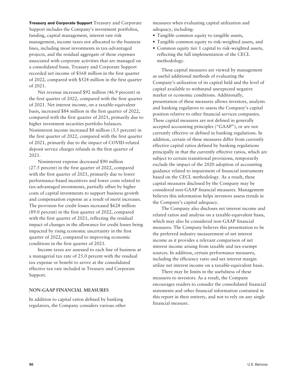**Treasury and Corporate Support** Treasury and Corporate Support includes the Company's investment portfolios, funding, capital management, interest rate risk management, income taxes not allocated to the business lines, including most investments in tax-advantaged projects, and the residual aggregate of those expenses associated with corporate activities that are managed on a consolidated basis. Treasury and Corporate Support recorded net income of \$168 million in the first quarter of 2022, compared with \$524 million in the first quarter of 2021.

Net revenue increased \$92 million (46.9 percent) in the first quarter of 2022, compared with the first quarter of 2021. Net interest income, on a taxable-equivalent basis, increased \$84 million in the first quarter of 2022, compared with the first quarter of 2021, primarily due to higher investment securities portfolio balances. Noninterest income increased \$8 million (3.5 percent) in the first quarter of 2022, compared with the first quarter of 2021, primarily due to the impact of COVID-related deposit service charges refunds in the first quarter of 2021.

Noninterest expense decreased \$90 million (27.5 percent) in the first quarter of 2022, compared with the first quarter of 2021, primarily due to lower performance-based incentives and lower costs related to tax-advantaged investments, partially offset by higher costs of capital investments to support business growth and compensation expense as a result of merit increases. The provision for credit losses increased \$628 million (89.0 percent) in the first quarter of 2022, compared with the first quarter of 2021, reflecting the residual impact of changes in the allowance for credit losses being impacted by rising economic uncertainty in the first quarter of 2022, compared to improving economic conditions in the first quarter of 2021.

Income taxes are assessed to each line of business at a managerial tax rate of 25.0 percent with the residual tax expense or benefit to arrive at the consolidated effective tax rate included in Treasury and Corporate Support.

#### <span id="page-31-0"></span>**NON-GAAP FINANCIAL MEASURES**

In addition to capital ratios defined by banking regulators, the Company considers various other measures when evaluating capital utilization and adequacy, including:

- Tangible common equity to tangible assets,
- Tangible common equity to risk-weighted assets, and
- Common equity tier 1 capital to risk-weighted assets, reflecting the full implementation of the CECL methodology.

These capital measures are viewed by management as useful additional methods of evaluating the Company's utilization of its capital held and the level of capital available to withstand unexpected negative market or economic conditions. Additionally, presentation of these measures allows investors, analysts and banking regulators to assess the Company's capital position relative to other financial services companies. These capital measures are not defined in generally accepted accounting principles ("GAAP"), or are not currently effective or defined in banking regulations. In addition, certain of these measures differ from currently effective capital ratios defined by banking regulations principally in that the currently effective ratios, which are subject to certain transitional provisions, temporarily exclude the impact of the 2020 adoption of accounting guidance related to impairment of financial instruments based on the CECL methodology. As a result, these capital measures disclosed by the Company may be considered non-GAAP financial measures. Management believes this information helps investors assess trends in the Company's capital adequacy.

The Company also discloses net interest income and related ratios and analysis on a taxable-equivalent basis, which may also be considered non-GAAP financial measures. The Company believes this presentation to be the preferred industry measurement of net interest income as it provides a relevant comparison of net interest income arising from taxable and tax-exempt sources. In addition, certain performance measures, including the efficiency ratio and net interest margin utilize net interest income on a taxable-equivalent basis.

There may be limits in the usefulness of these measures to investors. As a result, the Company encourages readers to consider the consolidated financial statements and other financial information contained in this report in their entirety, and not to rely on any single financial measure.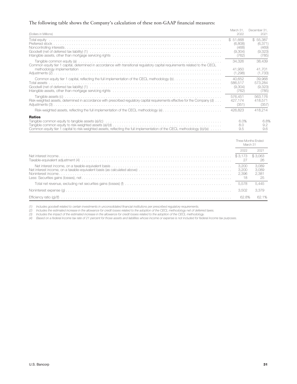### The following table shows the Company's calculation of these non-GAAP financial measures:

| (Dollars in Millions)                                                                                                                                                                                                          | March 31.<br>2022                                | December 31.<br>2021                               |
|--------------------------------------------------------------------------------------------------------------------------------------------------------------------------------------------------------------------------------|--------------------------------------------------|----------------------------------------------------|
| Intangible assets, other than mortgage servicing rights with the content of the content of the service of the m                                                                                                                | \$51,668<br>(6,808)<br>(468)<br>(9,304)<br>(762) | \$ 55,387<br>(6, 371)<br>(469)<br>(9,323)<br>(785) |
| Common equity tier 1 capital, determined in accordance with transitional requlatory capital requirements related to the CECL                                                                                                   | 34.326<br>41.950<br>(1,298)                      | 38,439<br>41.701<br>(1,733)                        |
| Intangible assets, other than mortgage servicing rights (all conditional conditional conditional conditional conditional conditional conditional conditional conditional conditional conditional conditional conditional condi | 40.652<br>586.517<br>(9,304)<br>(762)            | 39.968<br>573.284<br>(9,323)<br>(785)              |
| Risk-weighted assets, determined in accordance with prescribed regulatory capital requirements effective for the Company (d)                                                                                                   | 576.451<br>427.174<br>(351)                      | 563.176<br>418.571<br>(357)                        |
| Risk-weighted assets, reflecting the full implementation of the CECL methodology (e)                                                                                                                                           | 426.823                                          | 418.214                                            |
| <b>Ratios</b><br>Common equity tier 1 capital to risk-weighted assets, reflecting the full implementation of the CECL methodology (b)/(e) $\ldots \ldots$                                                                      | 6.0%<br>8.0<br>9.5                               | 6.8%<br>$9.2^{\circ}$<br>9.6                       |

| Three Months Ended<br>March 31 |                                 |
|--------------------------------|---------------------------------|
| 2022                           | $202 -$                         |
|                                | \$3.063                         |
| 3.200<br>3.200<br>18           | 3.089<br>3.089<br>2.381<br>- 25 |
| 5.578                          | 5.445                           |
| 3.502                          | 3.379                           |
| 62.8%                          | G2 1%                           |

*(1) Includes goodwill related to certain investments in unconsolidated financial institutions per prescribed regulatory requirements.*

*(2) Includes the estimated increase in the allowance for credit losses related to the adoption of the CECL methodology net of deferred taxes.*

*(3) Includes the impact of the estimated increase in the allowance for credit losses related to the adoption of the CECL methodology.*

*(4) Based on a federal income tax rate of 21 percent for those assets and liabilities whose income or expense is not included for federal income tax purposes.*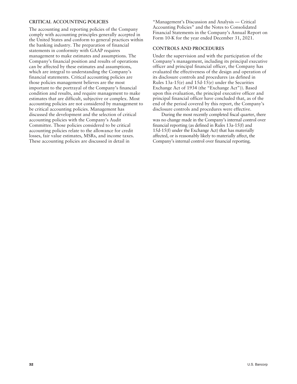#### <span id="page-33-0"></span>**CRITICAL ACCOUNTING POLICIES**

<span id="page-33-1"></span>The accounting and reporting policies of the Company comply with accounting principles generally accepted in the United States and conform to general practices within the banking industry. The preparation of financial statements in conformity with GAAP requires management to make estimates and assumptions. The Company's financial position and results of operations can be affected by these estimates and assumptions, which are integral to understanding the Company's financial statements. Critical accounting policies are those policies management believes are the most important to the portrayal of the Company's financial condition and results, and require management to make estimates that are difficult, subjective or complex. Most accounting policies are not considered by management to be critical accounting policies. Management has discussed the development and the selection of critical accounting policies with the Company's Audit Committee. Those policies considered to be critical accounting policies relate to the allowance for credit losses, fair value estimates, MSRs, and income taxes. These accounting policies are discussed in detail in

"Management's Discussion and Analysis — Critical Accounting Policies" and the Notes to Consolidated Financial Statements in the Company's Annual Report on Form 10-K for the year ended December 31, 2021.

#### **CONTROLS AND PROCEDURES**

Under the supervision and with the participation of the Company's management, including its principal executive officer and principal financial officer, the Company has evaluated the effectiveness of the design and operation of its disclosure controls and procedures (as defined in Rules  $13a-15(e)$  and  $15d-15(e)$  under the Securities Exchange Act of 1934 (the "Exchange Act")). Based upon this evaluation, the principal executive officer and principal financial officer have concluded that, as of the end of the period covered by this report, the Company's disclosure controls and procedures were effective.

During the most recently completed fiscal quarter, there was no change made in the Company's internal control over financial reporting (as defined in Rules 13a-15(f) and 15d-15(f) under the Exchange Act) that has materially affected, or is reasonably likely to materially affect, the Company's internal control over financial reporting.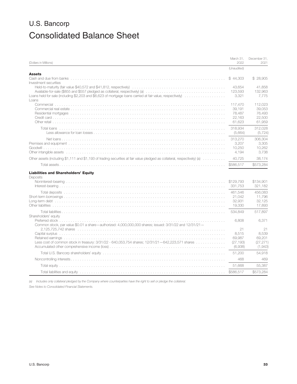# <span id="page-34-0"></span>U.S. Bancorp Consolidated Balance Sheet

| (Dollars in Millions)                                                                                                                                                                                                          | March 31,<br>2022 | December 31,<br>2021 |
|--------------------------------------------------------------------------------------------------------------------------------------------------------------------------------------------------------------------------------|-------------------|----------------------|
|                                                                                                                                                                                                                                | (Unaudited)       |                      |
| <b>Assets</b>                                                                                                                                                                                                                  |                   |                      |
|                                                                                                                                                                                                                                | \$44.303          | \$28,905             |
| Investment securities                                                                                                                                                                                                          | 43.654            | 41.858               |
|                                                                                                                                                                                                                                | 123,593           | 132,963              |
| Loans                                                                                                                                                                                                                          | 3,321             | 7.775                |
|                                                                                                                                                                                                                                | 117.470           | 112,023              |
|                                                                                                                                                                                                                                | 39.191            | 39.053               |
| Residential mortgages researcherences in the control of the control of the control of the control of the control of the control of the control of the control of the control of the control of the control of the control of t | 78,487            | 76,493               |
|                                                                                                                                                                                                                                | 22,163            | 22,500               |
| Other retail business and contact and contact the contact of the contact of the contact of the contact of the contact of the contact of the contact of the contact of the contact of the contact of the contact of the contact | 61,623            | 61,959               |
|                                                                                                                                                                                                                                | 318,934           | 312,028              |
|                                                                                                                                                                                                                                | (5,664)           | (5, 724)             |
|                                                                                                                                                                                                                                | 313.270           | 306.304              |
|                                                                                                                                                                                                                                | 3,207             | 3,305                |
|                                                                                                                                                                                                                                | 10,250<br>4,194   | 10,262<br>3.738      |
|                                                                                                                                                                                                                                |                   |                      |
| Other assets (including \$1,111 and \$1,193 of trading securities at fair value pledged as collateral, respectively) (a)                                                                                                       | 40,725            | 38,174               |
|                                                                                                                                                                                                                                | \$586.517         | \$573.284            |
| <b>Liabilities and Shareholders' Equity</b>                                                                                                                                                                                    |                   |                      |
| Deposits                                                                                                                                                                                                                       | \$129,793         | \$134,901            |
|                                                                                                                                                                                                                                | 331,753           | 321,182              |
|                                                                                                                                                                                                                                | 461,546           | 456.083              |
|                                                                                                                                                                                                                                | 21,042            | 11.796               |
|                                                                                                                                                                                                                                | 32,931            | 32,125               |
|                                                                                                                                                                                                                                | 19,330            | 17,893               |
| Shareholders' equity                                                                                                                                                                                                           | 534.849           | 517.897              |
| Common stock, par value \$0.01 a share—authorized: 4,000,000,000 shares; issued: 3/31/22 and 12/31/21 -                                                                                                                        | 6,808             | 6.371                |
|                                                                                                                                                                                                                                | 21                | 21                   |
|                                                                                                                                                                                                                                | 8,515             | 8,539                |
|                                                                                                                                                                                                                                | 69,987            | 69,201               |
| Less cost of common stock in treasury: 3/31/22 - 640,053,754 shares; 12/31/21 - 642,223,571 shares                                                                                                                             | (27, 193)         | (27, 271)            |
|                                                                                                                                                                                                                                | (6,938)           | (1,943)              |
|                                                                                                                                                                                                                                | 51,200            | 54.918               |
|                                                                                                                                                                                                                                | 468               | 469                  |
|                                                                                                                                                                                                                                | 51,668            | 55,387               |
|                                                                                                                                                                                                                                | \$586.517         | \$573.284            |

*(a) Includes only collateral pledged by the Company where counterparties have the right to sell or pledge the collateral.*

*See Notes to Consolidated Financial Statements.*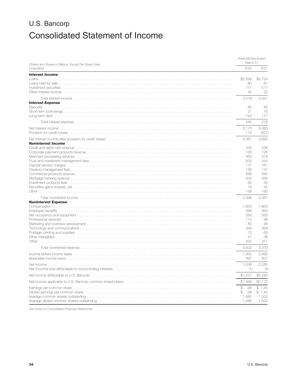# U.S. Bancorp Consolidated Statement of Income

| (Dollars and Shares in Millions, Except Per Share Data)                                                                                                                                                                        | Three Months Ended<br>March 31                            |                                    |
|--------------------------------------------------------------------------------------------------------------------------------------------------------------------------------------------------------------------------------|-----------------------------------------------------------|------------------------------------|
| (Unaudited)                                                                                                                                                                                                                    | 2022                                                      | 2021                               |
| <b>Interest Income</b>                                                                                                                                                                                                         |                                                           |                                    |
|                                                                                                                                                                                                                                | \$2,599<br>60<br>717<br>42                                | \$2,724<br>67<br>517<br>33         |
|                                                                                                                                                                                                                                | 3,418                                                     | 3,341                              |
| <b>Interest Expense</b>                                                                                                                                                                                                        |                                                           |                                    |
|                                                                                                                                                                                                                                | 80<br>21<br>144                                           | 85<br>16<br>177                    |
|                                                                                                                                                                                                                                | 245                                                       | 278                                |
|                                                                                                                                                                                                                                | 3.173<br>112                                              | 3.063<br>(827)                     |
| <b>Noninterest Income</b>                                                                                                                                                                                                      | 3,061                                                     | 3,890                              |
|                                                                                                                                                                                                                                | 338<br>158<br>363                                         | 336<br>126<br>318                  |
| Trust and investment management fees with contact to contact the contact of the contact of the contact fees and investment fees and contact the contact of the contact of the contact of the contact of the contact of the con | 500<br>177<br>156                                         | 444<br>161<br>147                  |
|                                                                                                                                                                                                                                | 266<br>200                                                | 280<br>299                         |
|                                                                                                                                                                                                                                | 62<br>18<br>158                                           | 55<br>25<br>190                    |
| Total noninterest income (and a contract contract contract contract contract contract contract contract contract contract contract contract contract contract contract contract contract contract contract contract contract c | 2,396                                                     | 2,381                              |
| <b>Noninterest Expense</b>                                                                                                                                                                                                     |                                                           |                                    |
|                                                                                                                                                                                                                                | 1,853<br>396<br>269                                       | 1,803<br>384<br>263                |
|                                                                                                                                                                                                                                | 114<br>-80<br>349                                         | 98<br>48<br>359                    |
|                                                                                                                                                                                                                                | 72<br>47<br>322                                           | 69<br>38<br>317                    |
|                                                                                                                                                                                                                                | 3,502                                                     | 3,379                              |
|                                                                                                                                                                                                                                | 1,955<br>397                                              | 2.892<br>607                       |
|                                                                                                                                                                                                                                | 1,558<br>(1)                                              | 2.285<br>(5)                       |
| Net income attributable to U.S. Bancorp ……………………………………………………………………………………………                                                                                                                                                    | \$1,557                                                   | \$2,280                            |
| Net income applicable to U.S. Bancorp common shareholders with the state of the state of the state of the state of the state of the state of the state of the state of the state of the state of the state of the state of the | \$1,466                                                   | \$2,175                            |
|                                                                                                                                                                                                                                | $\mathbb S$<br>.99<br>$^{\circ}$<br>.99<br>1,485<br>1,486 | \$1.45<br>\$1.45<br>1,502<br>1,503 |

*See Notes to Consolidated Financial Statements.*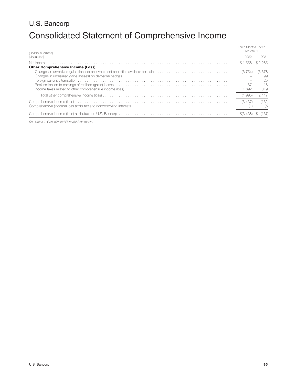# U.S. Bancorp Consolidated Statement of Comprehensive Income

| (Dollars in Millions)                    | Three Months Ended<br>March 31 |                                   |
|------------------------------------------|--------------------------------|-----------------------------------|
| (Unaudited)                              | 2022                           | 2021                              |
| <b>Other Comprehensive Income (Loss)</b> | \$1.558 \$2.285                |                                   |
|                                          | (6.754)<br>67<br>1,692         | (3.378)<br>-99<br>25<br>18<br>819 |
|                                          | (4,995)                        | (2.417)                           |
|                                          | (3.437)                        | (132)<br>(5)                      |
|                                          |                                |                                   |

*See Notes to Consolidated Financial Statements.*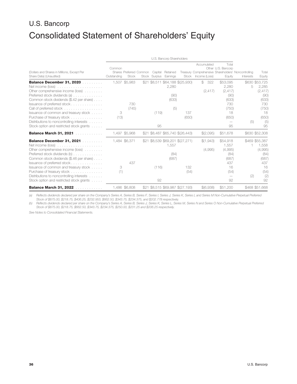# U.S. Bancorp Consolidated Statement of Shareholders' Equity

|                                                                                                                                                                                                                                                                                                                                                                                                                                 | U.S. Bancorp Shareholders |                                  |  |                          |                               |                                                  |                                    |                      |                                                                                     |                                                                  |                                                                                                  |
|---------------------------------------------------------------------------------------------------------------------------------------------------------------------------------------------------------------------------------------------------------------------------------------------------------------------------------------------------------------------------------------------------------------------------------|---------------------------|----------------------------------|--|--------------------------|-------------------------------|--------------------------------------------------|------------------------------------|----------------------|-------------------------------------------------------------------------------------|------------------------------------------------------------------|--------------------------------------------------------------------------------------------------|
| (Dollars and Shares in Millions, Except Per<br>Share Data) (Unaudited)                                                                                                                                                                                                                                                                                                                                                          | Common<br>Outstanding     | Shares Preferred Common<br>Stock |  | Capital<br>Stock Surplus | Retained<br>Earnings          |                                                  | Accumulated<br>Stock Income (Loss) |                      | Total<br>Other U.S. Bancoro<br>Equity                                               | Treasury Comprehensive Shareholders' Noncontrolling<br>Interests | Total<br>Equity                                                                                  |
| Balance December 31, 2020<br>Net income (loss) $\ldots \ldots \ldots \ldots \ldots$<br>Other comprehensive income (loss)<br>Preferred stock dividends (a)<br>Common stock dividends (\$.42 per share)<br>Issuance of preferred stock<br>Call of preferred stock<br>Issuance of common and treasury stock<br>Purchase of treasury stock<br>Distributions to noncontrolling interests<br>Stock option and restricted stock grants | 3<br>(13)                 | 1,507 \$5,983<br>730<br>(745)    |  | (119)<br>95              | 2,280<br>(90)<br>(633)<br>(5) | \$21 \$8,511 \$64,188 \$(25,930)<br>137<br>(650) | $\mathbb{S}$                       | 322<br>(2, 417)      | \$53.095<br>2,280<br>(2, 417)<br>(90)<br>(633)<br>730<br>(750)<br>18<br>(650)<br>95 | 5<br>(5)                                                         | \$630 \$53,725<br>2,285<br>(2, 417)<br>(90)<br>(633)<br>730<br>(750)<br>18<br>(650)<br>(5)<br>95 |
| <b>Balance March 31, 2021 Contract Balance March 31, 2021</b>                                                                                                                                                                                                                                                                                                                                                                   |                           | 1,497 \$5,968                    |  |                          |                               | \$21 \$8,487 \$65,740 \$(26,443)                 |                                    | \$(2,095)            | \$51,678                                                                            |                                                                  | \$630 \$52,308                                                                                   |
| Balance December 31, 2021<br>Net income (loss) $\ldots \ldots \ldots \ldots \ldots \ldots$<br>Other comprehensive income (loss)<br>Preferred stock dividends (b)<br>Common stock dividends (\$.46 per share)<br>Issuance of preferred stock<br>Issuance of common and treasury stock<br>Purchase of treasury stock<br>Distributions to noncontrolling interests<br>Stock option and restricted stock grants                     | 3<br>(1)                  | 1,484 \$6,371<br>437             |  | (116)<br>92              | 1,557<br>(84)<br>(687)        | \$21 \$8,539 \$69,201 \$(27,271)<br>132<br>(54)  |                                    | \$(1,943)<br>(4,995) | \$54,918<br>1.557<br>(4,995)<br>(84)<br>(687)<br>437<br>16<br>(54)<br>92            | (2)                                                              | \$469 \$55,387<br>1,558<br>(4,995)<br>(84)<br>(687)<br>437<br>16<br>(54)<br>(2)<br>92            |
| <b>Balance March 31, 2022 Contract Balance March 31, 2022</b>                                                                                                                                                                                                                                                                                                                                                                   |                           | 1,486 \$6,808                    |  |                          |                               | \$21 \$8,515 \$69,987 \$(27,193)                 |                                    | \$(6,938)            | \$51,200                                                                            |                                                                  | \$468 \$51,668                                                                                   |

*(a) Reflects dividends declared per share on the Company's Series A, Series B, Series F, Series I, Series J, Series K, Series L and Series M Non-Cumulative Perpetual Preferred Stock of \$875.00, \$218.75, \$406.25, \$232.953, \$662.50, \$343.75, \$234.375, and \$202.778 respectively.*

*(b) Reflects dividends declared per share on the Company's Series A, Series B, Series J, Series K, Series L, Series M, Series N and Series O Non-Cumulative Perpetual Preferred Stock of \$875.00, \$218.75, \$662.50, \$343.75, \$234.375, \$250.00, \$231.25 and \$206.25 respectively.*

*See Notes to Consolidated Financial Statements.*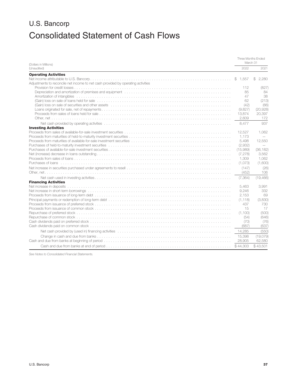## U.S. Bancorp Consolidated Statement of Cash Flows

| (Dollars in Millions)                                                                                                                                                                                                          | March 31 | Three Months Ended    |
|--------------------------------------------------------------------------------------------------------------------------------------------------------------------------------------------------------------------------------|----------|-----------------------|
| (Unaudited)                                                                                                                                                                                                                    | 2022     | 2021                  |
| <b>Operating Activities</b>                                                                                                                                                                                                    |          |                       |
| Adjustments to reconcile net income to net cash provided by operating activities                                                                                                                                               | \$1,557  | $\mathbb{S}$<br>2.280 |
|                                                                                                                                                                                                                                | 112      | (827)                 |
|                                                                                                                                                                                                                                | 85       | 84                    |
|                                                                                                                                                                                                                                | 47       | 38                    |
| (Gain) loss on sale of loans held for sale (a) and a contract of the contract of the same of sales of sales of loans held for sale (b) and contract and contract of the same of Gain) loss on sales of $\sim$                  | 62       | (213)                 |
|                                                                                                                                                                                                                                | (42)     | (66)                  |
|                                                                                                                                                                                                                                | (9,827)  | (20, 928)             |
|                                                                                                                                                                                                                                | 13,874   | 20,397                |
|                                                                                                                                                                                                                                | 2,609    | 172                   |
| <b>Investing Activities</b>                                                                                                                                                                                                    | 8.477    | 937                   |
|                                                                                                                                                                                                                                | 12,527   | 1.062                 |
|                                                                                                                                                                                                                                | 1.173    |                       |
|                                                                                                                                                                                                                                | 5,498    | 12,550                |
|                                                                                                                                                                                                                                | (2,932)  | $\frac{1}{2}$         |
|                                                                                                                                                                                                                                | (15,989) | (36.182)              |
|                                                                                                                                                                                                                                | (7, 278) | 3,562                 |
|                                                                                                                                                                                                                                | 1,309    | 1.062                 |
|                                                                                                                                                                                                                                | (1,073)  | (1,600)               |
|                                                                                                                                                                                                                                | (147)    | (26)                  |
|                                                                                                                                                                                                                                | (452)    | 106                   |
|                                                                                                                                                                                                                                | (7, 364) | (19.466)              |
| <b>Financing Activities</b>                                                                                                                                                                                                    |          |                       |
|                                                                                                                                                                                                                                | 5.463    | 3,991                 |
|                                                                                                                                                                                                                                | 9.246    | 332                   |
|                                                                                                                                                                                                                                | 2,153    | 69                    |
|                                                                                                                                                                                                                                | (1, 118) | (3,830)               |
|                                                                                                                                                                                                                                | 437      | 730                   |
|                                                                                                                                                                                                                                | 15       | 17                    |
|                                                                                                                                                                                                                                | (1,100)  | (500)                 |
|                                                                                                                                                                                                                                | (54)     | (646)                 |
|                                                                                                                                                                                                                                | (70)     | (76)                  |
|                                                                                                                                                                                                                                | (687)    | (637)                 |
| Net cash provided by (used in) financing activities with the state of the state of the state of the state of the state of the state of the state of the state of the state of the state of the state of the state of the state | 14,285   | (550)                 |
|                                                                                                                                                                                                                                | 15.398   | (19,079)              |
|                                                                                                                                                                                                                                | 28,905   | 62,580                |
|                                                                                                                                                                                                                                | \$44.303 | \$43,501              |

*See Notes to Consolidated Financial Statements.*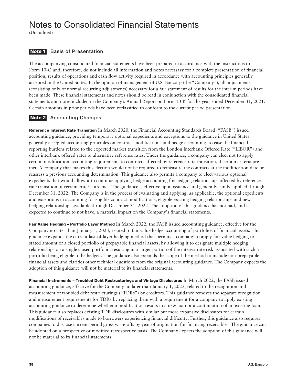## Notes to Consolidated Financial Statements

(Unaudited)

## **Note 1 Basis of Presentation**

The accompanying consolidated financial statements have been prepared in accordance with the instructions to Form 10-Q and, therefore, do not include all information and notes necessary for a complete presentation of financial position, results of operations and cash flow activity required in accordance with accounting principles generally accepted in the United States. In the opinion of management of U.S. Bancorp (the "Company"), all adjustments (consisting only of normal recurring adjustments) necessary for a fair statement of results for the interim periods have been made. These financial statements and notes should be read in conjunction with the consolidated financial statements and notes included in the Company's Annual Report on Form 10-K for the year ended December 31, 2021. Certain amounts in prior periods have been reclassified to conform to the current period presentation.

## **Note 2 Accounting Changes**

**Reference Interest Rate Transition** In March 2020, the Financial Accounting Standards Board ("FASB") issued accounting guidance, providing temporary optional expedients and exceptions to the guidance in United States generally accepted accounting principles on contract modifications and hedge accounting, to ease the financial reporting burdens related to the expected market transition from the London Interbank Offered Rate ("LIBOR") and other interbank offered rates to alternative reference rates. Under the guidance, a company can elect not to apply certain modification accounting requirements to contracts affected by reference rate transition, if certain criteria are met. A company that makes this election would not be required to remeasure the contracts at the modification date or reassess a previous accounting determination. This guidance also permits a company to elect various optional expedients that would allow it to continue applying hedge accounting for hedging relationships affected by reference rate transition, if certain criteria are met. The guidance is effective upon issuance and generally can be applied through December 31, 2022. The Company is in the process of evaluating and applying, as applicable, the optional expedients and exceptions in accounting for eligible contract modifications, eligible existing hedging relationships and new hedging relationships available through December 31, 2022. The adoption of this guidance has not had, and is expected to continue to not have, a material impact on the Company's financial statements.

**Fair Value Hedging – Portfolio Layer Method** In March 2022, the FASB issued accounting guidance, effective for the Company no later than January 1, 2023, related to fair value hedge accounting of portfolios of financial assets. This guidance expands the current last-of-layer hedging method that permits a company to apply fair value hedging to a stated amount of a closed portfolio of prepayable financial assets, by allowing it to designate multiple hedging relationships on a single closed portfolio, resulting in a larger portion of the interest rate risk associated with such a portfolio being eligible to be hedged. The guidance also expands the scope of the method to include non-prepayable financial assets and clarifies other technical questions from the original accounting guidance. The Company expects the adoption of this guidance will not be material to its financial statements.

**Financial Instruments – Troubled Debt Restructurings and Vintage Disclosures** In March 2022, the FASB issued accounting guidance, effective for the Company no later than January 1, 2023, related to the recognition and measurement of troubled debt restructurings ("TDRs") by creditors. This guidance removes the separate recognition and measurement requirements for TDRs by replacing them with a requirement for a company to apply existing accounting guidance to determine whether a modification results in a new loan or a continuation of an existing loan. This guidance also replaces existing TDR disclosures with similar but more expansive disclosures for certain modifications of receivables made to borrowers experiencing financial difficulty. Further, this guidance also requires companies to disclose current-period gross write-offs by year of origination for financing receivables. The guidance can be adopted on a prospective or modified retrospective basis. The Company expects the adoption of this guidance will not be material to its financial statements.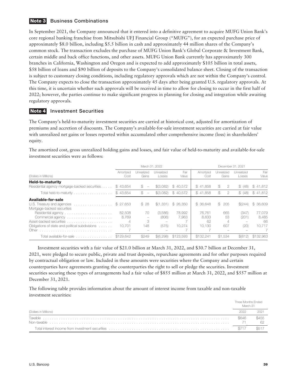## **Note 3 Business Combinations**

In September 2021, the Company announced that it entered into a definitive agreement to acquire MUFG Union Bank's core regional banking franchise from Mitsubishi UFJ Financial Group ("MUFG"), for an expected purchase price of approximately \$8.0 billion, including \$5.5 billion in cash and approximately 44 million shares of the Company's common stock. The transaction excludes the purchase of MUFG Union Bank's Global Corporate & Investment Bank, certain middle and back office functions, and other assets. MUFG Union Bank currently has approximately 300 branches in California, Washington and Oregon and is expected to add approximately \$105 billion in total assets, \$58 billion of loans and \$90 billion of deposits to the Company's consolidated balance sheet. Closing of the transaction is subject to customary closing conditions, including regulatory approvals which are not within the Company's control. The Company expects to close the transaction approximately 45 days after being granted U.S. regulatory approvals. At this time, it is uncertain whether such approvals will be received in time to allow for closing to occur in the first half of 2022; however, the parties continue to make significant progress in planning for closing and integration while awaiting regulatory approvals.

## **Note 4 Investment Securities**

The Company's held-to-maturity investment securities are carried at historical cost, adjusted for amortization of premiums and accretion of discounts. The Company's available-for-sale investment securities are carried at fair value with unrealized net gains or losses reported within accumulated other comprehensive income (loss) in shareholders' equity.

The amortized cost, gross unrealized holding gains and losses, and fair value of held-to-maturity and available-for-sale investment securities were as follows:

|                                                                                                                                   |                                            |                                | March 31, 2022                                    |                                       |                                              | December 31, 2021                  |                                   |                                              |  |
|-----------------------------------------------------------------------------------------------------------------------------------|--------------------------------------------|--------------------------------|---------------------------------------------------|---------------------------------------|----------------------------------------------|------------------------------------|-----------------------------------|----------------------------------------------|--|
| (Dollars in Millions)                                                                                                             | Amortized<br>Cost                          | Unrealized<br>Gains            | Unrealized<br>Losses                              | Fair<br>Value                         | Amortized<br>Cost                            | Unrealized<br>Gains                | Unrealized<br>Losses              | Fair<br>Value                                |  |
| <b>Held-to-maturity</b><br>Residential agency mortgage-backed securities                                                          | \$43,654                                   | \$<br>$\overline{\phantom{0}}$ | $\Im(3,082)$                                      | \$40,572                              | \$41.858                                     | \$<br>2                            | \$ (48)                           | \$41,812                                     |  |
| Total held-to-maturity                                                                                                            | \$43,654                                   | \$<br>$\overline{\phantom{0}}$ | $\Im(3,082)$                                      | \$40,572                              | \$41.858                                     | $\mathcal{L}$<br>$\mathcal{P}$     | \$ (48)                           | \$41.812                                     |  |
| Available-for-sale<br>U.S. Treasury and agencies<br>Mortgage-backed securities<br>Obligations of state and political subdivisions | \$27.653<br>82.508<br>8.769<br>4<br>10.701 | \$28<br>70<br>-<br>3<br>148    | $\frac{1}{2}(1,331)$<br>(3.586)<br>(806)<br>(575) | \$26,350<br>78.992<br>7.963<br>10.274 | \$ 36,648<br>76.761<br>8.633<br>62<br>10.130 | \$<br>205<br>665<br>53<br>4<br>607 | \$(244)<br>(347)<br>(201)<br>(20) | \$ 36,609<br>77.079<br>8,485<br>66<br>10.717 |  |
| Other<br>Total available-for-sale                                                                                                 | \$129.642                                  | \$249                          | \$(6.298)                                         | \$123,593                             | \$132.241                                    | \$1,534                            | \$ (812)                          | \$132,963                                    |  |

Investment securities with a fair value of \$21.0 billion at March 31, 2022, and \$30.7 billion at December 31, 2021, were pledged to secure public, private and trust deposits, repurchase agreements and for other purposes required by contractual obligation or law. Included in these amounts were securities where the Company and certain counterparties have agreements granting the counterparties the right to sell or pledge the securities. Investment securities securing these types of arrangements had a fair value of \$855 million at March 31, 2022, and \$557 million at December 31, 2021.

The following table provides information about the amount of interest income from taxable and non-taxable investment securities:

|                        | Three Months Ended<br>March 31 |         |
|------------------------|--------------------------------|---------|
| (Dollars in Millions)  | 2022                           | $202^*$ |
| Taxable<br>Non-taxable | \$646                          | \$455   |
|                        |                                | \$51    |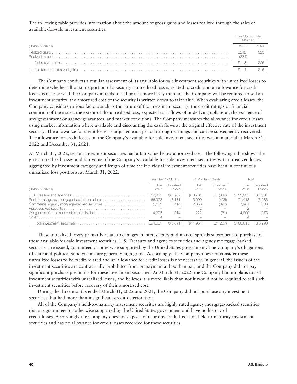The following table provides information about the amount of gross gains and losses realized through the sales of available-for-sale investment securities:

|                       | Three Months Ended<br>March 31 |     |
|-----------------------|--------------------------------|-----|
| (Dollars in Millions) | 2022                           | 202 |
|                       | \$242<br>(224)                 |     |
|                       | \$18                           |     |
|                       | $\mathcal{R}$ 4                |     |

The Company conducts a regular assessment of its available-for-sale investment securities with unrealized losses to determine whether all or some portion of a security's unrealized loss is related to credit and an allowance for credit losses is necessary. If the Company intends to sell or it is more likely than not the Company will be required to sell an investment security, the amortized cost of the security is written down to fair value. When evaluating credit losses, the Company considers various factors such as the nature of the investment security, the credit ratings or financial condition of the issuer, the extent of the unrealized loss, expected cash flows of underlying collateral, the existence of any government or agency guarantees, and market conditions. The Company measures the allowance for credit losses using market information where available and discounting the cash flows at the original effective rate of the investment security. The allowance for credit losses is adjusted each period through earnings and can be subsequently recovered. The allowance for credit losses on the Company's available-for-sale investment securities was immaterial at March 31, 2022 and December 31, 2021.

At March 31, 2022, certain investment securities had a fair value below amortized cost. The following table shows the gross unrealized losses and fair value of the Company's available-for-sale investment securities with unrealized losses, aggregated by investment category and length of time the individual investment securities have been in continuous unrealized loss positions, at March 31, 2022:

|                       |                          | Less Than 12 Months                    |                                  | 12 Months or Greater               |                                      | Total                                  |  |
|-----------------------|--------------------------|----------------------------------------|----------------------------------|------------------------------------|--------------------------------------|----------------------------------------|--|
| (Dollars in Millions) | Fair<br>Value            | Unrealized<br>Losses                   | Fair<br>Value                    | Unrealized<br>Losses               | Fair<br>Value                        | <b>Unrealized</b><br>Losses            |  |
|                       | 66,323<br>5.105<br>4.378 | \$ (982)<br>(3, 181)<br>(414)<br>(514) | \$3.784<br>5.090<br>2.856<br>222 | \$ (349)<br>(405)<br>(392)<br>(61) | \$22,635<br>71.413<br>7.961<br>4.600 | \$(1,331)<br>(3,586)<br>(806)<br>(575) |  |
|                       | \$94.661                 | $\$(5.091)$                            | \$11.954                         | \$(1.207)                          | \$106.615                            | \$(6, 298)                             |  |

These unrealized losses primarily relate to changes in interest rates and market spreads subsequent to purchase of these available-for-sale investment securities. U.S. Treasury and agencies securities and agency mortgage-backed securities are issued, guaranteed or otherwise supported by the United States government. The Company's obligations of state and political subdivisions are generally high grade. Accordingly, the Company does not consider these unrealized losses to be credit-related and an allowance for credit losses is not necessary. In general, the issuers of the investment securities are contractually prohibited from prepayment at less than par, and the Company did not pay significant purchase premiums for these investment securities. At March 31, 2022, the Company had no plans to sell investment securities with unrealized losses, and believes it is more likely than not it would not be required to sell such investment securities before recovery of their amortized cost.

During the three months ended March 31, 2022 and 2021, the Company did not purchase any investment securities that had more-than-insignificant credit deterioration.

All of the Company's held-to-maturity investment securities are highly rated agency mortgage-backed securities that are guaranteed or otherwise supported by the United States government and have no history of credit losses. Accordingly the Company does not expect to incur any credit losses on held-to-maturity investment securities and has no allowance for credit losses recorded for these securities.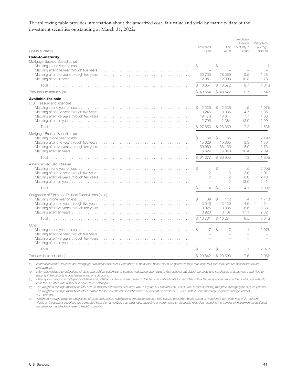## The following table provides information about the amortized cost, fair value and yield by maturity date of the investment securities outstanding at March 31, 2022:

| (Dollars in Millions)                                                                                                                                                                                                                                            |              | Amortized<br>Cost                                                             |                                | Fair<br>Value                                          | Weighted-<br>Average<br>Maturity in<br>Years | Weighted-<br>Average<br>Yield (e)      |
|------------------------------------------------------------------------------------------------------------------------------------------------------------------------------------------------------------------------------------------------------------------|--------------|-------------------------------------------------------------------------------|--------------------------------|--------------------------------------------------------|----------------------------------------------|----------------------------------------|
| <b>Held-to-maturity</b>                                                                                                                                                                                                                                          |              |                                                                               |                                |                                                        |                                              |                                        |
| Mortgage-Backed Securities (a)                                                                                                                                                                                                                                   |              |                                                                               |                                |                                                        |                                              |                                        |
|                                                                                                                                                                                                                                                                  |              |                                                                               | $\mathcal{L}$                  |                                                        |                                              | $-$ %                                  |
|                                                                                                                                                                                                                                                                  |              | 30,703                                                                        |                                | 28,569                                                 | 9.5                                          | 1.58                                   |
|                                                                                                                                                                                                                                                                  |              | 12,951                                                                        |                                | 12,003                                                 | 10.3                                         | 1.78                                   |
|                                                                                                                                                                                                                                                                  |              | \$43,654                                                                      |                                | \$40,572                                               | 9.7                                          | 1.64%                                  |
|                                                                                                                                                                                                                                                                  |              | \$43,654                                                                      |                                | \$40.572                                               | 9.7                                          | 1.64%                                  |
| <b>Available-for-sale</b>                                                                                                                                                                                                                                        |              |                                                                               |                                |                                                        |                                              |                                        |
| U.S. Treasury and Agencies<br>Maturing in one year or less end as a series and servers and servers are constructed as a server of the server                                                                                                                     | $\mathbb{S}$ | 2,226<br>3,246<br>19,476<br>2,705                                             | S                              | 2,236<br>3,086<br>18,644<br>2,384                      | .5<br>4.7<br>7.7<br>12.0                     | 1.97%<br>1.36<br>1.88<br>1.99          |
|                                                                                                                                                                                                                                                                  |              | \$27,653                                                                      |                                | \$26,350                                               | 7.2                                          | 1.83%                                  |
| Mortgage-Backed Securities (a)<br>Maturing in one year or less end as a series of the content of the content of the content of the content of the content of the content of the content of the content of the content of the content of the content of the conte | \$           | 64<br>15,629<br>69,960<br>5,624                                               | $\mathcal{L}$                  | 65<br>15,395<br>66,155<br>5,340                        | .7<br>3.3<br>8.0<br>10.4                     | 2.19%<br>1.89<br>1.76<br>2.09          |
|                                                                                                                                                                                                                                                                  |              | \$91,277                                                                      |                                | \$86,955                                               | 7.3                                          | 1.80%                                  |
| Asset-Backed Securities (a)<br>Maturing in one year or less end as a series of the context of the context of the context of the context of the context of the context of the context of the context of the context of the context of the context of the conte    | $\mathbb S$  | $\overline{\phantom{0}}$<br>$\overline{2}$<br>$\mathcal{P}$<br>$\overline{4}$ | $\mathcal{S}$<br>$\mathcal{F}$ | $\equiv$<br>3<br>$\overline{2}$<br>$\mathfrak{D}$<br>7 | .5<br>3.0<br>6.0<br>13.0<br>4.1              | 2.69%<br>1.91<br>2.13<br>2.41<br>2.00% |
|                                                                                                                                                                                                                                                                  |              |                                                                               |                                |                                                        |                                              |                                        |
| Obligations of State and Political Subdivisions (b) (c)<br>Maturing in one year or less with a contract to contact the contract of the contract of the contract of the co                                                                                        | S            | 409<br>3,046<br>3,326<br>3,920                                                | $\mathcal{F}$                  | 412<br>3,120<br>3,335<br>3,407                         | .4<br>4.0<br>6.5<br>17.1                     | 4.74%<br>4.34<br>3.83<br>2.82          |
|                                                                                                                                                                                                                                                                  |              | \$10.701                                                                      |                                | \$10.274                                               | 9.5                                          | 3.64%                                  |
| Other<br>Maturing in one year or less end as a series of the contract of the contract of the contract of the contract o                                                                                                                                          |              | 7<br>$\overline{\phantom{a}}$                                                 | $\mathcal{L}$                  | 7<br>$\equiv$                                          | $\cdot$ 1                                    | 2.07%                                  |
|                                                                                                                                                                                                                                                                  |              | $\overline{7}$                                                                | $\mathcal{F}$                  | $\overline{7}$                                         | $\cdot$ 1                                    | 2.07%                                  |
|                                                                                                                                                                                                                                                                  |              | \$129.642                                                                     |                                | \$123.593                                              | 7.5                                          | 1.96%                                  |

*(a) Information related to asset and mortgage-backed securities included above is presented based upon weighted-average maturities that take into account anticipated future prepayments.*

*(b) Information related to obligations of state and political subdivisions is presented based upon yield to first optional call date if the security is purchased at a premium, and yield to maturity if the security is purchased at par or a discount.*

*(c) Maturity calculations for obligations of state and political subdivisions are based on the first optional call date for securities with a fair value above par and the contractual maturity date for securities with a fair value equal to or below par.*

*(d) The weighted-average maturity of total held-to-maturity investment securities was 7.4 years at December 31, 2021, with a corresponding weighted-average yield of 1.45 percent. The weighted-average maturity of total available-for-sale investment securities was 5.5 years at December 31, 2021, with a corresponding weighted-average yield of 1.73 percent.*

*(e) Weighted-average yields for obligations of state and political subdivisions are presented on a fully-taxable equivalent basis based on a federal income tax rate of 21 percent. Yields on investment securities are computed based on amortized cost balances, excluding any premiums or discounts recorded related to the transfer of investment securities at fair value from available-for-sale to held-to-maturity.*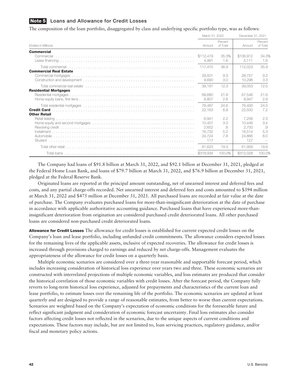## **Note 5 Loans and Allowance for Credit Losses**

|                                                                                                                                                                                                                               | March 31, 2022 |                     | December 31, 2021 |                     |
|-------------------------------------------------------------------------------------------------------------------------------------------------------------------------------------------------------------------------------|----------------|---------------------|-------------------|---------------------|
| (Dollars in Millions)                                                                                                                                                                                                         | Amount         | Percent<br>of Total | Amount            | Percent<br>of Total |
| <b>Commercial</b>                                                                                                                                                                                                             |                |                     |                   |                     |
| Commercial.                                                                                                                                                                                                                   | \$112.479      | 35.3%               | \$106.912         | 34.3%               |
|                                                                                                                                                                                                                               | 4,991          | 1.6                 | 5.111             | -1.6                |
|                                                                                                                                                                                                                               | 117.470        | 36.9                | 112.023           | 35.9                |
| <b>Commercial Real Estate</b>                                                                                                                                                                                                 |                |                     |                   |                     |
| Commercial mortgages                                                                                                                                                                                                          | 29.501         | 9.3                 | 28.757            | 9.2                 |
|                                                                                                                                                                                                                               | 9,690          | 3.0                 | 10.296            | 3.3                 |
| Total commercial real estate experience in the contract of the contract of the contract of the contract of the                                                                                                                | 39.191         | 12.3                | 39.053            | 12.5                |
| <b>Residential Mortgages</b>                                                                                                                                                                                                  |                |                     |                   |                     |
|                                                                                                                                                                                                                               | 69.680         | 21.8                | 67.546            | 21.6                |
|                                                                                                                                                                                                                               | 8,807          | 2.8                 | 8.947             | 2.9                 |
| Total residential mortgages entertainment and the contract of the contract of the contract of the contract of the contract of the contract of the contract of the contract of the contract of the contract of the contract of | 78.487         | 24.6                | 76.493            | 24.5                |
| <b>Credit Card</b><br><b>Other Retail</b>                                                                                                                                                                                     | 22.163         | 6.9                 | 22,500            | 7.2                 |
|                                                                                                                                                                                                                               | 6.941          | 2.2                 | 7.256             | 2.3                 |
|                                                                                                                                                                                                                               | 10.457         | 3.3                 | 10.446            | 3.4                 |
|                                                                                                                                                                                                                               | 2.652          | -8                  | 2.750             | .9                  |
|                                                                                                                                                                                                                               | 16.732         | 5.2                 | 16.514            | 5.3                 |
| Automobile                                                                                                                                                                                                                    | 24.724         | 7.8                 | 24.866            | 8.0                 |
|                                                                                                                                                                                                                               | 117            | $\sim$ $-$          | 127               | $\sim$ $\sim$       |
|                                                                                                                                                                                                                               | 61.623         | 19.3                | 61.959            | 19.9                |
|                                                                                                                                                                                                                               | \$318,934      | 100.0%              | \$312.028         | 100.0%              |

The composition of the loan portfolio, disaggregated by class and underlying specific portfolio type, was as follows:

The Company had loans of \$91.8 billion at March 31, 2022, and \$92.1 billion at December 31, 2021, pledged at the Federal Home Loan Bank, and loans of \$79.7 billion at March 31, 2022, and \$76.9 billion at December 31, 2021, pledged at the Federal Reserve Bank.

Originated loans are reported at the principal amount outstanding, net of unearned interest and deferred fees and costs, and any partial charge-offs recorded. Net unearned interest and deferred fees and costs amounted to \$394 million at March 31, 2022 and \$475 million at December 31, 2021. All purchased loans are recorded at fair value at the date of purchase. The Company evaluates purchased loans for more-than-insignificant deterioration at the date of purchase in accordance with applicable authoritative accounting guidance. Purchased loans that have experienced more-thaninsignificant deterioration from origination are considered purchased credit deteriorated loans. All other purchased loans are considered non-purchased credit deteriorated loans.

**Allowance for Credit Losses** The allowance for credit losses is established for current expected credit losses on the Company's loan and lease portfolio, including unfunded credit commitments. The allowance considers expected losses for the remaining lives of the applicable assets, inclusive of expected recoveries. The allowance for credit losses is increased through provisions charged to earnings and reduced by net charge-offs. Management evaluates the appropriateness of the allowance for credit losses on a quarterly basis.

Multiple economic scenarios are considered over a three-year reasonable and supportable forecast period, which includes increasing consideration of historical loss experience over years two and three. These economic scenarios are constructed with interrelated projections of multiple economic variables, and loss estimates are produced that consider the historical correlation of those economic variables with credit losses. After the forecast period, the Company fully reverts to long-term historical loss experience, adjusted for prepayments and characteristics of the current loan and lease portfolio, to estimate losses over the remaining life of the portfolio. The economic scenarios are updated at least quarterly and are designed to provide a range of reasonable estimates, from better to worse than current expectations. Scenarios are weighted based on the Company's expectation of economic conditions for the foreseeable future and reflect significant judgment and consideration of economic forecast uncertainty. Final loss estimates also consider factors affecting credit losses not reflected in the scenarios, due to the unique aspects of current conditions and expectations. These factors may include, but are not limited to, loan servicing practices, regulatory guidance, and/or fiscal and monetary policy actions.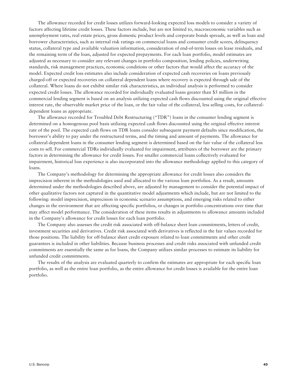The allowance recorded for credit losses utilizes forward-looking expected loss models to consider a variety of factors affecting lifetime credit losses. These factors include, but are not limited to, macroeconomic variables such as unemployment rates, real estate prices, gross domestic product levels and corporate bonds spreads, as well as loan and borrower characteristics, such as internal risk ratings on commercial loans and consumer credit scores, delinquency status, collateral type and available valuation information, consideration of end-of-term losses on lease residuals, and the remaining term of the loan, adjusted for expected prepayments. For each loan portfolio, model estimates are adjusted as necessary to consider any relevant changes in portfolio composition, lending policies, underwriting standards, risk management practices, economic conditions or other factors that would affect the accuracy of the model. Expected credit loss estimates also include consideration of expected cash recoveries on loans previously charged-off or expected recoveries on collateral dependent loans where recovery is expected through sale of the collateral. Where loans do not exhibit similar risk characteristics, an individual analysis is performed to consider expected credit losses. The allowance recorded for individually evaluated loans greater than \$5 million in the commercial lending segment is based on an analysis utilizing expected cash flows discounted using the original effective interest rate, the observable market price of the loan, or the fair value of the collateral, less selling costs, for collateraldependent loans as appropriate.

The allowance recorded for Troubled Debt Restructuring ("TDR") loans in the consumer lending segment is determined on a homogenous pool basis utilizing expected cash flows discounted using the original effective interest rate of the pool. The expected cash flows on TDR loans consider subsequent payment defaults since modification, the borrower's ability to pay under the restructured terms, and the timing and amount of payments. The allowance for collateral-dependent loans in the consumer lending segment is determined based on the fair value of the collateral less costs to sell. For commercial TDRs individually evaluated for impairment, attributes of the borrower are the primary factors in determining the allowance for credit losses. For smaller commercial loans collectively evaluated for impairment, historical loss experience is also incorporated into the allowance methodology applied to this category of loans.

The Company's methodology for determining the appropriate allowance for credit losses also considers the imprecision inherent in the methodologies used and allocated to the various loan portfolios. As a result, amounts determined under the methodologies described above, are adjusted by management to consider the potential impact of other qualitative factors not captured in the quantitative model adjustments which include, but are not limited to the following: model imprecision, imprecision in economic scenario assumptions, and emerging risks related to either changes in the environment that are affecting specific portfolios, or changes in portfolio concentrations over time that may affect model performance. The consideration of these items results in adjustments to allowance amounts included in the Company's allowance for credit losses for each loan portfolio.

The Company also assesses the credit risk associated with off-balance sheet loan commitments, letters of credit, investment securities and derivatives. Credit risk associated with derivatives is reflected in the fair values recorded for those positions. The liability for off-balance sheet credit exposure related to loan commitments and other credit guarantees is included in other liabilities. Because business processes and credit risks associated with unfunded credit commitments are essentially the same as for loans, the Company utilizes similar processes to estimate its liability for unfunded credit commitments.

The results of the analysis are evaluated quarterly to confirm the estimates are appropriate for each specific loan portfolio, as well as the entire loan portfolio, as the entire allowance for credit losses is available for the entire loan portfolio.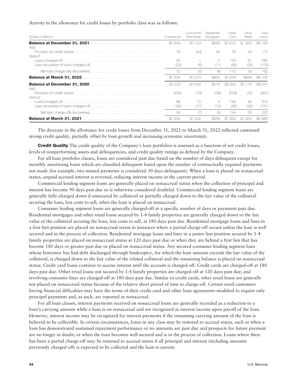Activity in the allowance for credit losses by portfolio class was as follows:

| (Dollars in Millions)                                                                                                              | Commercial  | Commercial<br><b>Real Estate</b> | Residential<br>Mortgages | Credit<br>Card | Other<br>Retail | Total<br>Loans |
|------------------------------------------------------------------------------------------------------------------------------------|-------------|----------------------------------|--------------------------|----------------|-----------------|----------------|
| <b>Balance at December 31, 2021 <i>COLORED LIBRARY CONTRACT BALANCE BALANCE BALANCE BALANCE BALANCE BALANCE BALANCE</i></b><br>Add | \$1,849     | \$1,123                          | \$565                    | \$1,673        | \$945           | \$6,155        |
| Deduct                                                                                                                             | 19          | (54)                             | 29                       | 78             | 40              | 112            |
|                                                                                                                                    | .55<br>(23) | (6)                              | 5<br>(11)                | 158<br>(46)    | 61<br>(32)      | 280<br>(118)   |
|                                                                                                                                    | 32          | (5)                              | (6)                      | 112            | 29              | 162            |
|                                                                                                                                    | \$1,836     | \$1.074                          | \$600                    | \$1,639        | \$956           | \$6,105        |
| Add                                                                                                                                | \$2,423     | \$1.544                          | \$573                    | \$2.355        | \$1,115         | \$8,010        |
| Deduct                                                                                                                             | (435)       | (19)                             | (39)                     | (259)          | (75)            | (827)          |
|                                                                                                                                    | 86<br>(30)  | 10<br>(17)                       | 5<br>(10)                | 190<br>(46)    | 83<br>(48)      | 374<br>(151)   |
|                                                                                                                                    | 56          | (7)                              | (5)                      | 144            | 35              | 223            |
| <b>Balance at March 31, 2021 <i>COLLASS CONSUMERRY CONTRACT PROPERTY ASSEMBLE DETAIL</i> <math>\mathbf{R}</math></b>               | \$1,932     | \$1,532                          | \$539                    | \$1,952        | \$1,005         | \$6,960        |

The decrease in the allowance for credit losses from December 31, 2021 to March 31, 2022 reflected continued strong credit quality, partially offset by loan growth and increasing economic uncertainty.

**Credit Quality** The credit quality of the Company's loan portfolios is assessed as a function of net credit losses, levels of nonperforming assets and delinquencies, and credit quality ratings as defined by the Company.

For all loan portfolio classes, loans are considered past due based on the number of days delinquent except for monthly amortizing loans which are classified delinquent based upon the number of contractually required payments not made (for example, two missed payments is considered 30 days delinquent). When a loan is placed on nonaccrual status, unpaid accrued interest is reversed, reducing interest income in the current period.

Commercial lending segment loans are generally placed on nonaccrual status when the collection of principal and interest has become 90 days past due or is otherwise considered doubtful. Commercial lending segment loans are generally fully charged down if unsecured by collateral or partially charged down to the fair value of the collateral securing the loan, less costs to sell, when the loan is placed on nonaccrual.

Consumer lending segment loans are generally charged-off at a specific number of days or payments past due. Residential mortgages and other retail loans secured by 1-4 family properties are generally charged down to the fair value of the collateral securing the loan, less costs to sell, at 180 days past due. Residential mortgage loans and lines in a first lien position are placed on nonaccrual status in instances where a partial charge-off occurs unless the loan is well secured and in the process of collection. Residential mortgage loans and lines in a junior lien position secured by 1-4 family properties are placed on nonaccrual status at 120 days past due or when they are behind a first lien that has become 180 days or greater past due or placed on nonaccrual status. Any secured consumer lending segment loan whose borrower has had debt discharged through bankruptcy, for which the loan amount exceeds the fair value of the collateral, is charged down to the fair value of the related collateral and the remaining balance is placed on nonaccrual status. Credit card loans continue to accrue interest until the account is charged-off. Credit cards are charged-off at 180 days past due. Other retail loans not secured by 1-4 family properties are charged-off at 120 days past due; and revolving consumer lines are charged-off at 180 days past due. Similar to credit cards, other retail loans are generally not placed on nonaccrual status because of the relative short period of time to charge-off. Certain retail customers having financial difficulties may have the terms of their credit card and other loan agreements modified to require only principal payments and, as such, are reported as nonaccrual.

For all loan classes, interest payments received on nonaccrual loans are generally recorded as a reduction to a loan's carrying amount while a loan is on nonaccrual and are recognized as interest income upon payoff of the loan. However, interest income may be recognized for interest payments if the remaining carrying amount of the loan is believed to be collectible. In certain circumstances, loans in any class may be restored to accrual status, such as when a loan has demonstrated sustained repayment performance or no amounts are past due and prospects for future payment are no longer in doubt; or when the loan becomes well secured and is in the process of collection. Loans where there has been a partial charge-off may be returned to accrual status if all principal and interest (including amounts previously charged-off) is expected to be collected and the loan is current.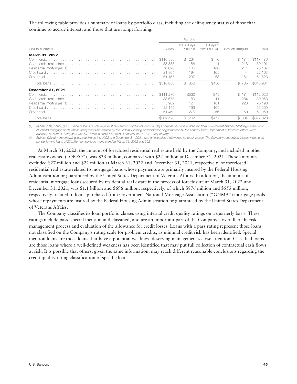The following table provides a summary of loans by portfolio class, including the delinquency status of those that continue to accrue interest, and those that are nonperforming:

|                          |           | Accruing               |                             |                          |           |
|--------------------------|-----------|------------------------|-----------------------------|--------------------------|-----------|
| (Dollars in Millions)    |           | 30-89 Days<br>Past Due | 90 Days or<br>More Past Due | Nonperforming (b)        | Total     |
| <b>March 31, 2022</b>    |           |                        |                             |                          |           |
|                          | \$116,986 | \$ 234                 | \$76                        | 174<br>$\mathbb{R}$      | \$117.470 |
|                          | 38.888    | 86                     |                             | 216                      | 39.191    |
|                          | 78.028    | 105                    | 140                         | 214                      | 78.487    |
|                          | 21.804    | 194                    | 165                         |                          | 22.163    |
|                          | 61.157    | 237                    | 68                          | 161                      | 61.623    |
| Total Ioans              | \$316,863 | \$ 856                 | \$450                       | \$765                    | \$318.934 |
| <b>December 31, 2021</b> |           |                        |                             |                          |           |
|                          | \$111.270 | \$530                  | \$49                        | 174<br>SS.               | \$112,023 |
|                          | 38.678    | 80                     |                             | 284                      | 39.053    |
|                          | 75.962    | 124                    | 181                         | 226                      | 76.493    |
|                          | 22.142    | 193                    | 165                         | $\overline{\phantom{m}}$ | 22,500    |
|                          | 61,468    | 275                    | 66                          | 150                      | 61,959    |
| Total Ioans              | \$309.520 | \$1,202                | \$472                       | S.<br>834                | \$312.028 |

*(a) At March 31, 2022, \$662 million of loans 30–89 days past due and \$1.3 billion of loans 90 days or more past due purchased from Government National Mortgage Association ("GNMA") mortgage pools whose repayments are insured by the Federal Housing Administration or guaranteed by the United States Department of Veterans Affairs, were classified as current, compared with \$791 million and \$1.5 billion at December 31, 2021, respectively.*

*(b) Substantially all nonperforming loans at March 31, 2022 and December 31, 2021, had an associated allowance for credit losses. The Company recognized interest income on nonperforming loans of \$3 million for the three months ended March 31, 2022 and 2021.*

At March 31, 2022, the amount of foreclosed residential real estate held by the Company, and included in other real estate owned ("OREO"), was \$23 million, compared with \$22 million at December 31, 2021. These amounts excluded \$27 million and \$22 million at March 31, 2022 and December 31, 2021, respectively, of foreclosed residential real estate related to mortgage loans whose payments are primarily insured by the Federal Housing Administration or guaranteed by the United States Department of Veterans Affairs. In addition, the amount of residential mortgage loans secured by residential real estate in the process of foreclosure at March 31, 2022 and December 31, 2021, was \$1.1 billion and \$696 million, respectively, of which \$876 million and \$555 million, respectively, related to loans purchased from Government National Mortgage Association ("GNMA") mortgage pools whose repayments are insured by the Federal Housing Administration or guaranteed by the United States Department of Veterans Affairs.

The Company classifies its loan portfolio classes using internal credit quality ratings on a quarterly basis. These ratings include pass, special mention and classified, and are an important part of the Company's overall credit risk management process and evaluation of the allowance for credit losses. Loans with a pass rating represent those loans not classified on the Company's rating scale for problem credits, as minimal credit risk has been identified. Special mention loans are those loans that have a potential weakness deserving management's close attention. Classified loans are those loans where a well-defined weakness has been identified that may put full collection of contractual cash flows at risk. It is possible that others, given the same information, may reach different reasonable conclusions regarding the credit quality rating classification of specific loans.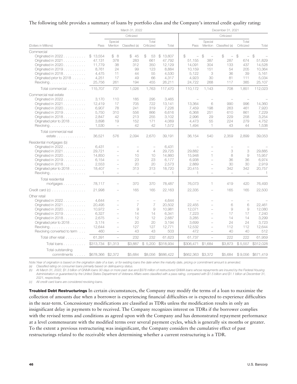#### The following table provides a summary of loans by portfolio class and the Company's internal credit quality rating:

|                                                |                   |                    | March 31, 2022    |                          |                   | December 31, 2021        |                                   |                                          |                                    |               |
|------------------------------------------------|-------------------|--------------------|-------------------|--------------------------|-------------------|--------------------------|-----------------------------------|------------------------------------------|------------------------------------|---------------|
|                                                |                   |                    | Criticized        |                          |                   |                          |                                   | Criticized                               |                                    |               |
| (Dollars in Millions)                          | Pass              | Special<br>Mention | Classified (a)    | Total<br>Criticized      | Total             | Pass                     | Special<br>Mention                | Classified (a)                           | Total<br>Criticized                | Total         |
| Commercial                                     |                   |                    |                   |                          |                   |                          |                                   |                                          |                                    |               |
| Originated in $2022$                           | \$13,554          | \$8                | \$45              | $^{\circ}$<br>53         | \$13,607          | \$<br>Ξ.                 | $\mathbb{S}$<br>$\qquad \qquad -$ | $\mathbb{S}$<br>$\overline{\phantom{0}}$ | $\mathcal{L}$<br>$\qquad \qquad =$ | $\mathcal{F}$ |
| Originated in 2021                             | 47,131            | 378                | 283               | 661                      | 47,792            | 51,155                   | 387                               | 287                                      | 674                                | 51,829        |
| Originated in 2020                             | 11,779            | 38                 | 312               | 350                      | 12,129            | 14,091                   | 304                               | 133                                      | 437                                | 14,528        |
| Originated in 2019.                            | 8,761             | 24                 | 99                | 123                      | 8,884             | 10,159                   | 151                               | 54                                       | 205                                | 10,364        |
| Originated in 2018.                            | 4,475             | 11                 | 44                | 55                       | 4,530             | 5,122                    | 3                                 | 36                                       | 39                                 | 5,161         |
| Originated prior to 2018                       | 4,251             | 17                 | 49                | 66                       | 4,317             | 4,923                    | 30                                | 81                                       | 111                                | 5,034         |
| Revolving                                      | 25,756            | 261                | 194               | 455                      | 26,211            | 24,722                   | 268                               | 117                                      | 385                                | 25,107        |
| Total commercial                               | 115,707           | 737                | 1,026             | 1,763                    | 117,470           | 110,172                  | 1,143                             | 708                                      | 1,851                              | 112,023       |
| Commercial real estate                         |                   |                    |                   |                          |                   |                          |                                   |                                          |                                    |               |
| Originated in $2022$                           | 3,170             | 110                | 185               | 295                      | 3,465             |                          |                                   | $\overline{\phantom{m}}$                 |                                    |               |
| Originated in 2021                             | 12,419            | 17                 | 705               | 722                      | 13,141            | 13,364                   | 6                                 | 990                                      | 996                                | 14,360        |
| Originated in $2020$                           | 6,907             | 78                 | 241               | 319                      | 7,226             | 7,459                    | 198                               | 263                                      | 461                                | 7,920         |
| Originated in 2019.                            | 5,750             | 310                | 556               | 866                      | 6,616             | 6,368                    | 251                               | 610                                      | 861                                | 7,229         |
| Originated in 2018.                            | 2,847             | 42                 | 213               | 255                      | 3,102             | 2,996                    | 29                                | 229                                      | 258                                | 3,254         |
| Originated prior to 2018                       | 3,898             | 19                 | 152               | 171                      | 4,069             | 4,473                    | 55                                | 224                                      | 279                                | 4,752         |
| Revolving                                      | 1,530             | $\qquad \qquad -$  | 42                | 42                       | 1,572             | 1,494                    | $\mathbf{1}$                      | 43                                       | 44                                 | 1,538         |
| Total commercial real                          |                   |                    |                   |                          |                   |                          |                                   |                                          |                                    |               |
| estate                                         | 36,521            | 576                | 2,094             | 2,670                    | 39,191            | 36,154                   | 540                               | 2,359                                    | 2,899                              | 39,053        |
| Residential mortgages (b)                      |                   |                    |                   |                          |                   |                          |                                   |                                          |                                    |               |
| Originated in 2022                             | 6.431             |                    | ÷                 | $\overline{\phantom{m}}$ | 6.431             |                          | $\equiv$                          | $\overline{\phantom{0}}$                 |                                    |               |
| Originated in 2021                             | 29,721            | $\equiv$           | $\overline{4}$    | $\overline{4}$           | 29,725            | 29,882                   | L.                                | 3                                        | 3                                  | 29,885        |
| Originated in 2020.                            | 14,850            |                    | 10                | 10                       | 14,860            | 15,948                   | $\mathbf{1}$                      | 8                                        | $\Theta$                           | 15,957        |
| Originated in 2019.                            | 6,154             | $\equiv$           | 23                | 23                       | 6,177             | 6.938                    | $\equiv$                          | 36                                       | 36                                 | 6.974         |
| Originated in 2018.                            | 2,553             | $\equiv$           | 20                | 20                       | 2,573             | 2,889                    | $\equiv$                          | 30                                       | 30                                 | 2,919         |
| Originated prior to 2018                       | 18,407            |                    | 313               | 313                      | 18,720            | 20,415                   |                                   | 342                                      | 342                                | 20,757        |
| Revolving                                      | $\mathbf{1}$      | $\equiv$           | $\qquad \qquad -$ | $\equiv$                 | $\mathbf{1}$      | $\mathbf{1}$             | $\overline{a}$                    | $\equiv$                                 | $\equiv$                           | 1             |
| Total residential                              |                   |                    |                   |                          |                   |                          |                                   |                                          |                                    |               |
| $mort$ gages                                   | 78.117            |                    | 370               | 370                      | 78,487            | 76,073                   | $\mathbf{1}$                      | 419                                      | 420                                | 76,493        |
|                                                | 21.998            |                    | 165               | 165                      | 22,163            | 22,335                   | $\equiv$                          | 165                                      | 165                                | 22,500        |
| Other retail                                   |                   |                    |                   |                          |                   |                          |                                   |                                          |                                    |               |
| Originated in 2022                             | 4,644             |                    | ÷                 | $\overline{\phantom{m}}$ | 4,644             | $\overline{\phantom{m}}$ |                                   | $\overline{\phantom{0}}$                 | $\overline{\phantom{0}}$           |               |
| Originated in $2021$                           | 20,495            |                    | $\overline{7}$    | $\overline{7}$           | 20,502            | 22,455                   |                                   | 6                                        | 6                                  | 22,461        |
| Originated in $2020$                           | 10,972            | L.                 | 9                 | $\Theta$                 | 10,981            | 12,071                   | L.                                | 9                                        | $\Theta$                           | 12,080        |
| Originated in 2019.                            | 6,327             | $\equiv$           | 14                | 14                       | 6,341             | 7,223                    | $\equiv$                          | 17                                       | 17                                 | 7,240         |
| Originated in $2018$                           | 2,675             |                    | 12                | 12                       | 2,687             | 3,285                    |                                   | 14                                       | 14                                 | 3,299         |
| Originated prior to 2018                       | 3,174             |                    | 20                | 20                       | 3,194             | 3,699                    | L.                                | 24                                       | 24                                 | 3,723         |
| Revolving $\ldots \ldots \ldots \ldots \ldots$ | 12,644            | $\equiv$           | 127               | 127                      | 12,771            | 12,532                   | $\equiv$                          | 112                                      | 112                                | 12,644        |
| Revolving converted to term                    | 460               | $\equiv$           | 43                | 43                       | 503               | 472                      | $\overline{\phantom{0}}$          | 40                                       | 40                                 | 512           |
| Total other retail                             | 61,391            | $\equiv$           | 232               | 232                      | 61,623            | 61,737                   |                                   | 222                                      | 222                                | 61,959        |
| Total loans                                    | \$313,734         | \$1,313            | \$3,887           | \$5,200                  | \$318,934         | \$306,471                | \$1,684                           | \$3,873                                  | \$5,557                            | \$312,028     |
| Total outstanding                              |                   |                    |                   |                          |                   |                          |                                   |                                          |                                    |               |
| commitments                                    | \$678,366 \$2,372 |                    | \$5,684           |                          | \$8,056 \$686,422 | \$662,363 \$3,372        |                                   | \$5,684                                  | \$9,056                            | \$671,419     |

*Note:Year of origination is based on the origination date of a loan, or for existing loans the date when the maturity date, pricing or commitment amount is amended.*

*(a) Classified rating on consumer loans primarily based on delinquency status.*

*(b) At March 31, 2022, \$1.3 billion of GNMA loans 90 days or more past due and \$978 million of restructured GNMA loans whose repayments are insured by the Federal Housing Administration or guaranteed by the United States Department of Veterans Affairs were classified with a pass rating, compared with \$1.5 billion and \$1.1 billion at December 31, 2021, respectively.*

*(c) All credit card loans are considered revolving loans.*

**Troubled Debt Restructurings** In certain circumstances, the Company may modify the terms of a loan to maximize the collection of amounts due when a borrower is experiencing financial difficulties or is expected to experience difficulties in the near-term. Concessionary modifications are classified as TDRs unless the modification results in only an insignificant delay in payments to be received. The Company recognizes interest on TDRs if the borrower complies with the revised terms and conditions as agreed upon with the Company and has demonstrated repayment performance at a level commensurate with the modified terms over several payment cycles, which is generally six months or greater. To the extent a previous restructuring was insignificant, the Company considers the cumulative effect of past restructurings related to the receivable when determining whether a current restructuring is a TDR.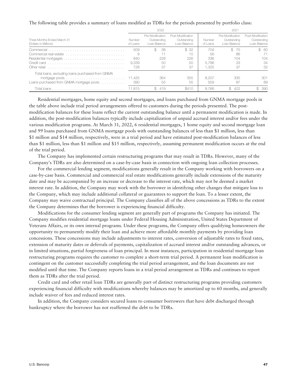#### The following table provides a summary of loans modified as TDRs for the periods presented by portfolio class:

|                                                                                                                 |        | 2022                                            |                                                  | 2021               |                                                 |                                                  |  |  |
|-----------------------------------------------------------------------------------------------------------------|--------|-------------------------------------------------|--------------------------------------------------|--------------------|-------------------------------------------------|--------------------------------------------------|--|--|
| Three Months Ended March 31<br>(Dollars in Millions)<br>of Loans                                                |        | Pre-Modification<br>Outstanding<br>Loan Balance | Post-Modification<br>Outstanding<br>Loan Balance | Number<br>of Loans | Pre-Modification<br>Outstanding<br>Loan Balance | Post-Modification<br>Outstanding<br>Loan Balance |  |  |
|                                                                                                                 | 509    | S.<br>-38                                       | \$ 32                                            | 704                | $\mathbb{S}$<br>-75                             | \$60                                             |  |  |
|                                                                                                                 | -9     |                                                 |                                                  | 56                 | 86                                              | 71                                               |  |  |
|                                                                                                                 | 840    | 228                                             | 226                                              | 336                | 104                                             | 104                                              |  |  |
|                                                                                                                 | 9.339  | 50                                              | 50                                               | 5.786              | 33                                              | 34                                               |  |  |
| Other retail business and contact and contact and contact and contact and contact and contact and contact and c | 728    | 37                                              | 37                                               | 1.325              | 37                                              | 32                                               |  |  |
| Total loans, excluding loans purchased from GNMA                                                                |        |                                                 |                                                  |                    |                                                 |                                                  |  |  |
| mortgage pools $\ldots \ldots \ldots \ldots \ldots \ldots \ldots \ldots \ldots \ldots$ 11,425                   |        | 364                                             | 355                                              | 8.207              | 335                                             | 301                                              |  |  |
| Loans purchased from GNMA mortgage pools                                                                        | 390    | 55                                              | 55                                               | 559                | 87                                              | 89                                               |  |  |
|                                                                                                                 | 11.815 | 419<br>$\mathbb{R}$                             | \$410                                            | 8.766              | 422<br>$\mathbb{R}$                             | \$390                                            |  |  |

Residential mortgages, home equity and second mortgages, and loans purchased from GNMA mortgage pools in the table above include trial period arrangements offered to customers during the periods presented. The postmodification balances for these loans reflect the current outstanding balance until a permanent modification is made. In addition, the post-modification balances typically include capitalization of unpaid accrued interest and/or fees under the various modification programs. At March 31, 2022, 6 residential mortgages, 1 home equity and second mortgage loan and 99 loans purchased from GNMA mortgage pools with outstanding balances of less than \$1 million, less than \$1 million and \$14 million, respectively, were in a trial period and have estimated post-modification balances of less than \$1 million, less than \$1 million and \$15 million, respectively, assuming permanent modification occurs at the end of the trial period.

The Company has implemented certain restructuring programs that may result in TDRs. However, many of the Company's TDRs are also determined on a case-by-case basis in connection with ongoing loan collection processes.

For the commercial lending segment, modifications generally result in the Company working with borrowers on a case-by-case basis. Commercial and commercial real estate modifications generally include extensions of the maturity date and may be accompanied by an increase or decrease to the interest rate, which may not be deemed a market interest rate. In addition, the Company may work with the borrower in identifying other changes that mitigate loss to the Company, which may include additional collateral or guarantees to support the loan. To a lesser extent, the Company may waive contractual principal. The Company classifies all of the above concessions as TDRs to the extent the Company determines that the borrower is experiencing financial difficulty.

Modifications for the consumer lending segment are generally part of programs the Company has initiated. The Company modifies residential mortgage loans under Federal Housing Administration, United States Department of Veterans Affairs, or its own internal programs. Under these programs, the Company offers qualifying homeowners the opportunity to permanently modify their loan and achieve more affordable monthly payments by providing loan concessions. These concessions may include adjustments to interest rates, conversion of adjustable rates to fixed rates, extension of maturity dates or deferrals of payments, capitalization of accrued interest and/or outstanding advances, or in limited situations, partial forgiveness of loan principal. In most instances, participation in residential mortgage loan restructuring programs requires the customer to complete a short-term trial period. A permanent loan modification is contingent on the customer successfully completing the trial period arrangement, and the loan documents are not modified until that time. The Company reports loans in a trial period arrangement as TDRs and continues to report them as TDRs after the trial period.

Credit card and other retail loan TDRs are generally part of distinct restructuring programs providing customers experiencing financial difficulty with modifications whereby balances may be amortized up to 60 months, and generally include waiver of fees and reduced interest rates.

In addition, the Company considers secured loans to consumer borrowers that have debt discharged through bankruptcy where the borrower has not reaffirmed the debt to be TDRs.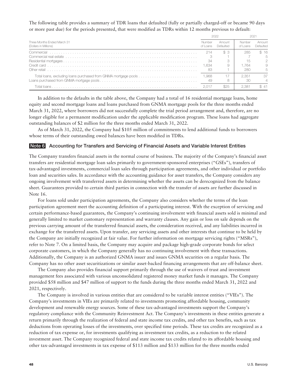The following table provides a summary of TDR loans that defaulted (fully or partially charged-off or became 90 days or more past due) for the periods presented, that were modified as TDRs within 12 months previous to default:

| Three Months Ended March 31<br>Number<br>(Dollars in Millions)<br>of Loans |               | 2022                | 2021               |                     |
|----------------------------------------------------------------------------|---------------|---------------------|--------------------|---------------------|
|                                                                            |               | Amount<br>Defaulted | Number<br>of Loans | Amount<br>Defaulted |
| Commercial                                                                 | 214           | \$3                 | 285                | \$16<br>5           |
|                                                                            | 34<br>1.634   |                     | 15<br>1.764<br>280 | 2<br>9<br>5         |
|                                                                            | 1.968<br>- 49 |                     | 2.351              | -37<br>4            |
|                                                                            | 2.017         | \$25                | 2.381              | \$41                |

In addition to the defaults in the table above, the Company had a total of 16 residential mortgage loans, home equity and second mortgage loans and loans purchased from GNMA mortgage pools for the three months ended March 31, 2022, where borrowers did not successfully complete the trial period arrangement and, therefore, are no longer eligible for a permanent modification under the applicable modification program. These loans had aggregate outstanding balances of \$2 million for the three months ended March 31, 2022.

As of March 31, 2022, the Company had \$105 million of commitments to lend additional funds to borrowers whose terms of their outstanding owed balances have been modified in TDRs.

#### **Note 6 Accounting for Transfers and Servicing of Financial Assets and Variable Interest Entities**

The Company transfers financial assets in the normal course of business. The majority of the Company's financial asset transfers are residential mortgage loan sales primarily to government-sponsored enterprises ("GSEs"), transfers of tax-advantaged investments, commercial loan sales through participation agreements, and other individual or portfolio loan and securities sales. In accordance with the accounting guidance for asset transfers, the Company considers any ongoing involvement with transferred assets in determining whether the assets can be derecognized from the balance sheet. Guarantees provided to certain third parties in connection with the transfer of assets are further discussed in Note 16.

For loans sold under participation agreements, the Company also considers whether the terms of the loan participation agreement meet the accounting definition of a participating interest. With the exception of servicing and certain performance-based guarantees, the Company's continuing involvement with financial assets sold is minimal and generally limited to market customary representation and warranty clauses. Any gain or loss on sale depends on the previous carrying amount of the transferred financial assets, the consideration received, and any liabilities incurred in exchange for the transferred assets. Upon transfer, any servicing assets and other interests that continue to be held by the Company are initially recognized at fair value. For further information on mortgage servicing rights ("MSRs"), refer to Note 7. On a limited basis, the Company may acquire and package high-grade corporate bonds for select corporate customers, in which the Company generally has no continuing involvement with these transactions. Additionally, the Company is an authorized GNMA issuer and issues GNMA securities on a regular basis. The Company has no other asset securitizations or similar asset-backed financing arrangements that are off-balance sheet.

The Company also provides financial support primarily through the use of waivers of trust and investment management fees associated with various unconsolidated registered money market funds it manages. The Company provided \$58 million and \$47 million of support to the funds during the three months ended March 31, 2022 and 2021, respectively.

The Company is involved in various entities that are considered to be variable interest entities ("VIEs"). The Company's investments in VIEs are primarily related to investments promoting affordable housing, community development and renewable energy sources. Some of these tax-advantaged investments support the Company's regulatory compliance with the Community Reinvestment Act. The Company's investments in these entities generate a return primarily through the realization of federal and state income tax credits, and other tax benefits, such as tax deductions from operating losses of the investments, over specified time periods. These tax credits are recognized as a reduction of tax expense or, for investments qualifying as investment tax credits, as a reduction to the related investment asset. The Company recognized federal and state income tax credits related to its affordable housing and other tax-advantaged investments in tax expense of \$113 million and \$133 million for the three months ended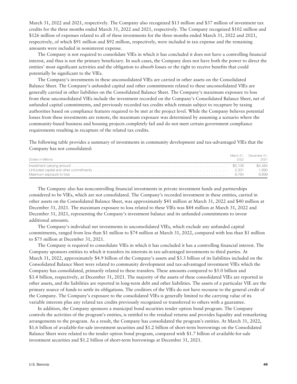March 31, 2022 and 2021, respectively. The Company also recognized \$13 million and \$37 million of investment tax credits for the three months ended March 31, 2022 and 2021, respectively. The Company recognized \$102 million and \$126 million of expenses related to all of these investments for the three months ended March 31, 2022 and 2021, respectively, of which \$91 million and \$92 million, respectively, were included in tax expense and the remaining amounts were included in noninterest expense.

The Company is not required to consolidate VIEs in which it has concluded it does not have a controlling financial interest, and thus is not the primary beneficiary. In such cases, the Company does not have both the power to direct the entities' most significant activities and the obligation to absorb losses or the right to receive benefits that could potentially be significant to the VIEs.

The Company's investments in these unconsolidated VIEs are carried in other assets on the Consolidated Balance Sheet. The Company's unfunded capital and other commitments related to these unconsolidated VIEs are generally carried in other liabilities on the Consolidated Balance Sheet. The Company's maximum exposure to loss from these unconsolidated VIEs include the investment recorded on the Company's Consolidated Balance Sheet, net of unfunded capital commitments, and previously recorded tax credits which remain subject to recapture by taxing authorities based on compliance features required to be met at the project level. While the Company believes potential losses from these investments are remote, the maximum exposure was determined by assuming a scenario where the community-based business and housing projects completely fail and do not meet certain government compliance requirements resulting in recapture of the related tax credits.

The following table provides a summary of investments in community development and tax-advantaged VIEs that the Company has not consolidated:

| (Dollars in Millions)                                                                                                                                                                                                          | 2022 | March 31. December 31.<br>2021 |
|--------------------------------------------------------------------------------------------------------------------------------------------------------------------------------------------------------------------------------|------|--------------------------------|
|                                                                                                                                                                                                                                |      | \$4,484                        |
|                                                                                                                                                                                                                                |      | 1.890                          |
| Maximum exposure to loss response to the server contract the contract of the contract of the contract of the contract of the contract of the contract of the contract of the contract of the contract of the contract of the c |      | 9.899                          |

The Company also has noncontrolling financial investments in private investment funds and partnerships considered to be VIEs, which are not consolidated. The Company's recorded investment in these entities, carried in other assets on the Consolidated Balance Sheet, was approximately \$41 million at March 31, 2022 and \$40 million at December 31, 2021. The maximum exposure to loss related to these VIEs was \$84 million at March 31, 2022 and December 31, 2021, representing the Company's investment balance and its unfunded commitments to invest additional amounts.

The Company's individual net investments in unconsolidated VIEs, which exclude any unfunded capital commitments, ranged from less than \$1 million to \$74 million at March 31, 2022, compared with less than \$1 million to \$75 million at December 31, 2021.

The Company is required to consolidate VIEs in which it has concluded it has a controlling financial interest. The Company sponsors entities to which it transfers its interests in tax-advantaged investments to third parties. At March 31, 2022, approximately \$4.9 billion of the Company's assets and \$3.3 billion of its liabilities included on the Consolidated Balance Sheet were related to community development and tax-advantaged investment VIEs which the Company has consolidated, primarily related to these transfers. These amounts compared to \$5.0 billion and \$3.4 billion, respectively, at December 31, 2021. The majority of the assets of these consolidated VIEs are reported in other assets, and the liabilities are reported in long-term debt and other liabilities. The assets of a particular VIE are the primary source of funds to settle its obligations. The creditors of the VIEs do not have recourse to the general credit of the Company. The Company's exposure to the consolidated VIEs is generally limited to the carrying value of its variable interests plus any related tax credits previously recognized or transferred to others with a guarantee.

In addition, the Company sponsors a municipal bond securities tender option bond program. The Company controls the activities of the program's entities, is entitled to the residual returns and provides liquidity and remarketing arrangements to the program. As a result, the Company has consolidated the program's entities. At March 31, 2022, \$1.6 billion of available-for-sale investment securities and \$1.2 billion of short-term borrowings on the Consolidated Balance Sheet were related to the tender option bond program, compared with \$1.7 billion of available-for-sale investment securities and \$1.2 billion of short-term borrowings at December 31, 2021.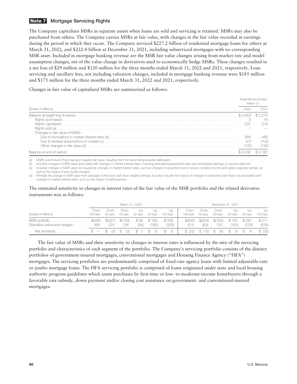### **Note 7 Mortgage Servicing Rights**

The Company capitalizes MSRs as separate assets when loans are sold and servicing is retained. MSRs may also be purchased from others. The Company carries MSRs at fair value, with changes in the fair value recorded in earnings during the period in which they occur. The Company serviced \$227.2 billion of residential mortgage loans for others at March 31, 2022, and \$222.4 billion at December 31, 2021, including subserviced mortgages with no corresponding MSR asset. Included in mortgage banking revenue are the MSR fair value changes arising from market rate and model assumption changes, net of the value change in derivatives used to economically hedge MSRs. These changes resulted in a net loss of \$29 million and \$120 million for the three months ended March 31, 2022 and 2021, respectively. Loan servicing and ancillary fees, not including valuation changes, included in mortgage banking revenue were \$185 million and \$175 million for the three months ended March 31, 2022 and 2021, respectively.

Changes in fair value of capitalized MSRs are summarized as follows:

|                                                                                                                                                                                                                                |      | Three Months Ended<br>March 31 |
|--------------------------------------------------------------------------------------------------------------------------------------------------------------------------------------------------------------------------------|------|--------------------------------|
| (Dollars in Millions)                                                                                                                                                                                                          | 2022 | 202'                           |
|                                                                                                                                                                                                                                |      | \$2.210                        |
|                                                                                                                                                                                                                                |      | 16                             |
|                                                                                                                                                                                                                                | 237  | 319                            |
|                                                                                                                                                                                                                                |      |                                |
| Changes in fair value of MSRs                                                                                                                                                                                                  |      |                                |
|                                                                                                                                                                                                                                | 368  | 486                            |
| Due to revised assumptions or models (c) with an array and array and array and array and the context of the context of the context of the context of the context of the context of the context of the context of the context o | (27) | (102)                          |
|                                                                                                                                                                                                                                |      | (142)                          |
|                                                                                                                                                                                                                                |      | \$2.787                        |

*(a) MSRs sold include those having a negative fair value, resulting from the loans being severely delinquent.*

*(b) Includes changes in MSR value associated with changes in market interest rates, including estimated prepayment rates and anticipated earnings on escrow deposits.*

*(c) Includes changes in MSR value not caused by changes in market interest rates, such as changes in assumed cost to service, ancillary income and option adjusted spread, as well as the impact of any model changes.*

*(d) Primarily the change in MSR value from passage of time and cash flows realized (decay), but also includes the impact of changes to expected cash flows not associated with changes in market interest rates, such as the impact of delinquencies.*

The estimated sensitivity to changes in interest rates of the fair value of the MSR portfolio and the related derivative instruments was as follows:

|                                                     |                 |                                  |                | March 31, 2022 |                |                  |                 |                   |                                                                                         | December 31, 2021    |              |                |
|-----------------------------------------------------|-----------------|----------------------------------|----------------|----------------|----------------|------------------|-----------------|-------------------|-----------------------------------------------------------------------------------------|----------------------|--------------|----------------|
| (Dollars in Millions)                               | Down<br>100 bps | Down<br>50 bps                   | Down<br>25 bps | Up.<br>25 bps  | Up<br>50 bps   | Up.<br>$100$ bps | Down<br>100 bps | Down<br>50 bps    | Down<br>25 bps                                                                          | Up.<br>25 bps        | Up<br>50 bps | Up.<br>100 bps |
| MSR portfolio<br>Derivative instrument hedges       | 485             | $\frac{15(485)}{15(227)}$<br>224 | \$(109)<br>106 | \$99<br>(94)   | \$189<br>(180) | \$338<br>(333)   | \$(636)<br>614  | $\Im(324)$<br>309 | \$(160)<br>152                                                                          | \$150 \$287<br>(142) | (278)        | \$511<br>(536) |
| Net sensitivity \$ $-$ \$ (3) \$ (3) \$ 5 \$ 9 \$ 5 |                 |                                  |                |                |                |                  |                 |                   | $\frac{1}{2}$ (22) $\frac{1}{2}$ (15) $\frac{1}{2}$ (8) $\frac{1}{2}$ 8 $\frac{1}{2}$ 9 |                      |              | \$ (25)        |

The fair value of MSRs and their sensitivity to changes in interest rates is influenced by the mix of the servicing portfolio and characteristics of each segment of the portfolio. The Company's servicing portfolio consists of the distinct portfolios of government-insured mortgages, conventional mortgages and Housing Finance Agency ("HFA") mortgages. The servicing portfolios are predominantly comprised of fixed-rate agency loans with limited adjustable-rate or jumbo mortgage loans. The HFA servicing portfolio is comprised of loans originated under state and local housing authority program guidelines which assist purchases by first-time or low- to moderate-income homebuyers through a favorable rate subsidy, down payment and/or closing cost assistance on government- and conventional-insured mortgages.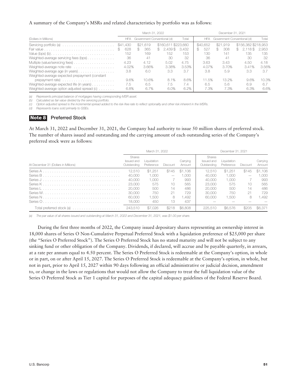#### A summary of the Company's MSRs and related characteristics by portfolio was as follows:

|                                                                                                                              |               | March 31, 2022                  |                                                  |               | December 31, 2021     |                                 |                                                |               |  |
|------------------------------------------------------------------------------------------------------------------------------|---------------|---------------------------------|--------------------------------------------------|---------------|-----------------------|---------------------------------|------------------------------------------------|---------------|--|
| (Dollars in Millions)                                                                                                        |               | HFA Government Conventional (d) |                                                  | Total         |                       | HFA Government Conventional (d) |                                                | Total         |  |
|                                                                                                                              | 628<br>æ.     | \$21.619<br>365<br>$\mathbb{S}$ | \$160,611 \$223,660<br>2.439\$<br>$\mathbb{S}^-$ | 3.432         | \$40.652<br>S.<br>527 | \$21,919<br>R.<br>308           | \$156,382 \$218,953<br>2.118\$<br>$\mathbb{S}$ | 2.953         |  |
|                                                                                                                              | 152           | 169                             | 152                                              | 153           | 130                   | 141                             | 135                                            | 135           |  |
| Weighted-average servicing fees (bps)                                                                                        | 36            | 41                              | 30                                               | -32           | 36                    | 41                              | -30                                            | 32            |  |
| Weighted-average note rate with the window with the Weighted-average note rate with the window with the U.S.                 | 4.23<br>4.02% | 4.12<br>3.66%                   | 5.02<br>3.38%                                    | 4.75<br>3.53% | 3.63<br>4.07%         | 3.43<br>3.70%                   | 4.50<br>3.41%                                  | 4.18<br>3.56% |  |
| Weighted-average age (in years)                                                                                              | 3.8           | 6.0                             | 3.3                                              | 3.7           | 3.8                   | 5.9                             | 3.3                                            | 3.7           |  |
| Weighted-average expected prepayment (constant<br>prepayment rate) $\ldots \ldots \ldots \ldots \ldots \ldots \ldots \ldots$ | 9.6%          | 10.6%                           | 8.1%                                             | 8.6%          | 11.5%                 | 13.2%                           | 9.6%                                           | 10.3%         |  |
| Weighted-average expected life (in years)                                                                                    | 7.5           | 6.5                             | 7.5                                              | 7.4           | 6.5                   | 5.6                             | 6.9                                            | 6.7           |  |
| Weighted-average option adjusted spread (c)                                                                                  | 6.8%          | 6.7%                            | 6.0%                                             | 6.2%          | 7.3%                  | 7.3%                            | 6.3%                                           | 6.6%          |  |

*(a) Represents principal balance of mortgages having corresponding MSR asset.*

*(b) Calculated as fair value divided by the servicing portfolio. (c) Option adjusted spread is the incremental spread added to the risk-free rate to reflect optionality and other risk inherent in the MSRs.*

*(d) Represents loans sold primarily to GSEs.*

#### **Note 8 Preferred Stock**

At March 31, 2022 and December 31, 2021, the Company had authority to issue 50 million shares of preferred stock. The number of shares issued and outstanding and the carrying amount of each outstanding series of the Company's preferred stock were as follows:

|                                                                              |                                     | March 31, 2022            |          |                    | December 31, 2021                   |                           |          |                    |
|------------------------------------------------------------------------------|-------------------------------------|---------------------------|----------|--------------------|-------------------------------------|---------------------------|----------|--------------------|
| At December 31 (Dollars in Millions)                                         | Shares<br>Issued and<br>Outstanding | Liquidation<br>Preference | Discount | Carrving<br>Amount | Shares<br>Issued and<br>Outstanding | Liauidation<br>Preference | Discount | Carrying<br>Amount |
|                                                                              | 12.510                              | \$1.251                   | \$145    | \$1,106            | 12.510                              | \$1,251                   | \$145    | \$1,106            |
|                                                                              | 40,000                              | 1.000                     |          | .000               | 40,000                              | 1.000                     |          | .000               |
|                                                                              | 40,000                              | 1.000                     |          | 993                | 40,000                              | 1.000                     |          | 993                |
|                                                                              | 23,000                              | 575                       | 10       | 565                | 23,000                              | 575                       | 10       | 565                |
|                                                                              | 20,000                              | 500                       | 14       | 486                | 20,000                              | 500                       | 14       | 486                |
|                                                                              | 30,000                              | 750                       | 21       | 729                | 30,000                              | 750                       | 21       | 729                |
|                                                                              | 60,000                              | 1.500                     | 8        | 1.492              | 60,000                              | 1.500                     | 8        | 1.492              |
|                                                                              | 18,000                              | 450                       | 13       | 437                |                                     |                           |          |                    |
| Total preferred stock (a) $\ldots \ldots \ldots \ldots \ldots \ldots \ldots$ | 243.510                             | 1.026<br>.S7              |          | \$6,808            | 225,510                             | \$6,576                   |          | \$6.371            |

*(a) The par value of all shares issued and outstanding at March 31, 2022 and December 31, 2021, was \$1.00 per share.*

During the first three months of 2022, the Company issued depositary shares representing an ownership interest in 18,000 shares of Series O Non-Cumulative Perpetual Preferred Stock with a liquidation preference of \$25,000 per share (the "Series O Preferred Stock"). The Series O Preferred Stock has no stated maturity and will not be subject to any sinking fund or other obligation of the Company. Dividends, if declared, will accrue and be payable quarterly, in arrears, at a rate per annum equal to 4.50 percent. The Series O Preferred Stock is redeemable at the Company's option, in whole or in part, on or after April 15, 2027. The Series O Preferred Stock is redeemable at the Company's option, in whole, but not in part, prior to April 15, 2027 within 90 days following an official administrative or judicial decision, amendment to, or change in the laws or regulations that would not allow the Company to treat the full liquidation value of the Series O Preferred Stock as Tier 1 capital for purposes of the capital adequacy guidelines of the Federal Reserve Board.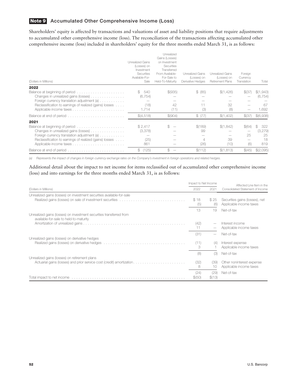## **Note 9 Accumulated Other Comprehensive Income (Loss)**

Shareholders' equity is affected by transactions and valuations of asset and liability positions that require adjustments to accumulated other comprehensive income (loss). The reconciliation of the transactions affecting accumulated other comprehensive income (loss) included in shareholders' equity for the three months ended March 31, is as follows:

| (Dollars in Millions)                                                                                                                                                            | <b>Unrealized Gains</b><br>(Losses) on<br>Investment<br>Securities<br>Available-For-<br>Sale | Unrealized<br>Gains (Losses)<br>on Investment<br><b>Securities</b><br>Transferred<br>From Available-<br>For-Sale to<br>Held-To-Maturity | <b>Unrealized Gains</b><br>(Losses) on<br>Derivative Hedges | Unrealized Gains<br>(Losses) on<br><b>Retirement Plans</b> | Foreign<br>Currency<br>Translation        | Total                                    |
|----------------------------------------------------------------------------------------------------------------------------------------------------------------------------------|----------------------------------------------------------------------------------------------|-----------------------------------------------------------------------------------------------------------------------------------------|-------------------------------------------------------------|------------------------------------------------------------|-------------------------------------------|------------------------------------------|
| 2022                                                                                                                                                                             |                                                                                              |                                                                                                                                         |                                                             |                                                            |                                           |                                          |
| Balance at beginning of period<br>Changes in unrealized gains (losses)<br>Foreign currency translation adjustment (a)                                                            | S.<br>540<br>(6, 754)                                                                        | \$(935)                                                                                                                                 | \$ (85)                                                     | \$(1,426)                                                  | $$^{(37)}$                                | \$(1,943)<br>(6, 754)                    |
| Reclassification to earnings of realized (gains) losses                                                                                                                          | (18)<br>1,714                                                                                | 42<br>(11)                                                                                                                              | 11<br>(3)                                                   | 32<br>(8)                                                  |                                           | 67<br>1,692                              |
|                                                                                                                                                                                  | \$(4,518)                                                                                    | \$ (904)                                                                                                                                | \$ (77)                                                     | \$(1,402)                                                  | $$^{(37)}$                                | \$(6,938)                                |
| 2021                                                                                                                                                                             |                                                                                              |                                                                                                                                         |                                                             |                                                            |                                           |                                          |
| Balance at beginning of period<br>Changes in unrealized gains (losses)<br>Foreign currency translation adjustment (a)<br>Reclassification to earnings of realized (gains) losses | \$2,417<br>(3,378)<br>(25)<br>861                                                            | \$                                                                                                                                      | \$(189)<br>99<br>$\overline{\mathcal{A}}$<br>(26)           | \$(1,842)<br>39<br>(10)                                    | \$ (64)<br>$\qquad \qquad -$<br>25<br>(6) | \$.<br>322<br>(3,279)<br>25<br>18<br>819 |
|                                                                                                                                                                                  | $\mathbb S$<br>(125)                                                                         | \$                                                                                                                                      | \$(112)                                                     | \$(1,813)                                                  | $\Im(45)$                                 | \$(2,095)                                |

*(a) Represents the impact of changes in foreign currency exchange rates on the Company's investment in foreign operations and related hedges.*

## Additional detail about the impact to net income for items reclassified out of accumulated other comprehensive income (loss) and into earnings for the three months ended March 31, is as follows:

| (Dollars in Millions)                                                                                                  |         | Impact to Net Income     | Affected Line Item in the        |
|------------------------------------------------------------------------------------------------------------------------|---------|--------------------------|----------------------------------|
|                                                                                                                        |         | 2021                     | Consolidated Statement of Income |
| Unrealized gains (losses) on investment securities available-for-sale                                                  |         |                          |                                  |
| Realized gains (losses) on sale of investment securities                                                               | \$18    | \$25                     | Securities gains (losses), net   |
|                                                                                                                        | (5)     | (6)                      | Applicable income taxes          |
|                                                                                                                        | 13      | 19                       | Net-of-tax                       |
| Unrealized gains (losses) on investment securities transferred from<br>available-for-sale to held-to-maturity          |         |                          |                                  |
|                                                                                                                        | (42)    |                          | Interest income                  |
|                                                                                                                        | 11      |                          | Applicable income taxes          |
|                                                                                                                        | (31)    | $\overline{\phantom{0}}$ | Net-of-tax                       |
| Unrealized gains (losses) on derivative hedges                                                                         |         |                          |                                  |
|                                                                                                                        | (11)    | (4)                      | Interest expense                 |
|                                                                                                                        | 3       |                          | Applicable income taxes          |
|                                                                                                                        | (8)     | (3)                      | Net-of-tax                       |
| Unrealized gains (losses) on retirement plans<br>Actuarial gains (losses) and prior service cost (credit) amortization | (32)    | (39)                     | Other noninterest expense        |
|                                                                                                                        | 8       | 10                       | Applicable income taxes          |
|                                                                                                                        |         |                          |                                  |
|                                                                                                                        | (24)    | (29)                     | Net-of-tax                       |
|                                                                                                                        | \$ (50) | $\Im(13)$                |                                  |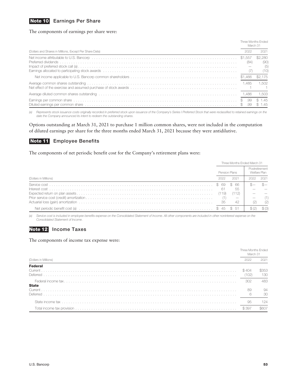## **Note 10 Earnings Per Share**

#### The components of earnings per share were:

|                                                                                                                    |         | Three Months Ended<br>March 31 |
|--------------------------------------------------------------------------------------------------------------------|---------|--------------------------------|
| (Dollars and Shares in Millions, Except Per Share Data)                                                            | 2022    | 2021                           |
|                                                                                                                    |         | \$2,280<br>(90)<br>(5)<br>(10) |
|                                                                                                                    | \$1,466 | \$2.175                        |
|                                                                                                                    | 1.485   | 1.502                          |
| Average diluted common shares outstanding www.community.com/www.community.com/www.community.com/www.community.com/ |         | 1.503                          |
|                                                                                                                    | .99     | \$1.45<br>\$1.45               |

*(a) Represents stock issuance costs originally recorded in preferred stock upon issuance of the Company's Series I Preferred Stock that were reclassified to retained earnings on the date the Company announced its intent to redeem the outstanding shares.*

Options outstanding at March 31, 2021 to purchase 1 million common shares, were not included in the computation of diluted earnings per share for the three months ended March 31, 2021 because they were antidilutive.

## **Note 11 Employee Benefits**

The components of net periodic benefit cost for the Company's retirement plans were:

|                                                                                                                                                                                                                                |       | Three Months Ended March 31 |                                |      |  |  |  |
|--------------------------------------------------------------------------------------------------------------------------------------------------------------------------------------------------------------------------------|-------|-----------------------------|--------------------------------|------|--|--|--|
|                                                                                                                                                                                                                                |       | Pension Plans               | Postretirement<br>Welfare Plan |      |  |  |  |
| (Dollars in Millions)                                                                                                                                                                                                          |       | 2021                        |                                | 2021 |  |  |  |
|                                                                                                                                                                                                                                | -61   | \$66<br>55                  |                                |      |  |  |  |
|                                                                                                                                                                                                                                | (119) | (112)                       |                                |      |  |  |  |
|                                                                                                                                                                                                                                |       |                             |                                |      |  |  |  |
| Net periodic benefit cost (a) with the cost of the cost of the cost of the cost of the cost of the cost of the cost (a) with the cost of the cost of the cost of the cost of the cost of the cost of the cost of the cost of t | \$45  | \$ 51                       |                                |      |  |  |  |

*(a) Service cost is included in employee benefits expense on the Consolidated Statement of Income. All other components are included in other noninterest expense on the Consolidated Statement of Income.*

## **Note 12 Income Taxes**

#### The components of income tax expense were:

|                       |       | Three Months Ended<br>March 31 |
|-----------------------|-------|--------------------------------|
| (Dollars in Millions) | 2022  |                                |
| <b>Federal</b>        |       |                                |
|                       | (102) | \$353<br>130                   |
| <b>State</b>          | 302   | 483                            |
|                       | 6     | 94<br>30                       |
|                       |       | 124                            |
|                       |       |                                |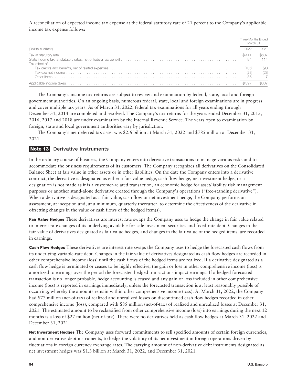A reconciliation of expected income tax expense at the federal statutory rate of 21 percent to the Company's applicable income tax expense follows:

| Three Months Ended    |              |              |
|-----------------------|--------------|--------------|
| (Dollars in Millions) |              |              |
| Tax effect of         | - \$411      | \$607<br>114 |
|                       | 106)<br>(28) | (93)<br>(28) |
|                       |              |              |

The Company's income tax returns are subject to review and examination by federal, state, local and foreign government authorities. On an ongoing basis, numerous federal, state, local and foreign examinations are in progress and cover multiple tax years. As of March 31, 2022, federal tax examinations for all years ending through December 31, 2014 are completed and resolved. The Company's tax returns for the years ended December 31, 2015, 2016, 2017 and 2018 are under examination by the Internal Revenue Service. The years open to examination by foreign, state and local government authorities vary by jurisdiction.

The Company's net deferred tax asset was \$2.6 billion at March 31, 2022 and \$785 million at December 31, 2021.

## **Note 13 Derivative Instruments**

In the ordinary course of business, the Company enters into derivative transactions to manage various risks and to accommodate the business requirements of its customers. The Company recognizes all derivatives on the Consolidated Balance Sheet at fair value in other assets or in other liabilities. On the date the Company enters into a derivative contract, the derivative is designated as either a fair value hedge, cash flow hedge, net investment hedge, or a designation is not made as it is a customer-related transaction, an economic hedge for asset/liability risk management purposes or another stand-alone derivative created through the Company's operations ("free-standing derivative"). When a derivative is designated as a fair value, cash flow or net investment hedge, the Company performs an assessment, at inception and, at a minimum, quarterly thereafter, to determine the effectiveness of the derivative in offsetting changes in the value or cash flows of the hedged item(s).

**Fair Value Hedges** These derivatives are interest rate swaps the Company uses to hedge the change in fair value related to interest rate changes of its underlying available-for-sale investment securities and fixed-rate debt. Changes in the fair value of derivatives designated as fair value hedges, and changes in the fair value of the hedged items, are recorded in earnings.

**Cash Flow Hedges** These derivatives are interest rate swaps the Company uses to hedge the forecasted cash flows from its underlying variable-rate debt. Changes in the fair value of derivatives designated as cash flow hedges are recorded in other comprehensive income (loss) until the cash flows of the hedged items are realized. If a derivative designated as a cash flow hedge is terminated or ceases to be highly effective, the gain or loss in other comprehensive income (loss) is amortized to earnings over the period the forecasted hedged transactions impact earnings. If a hedged forecasted transaction is no longer probable, hedge accounting is ceased and any gain or loss included in other comprehensive income (loss) is reported in earnings immediately, unless the forecasted transaction is at least reasonably possible of occurring, whereby the amounts remain within other comprehensive income (loss). At March 31, 2022, the Company had \$77 million (net-of-tax) of realized and unrealized losses on discontinued cash flow hedges recorded in other comprehensive income (loss), compared with \$85 million (net-of-tax) of realized and unrealized losses at December 31, 2021. The estimated amount to be reclassified from other comprehensive income (loss) into earnings during the next 12 months is a loss of \$27 million (net-of-tax). There were no derivatives held as cash flow hedges at March 31, 2022 and December 31, 2021.

**Net Investment Hedges** The Company uses forward commitments to sell specified amounts of certain foreign currencies, and non-derivative debt instruments, to hedge the volatility of its net investment in foreign operations driven by fluctuations in foreign currency exchange rates. The carrying amount of non-derivative debt instruments designated as net investment hedges was \$1.3 billion at March 31, 2022, and December 31, 2021.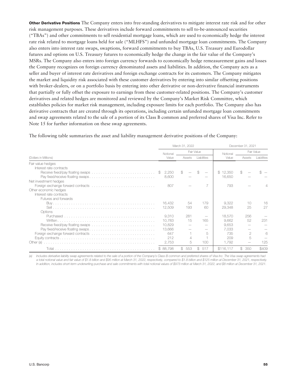**Other Derivative Positions** The Company enters into free-standing derivatives to mitigate interest rate risk and for other risk management purposes. These derivatives include forward commitments to sell to-be-announced securities ("TBAs") and other commitments to sell residential mortgage loans, which are used to economically hedge the interest rate risk related to mortgage loans held for sale ("MLHFS") and unfunded mortgage loan commitments. The Company also enters into interest rate swaps, swaptions, forward commitments to buy TBAs, U.S. Treasury and Eurodollar futures and options on U.S. Treasury futures to economically hedge the change in the fair value of the Company's MSRs. The Company also enters into foreign currency forwards to economically hedge remeasurement gains and losses the Company recognizes on foreign currency denominated assets and liabilities. In addition, the Company acts as a seller and buyer of interest rate derivatives and foreign exchange contracts for its customers. The Company mitigates the market and liquidity risk associated with these customer derivatives by entering into similar offsetting positions with broker-dealers, or on a portfolio basis by entering into other derivative or non-derivative financial instruments that partially or fully offset the exposure to earnings from these customer-related positions. The Company's customer derivatives and related hedges are monitored and reviewed by the Company's Market Risk Committee, which establishes policies for market risk management, including exposure limits for each portfolio. The Company also has derivative contracts that are created through its operations, including certain unfunded mortgage loan commitments and swap agreements related to the sale of a portion of its Class B common and preferred shares of Visa Inc. Refer to Note 15 for further information on these swap agreements.

The following table summarizes the asset and liability management derivative positions of the Company:

|                         |          | March 31, 2022 |                    | December 31, 2021 |                      |             |  |
|-------------------------|----------|----------------|--------------------|-------------------|----------------------|-------------|--|
|                         | Notional |                | Fair Value         | Notional          |                      | Fair Value  |  |
| (Dollars in Millions)   | Value    | Assets         | <b>Liabilities</b> | Value             | Assets               | Liabilities |  |
| Fair value hedges       |          |                |                    |                   |                      |             |  |
| Interest rate contracts |          |                |                    |                   |                      |             |  |
|                         | 2,250    | S.             | $\mathcal{R}$      | \$12.350          | R.                   |             |  |
|                         | 8,600    |                |                    | 16,650            |                      |             |  |
| Net investment hedges   |          |                |                    |                   |                      |             |  |
|                         | 807      |                |                    | 793               |                      |             |  |
| Other economic hedges   |          |                |                    |                   |                      |             |  |
| Interest rate contracts |          |                |                    |                   |                      |             |  |
| Futures and forwards    |          |                |                    |                   |                      |             |  |
|                         | 16,432   | 54             | 179                | 9.322             | 10                   | 16          |  |
|                         | 12,509   | 193            | 60                 | 29.348            | 25                   | 27          |  |
| Options                 |          |                |                    |                   |                      |             |  |
|                         | 9,310    | 281            |                    | 18.570            | 256                  |             |  |
|                         | 10,783   | 15             | 165                | 9.662             | 52                   | 231         |  |
|                         | 10.829   |                |                    | 9.653             |                      |             |  |
|                         | 13,666   |                |                    | 7.033             |                      |             |  |
|                         | 647      |                | 5                  | 735               | 2                    | 6           |  |
|                         | 212      |                |                    | 209               | 5                    |             |  |
| Other (a)               | 2,753    | 5              | 100                | 1.792             |                      | 125         |  |
|                         | \$88,798 | \$553          | \$<br>517          | \$116.117         | $\mathbb{S}$<br>-350 | \$409       |  |

*(a) Includes derivative liability swap agreements related to the sale of a portion of the Company's Class B common and preferred shares of Visa Inc. The Visa swap agreements had a total notional value and fair value of \$1.8 billion and \$95 million at March 31, 2022, respectively, compared to \$1.8 billion and \$125 million at December 31, 2021, respectively. In addition, includes short-term underwriting purchase and sale commitments with total notional values of \$973 million at March 31, 2022, and \$8 million at December 31, 2021.*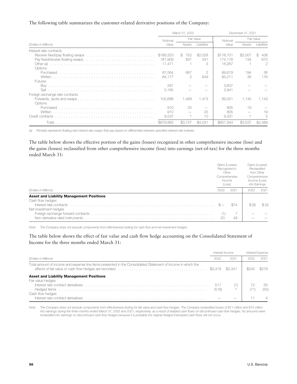#### The following table summarizes the customer-related derivative positions of the Company:

|                                 |           | March 31, 2022      |             | December 31, 2021 |         |               |  |
|---------------------------------|-----------|---------------------|-------------|-------------------|---------|---------------|--|
|                                 |           |                     | Fair Value  | Notional          |         | Fair Value    |  |
| (Dollars in Millions)           | Value     | Assets              | Liabilities | Value             | Assets  | I jabilities  |  |
| Interest rate contracts         |           |                     |             |                   |         |               |  |
|                                 | \$189.323 | $\mathbb{S}$<br>752 | \$2,028     | \$178,701         | \$2,007 | S.<br>438     |  |
|                                 | 181.909   | 831                 | 341         | 174.176           | 134     | 670           |  |
| Other (a)                       | 17.471    |                     | З           | 16.267            |         | $\mathcal{P}$ |  |
| Options                         |           |                     |             |                   |         |               |  |
| Purchased                       | 87.564    | 667                 |             | 89.679            | 194     | 36            |  |
|                                 | 84.177    | 2                   | 649         | 85.211            | 36      | 176           |  |
| <b>Futures</b>                  |           |                     |             |                   |         |               |  |
|                                 | 291       |                     |             | 3.607             |         |               |  |
|                                 | 5,185     |                     |             | 3.941             |         |               |  |
| Foreign exchange rate contracts |           |                     |             |                   |         |               |  |
|                                 | 102.688   | 1.468               | 1.473       | 89.321            | 1.145   | 1.143         |  |
| Options                         |           |                     |             |                   |         |               |  |
| Purchased                       | 910       | 25                  |             | 805               | 19      |               |  |
|                                 | 910       |                     | 25          | 805               |         | 19            |  |
|                                 | 9.537     |                     | 10          | 9.331             |         | 5             |  |
|                                 | \$679.965 | \$3.747             | \$4.531     | \$651.844         | \$3.537 | \$2.489       |  |

*(a) Primarily represents floating rate interest rate swaps that pay based on differentials between specified interest rate indexes.*

The table below shows the effective portion of the gains (losses) recognized in other comprehensive income (loss) and the gains (losses) reclassified from other comprehensive income (loss) into earnings (net-of-tax) for the three months ended March 31:

|                                                 |      | Gains (Losses)<br>Recognized in<br>Other<br>Comprehensive<br>Income<br>(Loss) | Gains (Losses)<br>Reclassified<br>from Other<br>Comprehensive<br>Income (Loss)<br>into Eamings |        |
|-------------------------------------------------|------|-------------------------------------------------------------------------------|------------------------------------------------------------------------------------------------|--------|
| (Dollars in Millions)                           | 2022 | 2021                                                                          | 2022                                                                                           | 2021   |
| <b>Asset and Liability Management Positions</b> |      |                                                                               |                                                                                                |        |
| Cash flow hedges                                |      |                                                                               |                                                                                                |        |
|                                                 |      | \$74                                                                          |                                                                                                | \$ (3) |
| Net investment hedges                           |      |                                                                               |                                                                                                |        |
|                                                 |      |                                                                               |                                                                                                |        |
|                                                 | 20   | 48                                                                            |                                                                                                |        |

*Note: The Company does not exclude components from effectiveness testing for cash flow and net investment hedges.*

#### The table below shows the effect of fair value and cash flow hedge accounting on the Consolidated Statement of Income for the three months ended March 31:

|                                                                                                              |              | Interest Income | Interest Expense |            |  |
|--------------------------------------------------------------------------------------------------------------|--------------|-----------------|------------------|------------|--|
| (Dollars in Millions)                                                                                        | 2022         | 2021            |                  | $202 -$    |  |
| Total amount of income and expense line items presented in the Consolidated Statement of Income in which the |              | \$3.341         |                  |            |  |
| <b>Asset and Liability Management Positions</b><br>Fair value hedges<br>Cash flow hedges                     | 517<br>(518) | (1)             | 72<br>(71)       | 55<br>(55) |  |

*Note: The Company does not exclude components from effectiveness testing for fair value and cash flow hedges. The Company reclassified losses of \$11 million and \$15 million into earnings during the three months ended March 31, 2022 and 2021, respectively, as a result of realized cash flows on discontinued cash flow hedges. No amounts were reclassified into earnings on discontinued cash flow hedges because it is probable the original hedged forecasted cash flows will not occur.*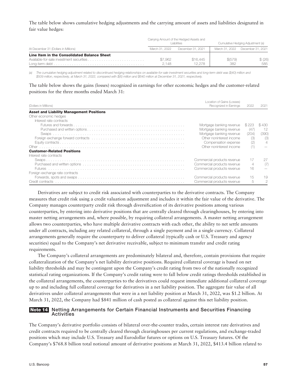The table below shows cumulative hedging adjustments and the carrying amount of assets and liabilities designated in fair value hedges:

|                                             |                | Carrying Amount of the Hedged Assets and<br>Liabilities. | Cumulative Hedging Adjustment (a) |                                   |  |  |
|---------------------------------------------|----------------|----------------------------------------------------------|-----------------------------------|-----------------------------------|--|--|
| At December 31 (Dollars in Millions)        | March 31, 2022 | December 31, 2021                                        |                                   | March 31, 2022  December 31, 2021 |  |  |
| Line Item in the Consolidated Balance Sheet |                |                                                          |                                   |                                   |  |  |
|                                             | \$7.962        | \$16,445                                                 | \$ (579)                          | \$ (26)                           |  |  |
|                                             | 2.148          | 12.278                                                   | 382                               | 585                               |  |  |

*(a) The cumulative hedging adjustment related to discontinued hedging relationships on available-for-sale investment securities and long-term debt was \$(40) million and \$509 million, respectively, at March 31, 2022, compared with \$(6) million and \$640 million at December 31, 2021, respectively.*

### The table below shows the gains (losses) recognized in earnings for other economic hedges and the customer-related positions for the three months ended March 31:

| (Dollars in Millions)                           | Location of Gains (Losses)<br>Recognized in Eamings | 2022  | 2021           |
|-------------------------------------------------|-----------------------------------------------------|-------|----------------|
| <b>Asset and Liability Management Positions</b> |                                                     |       |                |
| Other economic hedges                           |                                                     |       |                |
| Interest rate contracts                         |                                                     |       |                |
|                                                 | Mortgage banking revenue                            | \$223 | \$430          |
|                                                 | Mortgage banking revenue                            | (47)  | 12             |
|                                                 | Mortgage banking revenue                            | (204) | (390)          |
|                                                 | Other noninterest income                            | (3)   | (3)            |
|                                                 | Compensation expense                                | (2)   | $\overline{4}$ |
|                                                 | Other noninterest income                            | (1)   |                |
| <b>Customer-Related Positions</b>               |                                                     |       |                |
| Interest rate contracts                         |                                                     |       |                |
|                                                 | Commercial products revenue                         | 17    | 27             |
|                                                 | Commercial products revenue                         | 4     | (              |
|                                                 | Commercial products revenue                         | 16    |                |
| Foreign exchange rate contracts                 |                                                     |       |                |
|                                                 | Commercial products revenue                         | 15    | 19             |
|                                                 | Commercial products revenue                         | 5     |                |

Derivatives are subject to credit risk associated with counterparties to the derivative contracts. The Company measures that credit risk using a credit valuation adjustment and includes it within the fair value of the derivative. The Company manages counterparty credit risk through diversification of its derivative positions among various counterparties, by entering into derivative positions that are centrally cleared through clearinghouses, by entering into master netting arrangements and, where possible, by requiring collateral arrangements. A master netting arrangement allows two counterparties, who have multiple derivative contracts with each other, the ability to net settle amounts under all contracts, including any related collateral, through a single payment and in a single currency. Collateral arrangements generally require the counterparty to deliver collateral (typically cash or U.S. Treasury and agency securities) equal to the Company's net derivative receivable, subject to minimum transfer and credit rating requirements.

The Company's collateral arrangements are predominately bilateral and, therefore, contain provisions that require collateralization of the Company's net liability derivative positions. Required collateral coverage is based on net liability thresholds and may be contingent upon the Company's credit rating from two of the nationally recognized statistical rating organizations. If the Company's credit rating were to fall below credit ratings thresholds established in the collateral arrangements, the counterparties to the derivatives could request immediate additional collateral coverage up to and including full collateral coverage for derivatives in a net liability position. The aggregate fair value of all derivatives under collateral arrangements that were in a net liability position at March 31, 2022, was \$1.2 billion. At March 31, 2022, the Company had \$841 million of cash posted as collateral against this net liability position.

# **Note 14 Netting Arrangements for Certain Financial Instruments and Securities Financing Activities**

The Company's derivative portfolio consists of bilateral over-the-counter trades, certain interest rate derivatives and credit contracts required to be centrally cleared through clearinghouses per current regulations, and exchange-traded positions which may include U.S. Treasury and Eurodollar futures or options on U.S. Treasury futures. Of the Company's \$768.8 billion total notional amount of derivative positions at March 31, 2022, \$413.4 billion related to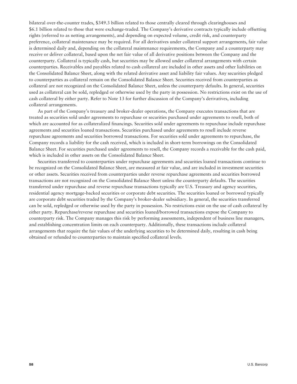bilateral over-the-counter trades, \$349.3 billion related to those centrally cleared through clearinghouses and \$6.1 billion related to those that were exchange-traded. The Company's derivative contracts typically include offsetting rights (referred to as netting arrangements), and depending on expected volume, credit risk, and counterparty preference, collateral maintenance may be required. For all derivatives under collateral support arrangements, fair value is determined daily and, depending on the collateral maintenance requirements, the Company and a counterparty may receive or deliver collateral, based upon the net fair value of all derivative positions between the Company and the counterparty. Collateral is typically cash, but securities may be allowed under collateral arrangements with certain counterparties. Receivables and payables related to cash collateral are included in other assets and other liabilities on the Consolidated Balance Sheet, along with the related derivative asset and liability fair values. Any securities pledged to counterparties as collateral remain on the Consolidated Balance Sheet. Securities received from counterparties as collateral are not recognized on the Consolidated Balance Sheet, unless the counterparty defaults. In general, securities used as collateral can be sold, repledged or otherwise used by the party in possession. No restrictions exist on the use of cash collateral by either party. Refer to Note 13 for further discussion of the Company's derivatives, including collateral arrangements.

As part of the Company's treasury and broker-dealer operations, the Company executes transactions that are treated as securities sold under agreements to repurchase or securities purchased under agreements to resell, both of which are accounted for as collateralized financings. Securities sold under agreements to repurchase include repurchase agreements and securities loaned transactions. Securities purchased under agreements to resell include reverse repurchase agreements and securities borrowed transactions. For securities sold under agreements to repurchase, the Company records a liability for the cash received, which is included in short-term borrowings on the Consolidated Balance Sheet. For securities purchased under agreements to resell, the Company records a receivable for the cash paid, which is included in other assets on the Consolidated Balance Sheet.

Securities transferred to counterparties under repurchase agreements and securities loaned transactions continue to be recognized on the Consolidated Balance Sheet, are measured at fair value, and are included in investment securities or other assets. Securities received from counterparties under reverse repurchase agreements and securities borrowed transactions are not recognized on the Consolidated Balance Sheet unless the counterparty defaults. The securities transferred under repurchase and reverse repurchase transactions typically are U.S. Treasury and agency securities, residential agency mortgage-backed securities or corporate debt securities. The securities loaned or borrowed typically are corporate debt securities traded by the Company's broker-dealer subsidiary. In general, the securities transferred can be sold, repledged or otherwise used by the party in possession. No restrictions exist on the use of cash collateral by either party. Repurchase/reverse repurchase and securities loaned/borrowed transactions expose the Company to counterparty risk. The Company manages this risk by performing assessments, independent of business line managers, and establishing concentration limits on each counterparty. Additionally, these transactions include collateral arrangements that require the fair values of the underlying securities to be determined daily, resulting in cash being obtained or refunded to counterparties to maintain specified collateral levels.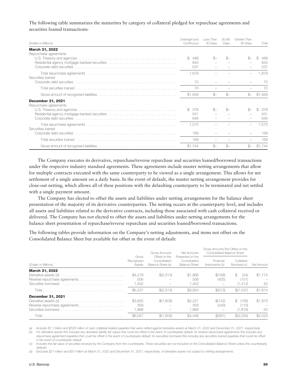## The following table summarizes the maturities by category of collateral pledged for repurchase agreements and securities loaned transactions:

| (Dollars in Millions)                                                                                                                                                                                                          | Overnight and<br>Continuous       | Less Than<br>30 Days | $30 - 89$<br>Davs | Greater Than<br>90 Days | Total                   |
|--------------------------------------------------------------------------------------------------------------------------------------------------------------------------------------------------------------------------------|-----------------------------------|----------------------|-------------------|-------------------------|-------------------------|
| <b>March 31, 2022</b>                                                                                                                                                                                                          |                                   |                      |                   |                         |                         |
| Repurchase agreements                                                                                                                                                                                                          | $\mathbb{S}$<br>499<br>843<br>537 |                      |                   | $\mathbb{R}^-$          | \$<br>499<br>843<br>537 |
| Securities loaned                                                                                                                                                                                                              | 1,879                             |                      |                   |                         | 1.879                   |
|                                                                                                                                                                                                                                | 70                                |                      |                   |                         | 70                      |
| Total securities loaned in the contract of the contract of the contract of the contract of the contract of the contract of the contract of the contract of the contract of the contract of the contract of the contract of the | 70                                |                      |                   |                         | 70                      |
|                                                                                                                                                                                                                                | \$1,949                           | $R-$                 | $R-$              | $\rightarrow$           | \$1,949                 |
| <b>December 31, 2021</b><br>Repurchase agreements                                                                                                                                                                              |                                   |                      |                   |                         |                         |
|                                                                                                                                                                                                                                | $\mathbb{S}$<br>378               |                      |                   | $\rightarrow$           | \$<br>378               |
|                                                                                                                                                                                                                                | 551                               |                      |                   |                         | 551                     |
|                                                                                                                                                                                                                                | 646                               |                      |                   |                         | 646                     |
| Securities loaned                                                                                                                                                                                                              | 1.575                             |                      |                   |                         | 1.575                   |
|                                                                                                                                                                                                                                | 169                               |                      |                   |                         | 169                     |
| Total securities loaned with the contract of the contract of the contract of the contract of the contract of the contract of the contract of the contract of the contract of the contract of the contract of the contract of t | 169                               |                      |                   |                         | 169                     |
|                                                                                                                                                                                                                                | \$1,744                           | $\rightarrow$        | $\mathbb{R}^-$    | $\rightarrow$           | \$1.744                 |

The Company executes its derivative, repurchase/reverse repurchase and securities loaned/borrowed transactions under the respective industry standard agreements. These agreements include master netting arrangements that allow for multiple contracts executed with the same counterparty to be viewed as a single arrangement. This allows for net settlement of a single amount on a daily basis. In the event of default, the master netting arrangement provides for close-out netting, which allows all of these positions with the defaulting counterparty to be terminated and net settled with a single payment amount.

The Company has elected to offset the assets and liabilities under netting arrangements for the balance sheet presentation of the majority of its derivative counterparties. The netting occurs at the counterparty level, and includes all assets and liabilities related to the derivative contracts, including those associated with cash collateral received or delivered. The Company has not elected to offset the assets and liabilities under netting arrangements for the balance sheet presentation of repurchase/reverse repurchase and securities loaned/borrowed transactions.

The following tables provide information on the Company's netting adjustments, and items not offset on the Consolidated Balance Sheet but available for offset in the event of default:

|                          |                         | Gross Amounts<br>Offset on the<br>Gross<br>Consolidated<br>Balance Sheet (a) | Net Amounts<br>Presented on the<br>Consolidated<br><b>Balance Sheet</b> | Gross Amounts Not Offset on the<br>Consolidated Balance Sheet |                                         |                |
|--------------------------|-------------------------|------------------------------------------------------------------------------|-------------------------------------------------------------------------|---------------------------------------------------------------|-----------------------------------------|----------------|
| (Dollars in Millions)    | Recognized<br>Assets    |                                                                              |                                                                         | Financial<br>Instruments (b)                                  | Collateral<br>Received (c)              | Net Amount     |
| <b>March 31, 2022</b>    | \$4,279<br>506<br>1,452 | $\frac{1}{2}(2,313)$                                                         | \$1,966<br>506<br>1,452                                                 | $\Im(168)$<br>(405)                                           | S.<br>(24)<br>(101<br>(1, 412)          | \$1.774<br>40  |
|                          | \$6,237                 | $\frac{1}{2}(2,313)$                                                         | \$3.924                                                                 | \$(573)                                                       | \$(1,537)                               | \$1,814        |
| <b>December 31, 2021</b> | \$3,830<br>359<br>1,868 | $\frac{1}{2}(1,609)$                                                         | \$2.221<br>359<br>1,868                                                 | \$(142)<br>(249)                                              | $^{\circ}$<br>(106)<br>(110)<br>(1,818) | \$1,973<br>-50 |
|                          | \$6,057                 | $\frac{1}{2}(1,609)$                                                         | \$4,448                                                                 | \$ (391)                                                      | \$(2,034)                               | \$2.023        |

*(a) Includes \$1.1 billion and \$528 million of cash collateral related payables that were netted against derivative assets at March 31, 2022 and December 31, 2021, respectively.*

*(b) For derivative assets this includes any derivative liability fair values that could be offset in the event of counterparty default; for reverse repurchase agreements this includes any repurchase agreement payables that could be offset in the event of counterparty default; for securities borrowed this includes any securities loaned payables that could be offset in the event of counterparty default.*

*(c) Includes the fair value of securities received by the Company from the counterparty. These securities are not included on the Consolidated Balance Sheet unless the counterparty defaults.*

*(d) Excludes \$21 million and \$57 million at March 31, 2022 and December 31, 2021, respectively, of derivative assets not subject to netting arrangements.*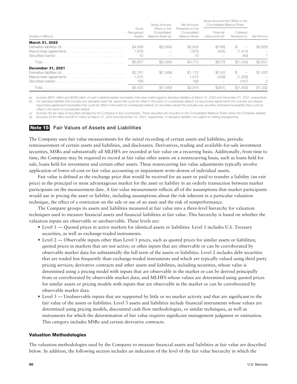|                          |                               | Gross Amounts                                      | Net Amounts                                              | Gross Amounts Not Offset on the<br>Consolidated Balance Sheet |                                 |              |
|--------------------------|-------------------------------|----------------------------------------------------|----------------------------------------------------------|---------------------------------------------------------------|---------------------------------|--------------|
| (Dollars in Millions)    | Gross<br>Recognized<br>Assets | Offset on the<br>Consolidated<br>Balance Sheet (a) | Presented on the<br>Consolidated<br><b>Balance Sheet</b> | Financial<br>Instruments (b)                                  | Collateral<br>Received (c)      | Net Amount   |
| <b>March 31, 2022</b>    | \$4,908<br>1.879<br>70        | \$(2,084)                                          | \$2,824<br>1.879<br>70                                   | \$(168)<br>(405)                                              | $\mathbb{S}$<br>(1.474)<br>(69) | \$2,656      |
|                          | \$6.857                       | \$(2,084)                                          | \$4.773                                                  | \$ (573)                                                      | $\$(1,543)$                     | \$2.657      |
| <b>December 31, 2021</b> | \$2.761<br>1.575<br>169       | $\frac{1}{2}(1,589)$                               | \$1.172<br>1.575<br>169                                  | \$(142)<br>(249)                                              | $\mathbb{S}$<br>(1,326)<br>(167 | \$1,030<br>2 |
|                          | \$4,505                       | $\frac{1569}{2}$                                   | \$2.916                                                  | \$(391                                                        | \$(1.493)                       | \$1,032      |

*(a) Includes \$841 million and \$508 million of cash collateral related receivables that were netted against derivative liabilities at March 31, 2022 and December 31, 2021, respectively. (b) For derivative liabilities this includes any derivative asset fair values that could be offset in the event of counterparty default; for repurchase agreements this includes any reverse*

*repurchase agreement receivables that could be offset in the event of counterparty default; for securities loaned this includes any securities borrowed receivables that could be offset in the event of counterparty default.*

*(c) Includes the fair value of securities pledged by the Company to the counterparty. These securities are included on the Consolidated Balance Sheet unless the Company defaults.*

*(d) Excludes \$140 million and \$137 million at March 31, 2022 and December 31, 2021, respectively, of derivative liabilities not subject to netting arrangements.*

## **Note 15 Fair Values of Assets and Liabilities**

The Company uses fair value measurements for the initial recording of certain assets and liabilities, periodic remeasurement of certain assets and liabilities, and disclosures. Derivatives, trading and available-for-sale investment securities, MSRs and substantially all MLHFS are recorded at fair value on a recurring basis. Additionally, from time to time, the Company may be required to record at fair value other assets on a nonrecurring basis, such as loans held for sale, loans held for investment and certain other assets. These nonrecurring fair value adjustments typically involve application of lower-of-cost-or-fair value accounting or impairment write-downs of individual assets.

Fair value is defined as the exchange price that would be received for an asset or paid to transfer a liability (an exit price) in the principal or most advantageous market for the asset or liability in an orderly transaction between market participants on the measurement date. A fair value measurement reflects all of the assumptions that market participants would use in pricing the asset or liability, including assumptions about the risk inherent in a particular valuation technique, the effect of a restriction on the sale or use of an asset and the risk of nonperformance.

The Company groups its assets and liabilities measured at fair value into a three-level hierarchy for valuation techniques used to measure financial assets and financial liabilities at fair value. This hierarchy is based on whether the valuation inputs are observable or unobservable. These levels are:

- Level 1 Quoted prices in active markets for identical assets or liabilities. Level 1 includes U.S. Treasury securities, as well as exchange-traded instruments.
- Level 2 Observable inputs other than Level 1 prices, such as quoted prices for similar assets or liabilities; quoted prices in markets that are not active; or other inputs that are observable or can be corroborated by observable market data for substantially the full term of the assets or liabilities. Level 2 includes debt securities that are traded less frequently than exchange-traded instruments and which are typically valued using third party pricing services; derivative contracts and other assets and liabilities, including securities, whose value is determined using a pricing model with inputs that are observable in the market or can be derived principally from or corroborated by observable market data; and MLHFS whose values are determined using quoted prices for similar assets or pricing models with inputs that are observable in the market or can be corroborated by observable market data.
- Level 3 Unobservable inputs that are supported by little or no market activity and that are significant to the fair value of the assets or liabilities. Level 3 assets and liabilities include financial instruments whose values are determined using pricing models, discounted cash flow methodologies, or similar techniques, as well as instruments for which the determination of fair value requires significant management judgment or estimation. This category includes MSRs and certain derivative contracts.

#### **Valuation Methodologies**

The valuation methodologies used by the Company to measure financial assets and liabilities at fair value are described below. In addition, the following section includes an indication of the level of the fair value hierarchy in which the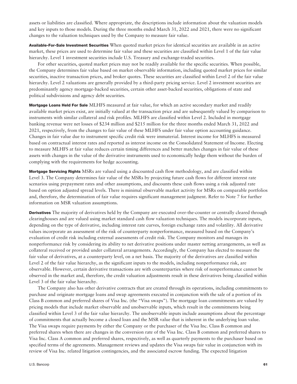assets or liabilities are classified. Where appropriate, the descriptions include information about the valuation models and key inputs to those models. During the three months ended March 31, 2022 and 2021, there were no significant changes to the valuation techniques used by the Company to measure fair value.

**Available-For-Sale Investment Securities** When quoted market prices for identical securities are available in an active market, these prices are used to determine fair value and these securities are classified within Level 1 of the fair value hierarchy. Level 1 investment securities include U.S. Treasury and exchange-traded securities.

For other securities, quoted market prices may not be readily available for the specific securities. When possible, the Company determines fair value based on market observable information, including quoted market prices for similar securities, inactive transaction prices, and broker quotes. These securities are classified within Level 2 of the fair value hierarchy. Level 2 valuations are generally provided by a third-party pricing service. Level 2 investment securities are predominantly agency mortgage-backed securities, certain other asset-backed securities, obligations of state and political subdivisions and agency debt securities.

**Mortgage Loans Held For Sale** MLHFS measured at fair value, for which an active secondary market and readily available market prices exist, are initially valued at the transaction price and are subsequently valued by comparison to instruments with similar collateral and risk profiles. MLHFS are classified within Level 2. Included in mortgage banking revenue were net losses of \$234 million and \$215 million for the three months ended March 31, 2022 and 2021, respectively, from the changes to fair value of these MLHFS under fair value option accounting guidance. Changes in fair value due to instrument specific credit risk were immaterial. Interest income for MLHFS is measured based on contractual interest rates and reported as interest income on the Consolidated Statement of Income. Electing to measure MLHFS at fair value reduces certain timing differences and better matches changes in fair value of these assets with changes in the value of the derivative instruments used to economically hedge them without the burden of complying with the requirements for hedge accounting.

**Mortgage Servicing Rights** MSRs are valued using a discounted cash flow methodology, and are classified within Level 3. The Company determines fair value of the MSRs by projecting future cash flows for different interest rate scenarios using prepayment rates and other assumptions, and discounts these cash flows using a risk adjusted rate based on option adjusted spread levels. There is minimal observable market activity for MSRs on comparable portfolios and, therefore, the determination of fair value requires significant management judgment. Refer to Note 7 for further information on MSR valuation assumptions.

**Derivatives** The majority of derivatives held by the Company are executed over-the-counter or centrally cleared through clearinghouses and are valued using market standard cash flow valuation techniques. The models incorporate inputs, depending on the type of derivative, including interest rate curves, foreign exchange rates and volatility. All derivative values incorporate an assessment of the risk of counterparty nonperformance, measured based on the Company's evaluation of credit risk including external assessments of credit risk. The Company monitors and manages its nonperformance risk by considering its ability to net derivative positions under master netting arrangements, as well as collateral received or provided under collateral arrangements. Accordingly, the Company has elected to measure the fair value of derivatives, at a counterparty level, on a net basis. The majority of the derivatives are classified within Level 2 of the fair value hierarchy, as the significant inputs to the models, including nonperformance risk, are observable. However, certain derivative transactions are with counterparties where risk of nonperformance cannot be observed in the market and, therefore, the credit valuation adjustments result in these derivatives being classified within Level 3 of the fair value hierarchy.

The Company also has other derivative contracts that are created through its operations, including commitments to purchase and originate mortgage loans and swap agreements executed in conjunction with the sale of a portion of its Class B common and preferred shares of Visa Inc. (the "Visa swaps"). The mortgage loan commitments are valued by pricing models that include market observable and unobservable inputs, which result in the commitments being classified within Level 3 of the fair value hierarchy. The unobservable inputs include assumptions about the percentage of commitments that actually become a closed loan and the MSR value that is inherent in the underlying loan value. The Visa swaps require payments by either the Company or the purchaser of the Visa Inc. Class B common and preferred shares when there are changes in the conversion rate of the Visa Inc. Class B common and preferred shares to Visa Inc. Class A common and preferred shares, respectively, as well as quarterly payments to the purchaser based on specified terms of the agreements. Management reviews and updates the Visa swaps fair value in conjunction with its review of Visa Inc. related litigation contingencies, and the associated escrow funding. The expected litigation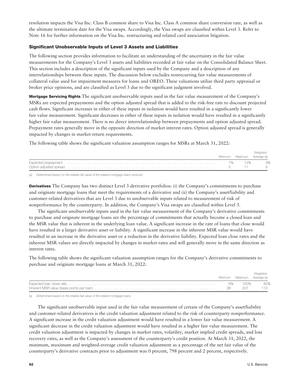resolution impacts the Visa Inc. Class B common share to Visa Inc. Class A common share conversion rate, as well as the ultimate termination date for the Visa swaps. Accordingly, the Visa swaps are classified within Level 3. Refer to Note 16 for further information on the Visa Inc. restructuring and related card association litigation.

#### **Significant Unobservable Inputs of Level 3 Assets and Liabilities**

The following section provides information to facilitate an understanding of the uncertainty in the fair value measurements for the Company's Level 3 assets and liabilities recorded at fair value on the Consolidated Balance Sheet. This section includes a description of the significant inputs used by the Company and a description of any interrelationships between these inputs. The discussion below excludes nonrecurring fair value measurements of collateral value used for impairment measures for loans and OREO. These valuations utilize third party appraisal or broker price opinions, and are classified as Level 3 due to the significant judgment involved.

**Mortgage Servicing Rights** The significant unobservable inputs used in the fair value measurement of the Company's MSRs are expected prepayments and the option adjusted spread that is added to the risk-free rate to discount projected cash flows. Significant increases in either of these inputs in isolation would have resulted in a significantly lower fair value measurement. Significant decreases in either of these inputs in isolation would have resulted in a significantly higher fair value measurement. There is no direct interrelationship between prepayments and option adjusted spread. Prepayment rates generally move in the opposite direction of market interest rates. Option adjusted spread is generally impacted by changes in market return requirements.

The following table shows the significant valuation assumption ranges for MSRs at March 31, 2022:

|  | Minimum Maximum Average (a) |
|--|-----------------------------|
|  |                             |
|  | 9%                          |
|  |                             |

*(a) Determined based on the relative fair value of the related mortgage loans serviced.*

**Derivatives** The Company has two distinct Level 3 derivative portfolios: (i) the Company's commitments to purchase and originate mortgage loans that meet the requirements of a derivative and (ii) the Company's asset/liability and customer-related derivatives that are Level 3 due to unobservable inputs related to measurement of risk of nonperformance by the counterparty. In addition, the Company's Visa swaps are classified within Level 3.

The significant unobservable inputs used in the fair value measurement of the Company's derivative commitments to purchase and originate mortgage loans are the percentage of commitments that actually become a closed loan and the MSR value that is inherent in the underlying loan value. A significant increase in the rate of loans that close would have resulted in a larger derivative asset or liability. A significant increase in the inherent MSR value would have resulted in an increase in the derivative asset or a reduction in the derivative liability. Expected loan close rates and the inherent MSR values are directly impacted by changes in market rates and will generally move in the same direction as interest rates.

The following table shows the significant valuation assumption ranges for the Company's derivative commitments to purchase and originate mortgage loans at March 31, 2022:

|                                                                                                                 |    |      | Weighted-<br>Minimum Maximum Average (a) |
|-----------------------------------------------------------------------------------------------------------------|----|------|------------------------------------------|
|                                                                                                                 | 6% | 100% | 82%                                      |
| Inherent MSR value (basis points per loan) with an array and array and array and array and the control of the c |    |      |                                          |

*(a) Determined based on the relative fair value of the related mortgage loans.*

The significant unobservable input used in the fair value measurement of certain of the Company's asset/liability and customer-related derivatives is the credit valuation adjustment related to the risk of counterparty nonperformance. A significant increase in the credit valuation adjustment would have resulted in a lower fair value measurement. A significant decrease in the credit valuation adjustment would have resulted in a higher fair value measurement. The credit valuation adjustment is impacted by changes in market rates, volatility, market implied credit spreads, and loss recovery rates, as well as the Company's assessment of the counterparty's credit position. At March 31, 2022, the minimum, maximum and weighted-average credit valuation adjustment as a percentage of the net fair value of the counterparty's derivative contracts prior to adjustment was 0 percent, 798 percent and 2 percent, respectively.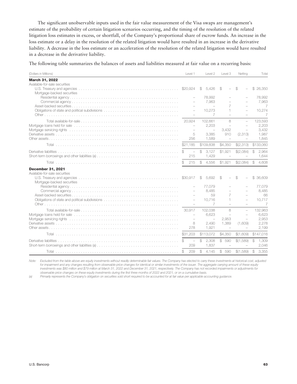The significant unobservable inputs used in the fair value measurement of the Visa swaps are management's estimate of the probability of certain litigation scenarios occurring, and the timing of the resolution of the related litigation loss estimates in excess, or shortfall, of the Company's proportional share of escrow funds. An increase in the loss estimate or a delay in the resolution of the related litigation would have resulted in an increase in the derivative liability. A decrease in the loss estimate or an acceleration of the resolution of the related litigation would have resulted in a decrease in the derivative liability.

The following table summarizes the balances of assets and liabilities measured at fair value on a recurring basis:

| (Dollars in Millions)                                                                                                                                                                                                          | I evel 1                           | Level 2                  | Level 3                       | Nettina                              | Total                  |
|--------------------------------------------------------------------------------------------------------------------------------------------------------------------------------------------------------------------------------|------------------------------------|--------------------------|-------------------------------|--------------------------------------|------------------------|
| March 31, 2022                                                                                                                                                                                                                 |                                    |                          |                               |                                      |                        |
| Available-for-sale securities                                                                                                                                                                                                  |                                    |                          |                               |                                      |                        |
| Mortgage-backed securities                                                                                                                                                                                                     |                                    | $\mathcal{Z}$<br>5.426   | Ĵ.                            | $\mathcal{L}$                        | \$ 26,350              |
|                                                                                                                                                                                                                                | $\qquad \qquad -$                  | 78,992                   |                               |                                      | 78.992                 |
|                                                                                                                                                                                                                                |                                    | 7,963                    |                               |                                      | 7,963                  |
|                                                                                                                                                                                                                                |                                    |                          |                               |                                      | 7                      |
|                                                                                                                                                                                                                                | $\overline{\phantom{m}}$           | 10,273<br>7              |                               |                                      | 10,274<br>7            |
|                                                                                                                                                                                                                                |                                    |                          |                               |                                      |                        |
| Mortgage loans held for sale with the content of the content of the content of the content of the content of the content of the content of the content of the content of the content of the content of the content of the cont | 20,924<br>$\overline{\phantom{a}}$ | 102,661<br>2,203         | 8<br>$\overline{\phantom{m}}$ | $\equiv$<br>$\overline{\phantom{0}}$ | 123,593<br>2.203       |
| Mortgage servicing rights business and successive container and successive containing to more container and the                                                                                                                |                                    | $\overline{\phantom{a}}$ | 3,432                         | $\equiv$                             | 3.432                  |
|                                                                                                                                                                                                                                | 5                                  | 3,385                    | 910                           | (2, 313)                             | 1,987                  |
|                                                                                                                                                                                                                                | 256                                | 1,589                    | $\sim$                        | $\sim$                               | 1,845                  |
|                                                                                                                                                                                                                                | \$21,185                           | \$109,838                | \$4,350                       | \$(2,313)                            | \$133,060              |
|                                                                                                                                                                                                                                | \$.<br>$\overline{\phantom{m}}$    | $\mathbb{S}$<br>3,127    | \$1,921                       | \$(2,084)                            | \$<br>2,964            |
|                                                                                                                                                                                                                                | 215                                | 1,429                    | $\overline{\phantom{a}}$      |                                      | 1,644                  |
|                                                                                                                                                                                                                                | 215<br>S.                          | $\mathcal{L}$<br>4,556   | \$1,921                       | \$(2,084)                            | 4,608<br>$\mathcal{L}$ |
| <b>December 31, 2021</b>                                                                                                                                                                                                       |                                    |                          |                               |                                      |                        |
| Available-for-sale securities                                                                                                                                                                                                  |                                    |                          |                               |                                      |                        |
| Mortgage-backed securities                                                                                                                                                                                                     |                                    | $\mathcal{Z}$<br>5.692   | $\mathcal{L}$<br>$\equiv$     | \$.                                  | \$ 36,609              |
|                                                                                                                                                                                                                                | $\qquad \qquad -$                  | 77.079                   |                               |                                      | 77.079                 |
|                                                                                                                                                                                                                                |                                    | 8.485                    |                               |                                      | 8.485                  |
|                                                                                                                                                                                                                                | $\overline{\phantom{a}}$           | 59                       | 7                             |                                      | 66                     |
|                                                                                                                                                                                                                                |                                    | 10,716<br>7              |                               |                                      | 10,717<br>7            |
|                                                                                                                                                                                                                                | 30.917                             |                          | 8                             | $\equiv$                             |                        |
| Mortgage loans held for sale with a state of the contract of the contract of the contract of the contract of the contract of the contract of the contract of the contract of the contract of the contract of the contract of t | $\overline{\phantom{0}}$           | 102,038<br>6.623         | $\equiv$                      | $\overline{\phantom{m}}$             | 132,963<br>6.623       |
|                                                                                                                                                                                                                                | $\overline{\phantom{0}}$           | $\overline{\phantom{a}}$ | 2,953                         | $\overline{\phantom{m}}$             | 2,953                  |
|                                                                                                                                                                                                                                | 8                                  | 2,490                    | 1,389                         | (1,609)                              | 2,278                  |
|                                                                                                                                                                                                                                | 278                                | 1,921                    | $\sim$                        | $\sim$                               | 2,199                  |
|                                                                                                                                                                                                                                | \$31,203                           | \$113,072                | \$4,350                       | \$(1,609)                            | \$147,016              |
|                                                                                                                                                                                                                                | $\overline{\phantom{m}}$           | $\mathcal{L}$<br>2,308   | \$ 590                        | \$(1,589)                            | $\mathcal{F}$<br>1,309 |
| Short-term borrowings and other liabilities (a) $\ldots \ldots \ldots \ldots \ldots \ldots \ldots \ldots \ldots \ldots \ldots \ldots \ldots$                                                                                   | 209                                | 1,837                    |                               |                                      | 2,046                  |
|                                                                                                                                                                                                                                | $\mathcal{F}$<br>209               | \$4,145                  | \$590                         | \$(1,589)                            | 3,355<br>$\mathcal{L}$ |

*Note: Excluded from the table above are equity investments without readily determinable fair values. The Company has elected to carry these investments at historical cost, adjusted for impairment and any changes resulting from observable price changes for identical or similar investments of the issuer. The aggregate carrying amount of these equity investments was \$80 million and \$79 million at March 31, 2022 and December 31, 2021, respectively. The Company has not recorded impairments or adjustments for observable price changes on these equity investments during the first three months of 2022 and 2021, or on a cumulative basis.*

*(a) Primarily represents the Company's obligation on securities sold short required to be accounted for at fair value per applicable accounting guidance.*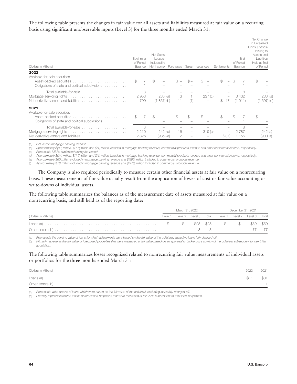The following table presents the changes in fair value for all assets and liabilities measured at fair value on a recurring basis using significant unobservable inputs (Level 3) for the three months ended March 31:

| (Dollars in Millions)                                                                    | Beginning<br>of Period<br>Balance | Net Gains<br>(Losses)<br>Included in<br>Net Income | Purchases | Sales | Issuances | Settlements | Fnd<br>of Period<br>Balance | Net Change<br>in Unrealized<br>Gains (Losses)<br>Relating to<br>Assets and<br>Liabilities<br>Held at End<br>of Period |
|------------------------------------------------------------------------------------------|-----------------------------------|----------------------------------------------------|-----------|-------|-----------|-------------|-----------------------------|-----------------------------------------------------------------------------------------------------------------------|
| 2022                                                                                     |                                   |                                                    |           |       |           |             |                             |                                                                                                                       |
| Available-for-sale securities<br>Obligations of state and political subdivisions         | SS.                               | $\mathcal{L}$                                      |           |       |           | \$          | S.                          |                                                                                                                       |
|                                                                                          | 8<br>2,953<br>799                 | $238$ (a)<br>$(1,867)$ (b)                         | 3<br>11   | (1)   | 237(c)    | \$<br>47    | 8<br>3,432<br>(1, 011)      | $238$ (a)<br>$(1,697)$ (d)                                                                                            |
| 2021<br>Available-for-sale securities<br>Obligations of state and political subdivisions | SS.                               | $\mathcal{L}$                                      |           |       |           |             |                             |                                                                                                                       |
|                                                                                          | 8<br>2,210<br>2,326               | $242$ (a)<br>(935) (e)                             | 16<br>2   | -     | 319(c)    | (237)       | 8<br>2,787<br>1,156         | 242(a)<br>$(900)$ (f)                                                                                                 |

*(a) Included in mortgage banking revenue.*

*(b) Approximately \$(83) million, \$(1.8) billion and \$(1) million included in mortgage banking revenue, commercial products revenue and other noninterest income, respectively. (c) Represents MSRs capitalized during the period.*

*(d) Approximately \$(24) million, \$(1.7) billion and \$(1) million included in mortgage banking revenue, commercial products revenue and other noninterest income, respectively.*

*(e) Approximately \$60 million included in mortgage banking revenue and \$(995) million included in commercial products revenue.*

*(f) Approximately \$78 million included in mortgage banking revenue and \$(978) million included in commercial products revenue.*

The Company is also required periodically to measure certain other financial assets at fair value on a nonrecurring basis. These measurements of fair value usually result from the application of lower-of-cost-or-fair value accounting or write-downs of individual assets.

The following table summarizes the balances as of the measurement date of assets measured at fair value on a nonrecurring basis, and still held as of the reporting date:

|                       | March 31, 2022 |  | December 31, 2021 |                                                               |  |  |  |
|-----------------------|----------------|--|-------------------|---------------------------------------------------------------|--|--|--|
| (Dollars in Millions) |                |  |                   | Level 1 Level 2 Level 3 Total   Level 1 Level 2 Level 3 Total |  |  |  |
|                       |                |  |                   |                                                               |  |  |  |
|                       |                |  |                   | $ -$ 3 3 $ -$ 77 77                                           |  |  |  |

*(a) Represents the carrying value of loans for which adjustments were based on the fair value of the collateral, excluding loans fully charged-off.*

*(b) Primarily represents the fair value of foreclosed properties that were measured at fair value based on an appraisal or broker price opinion of the collateral subsequent to their initial acquisition.*

The following table summarizes losses recognized related to nonrecurring fair value measurements of individual assets or portfolios for the three months ended March 31:

| (Dollars in Millions) | 2021 |
|-----------------------|------|
|                       | \$31 |
|                       |      |

*(a) Represents write-downs of loans which were based on the fair value of the collateral, excluding loans fully charged-off.*

*(b) Primarily represents related losses of foreclosed properties that were measured at fair value subsequent to their initial acquisition.*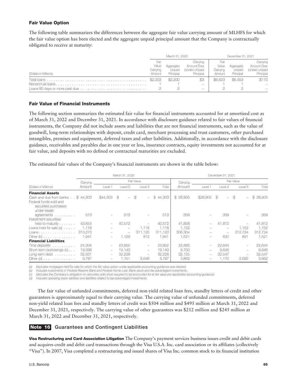#### **Fair Value Option**

The following table summarizes the differences between the aggregate fair value carrying amount of MLHFS for which the fair value option has been elected and the aggregate unpaid principal amount that the Company is contractually obligated to receive at maturity:

|                                                                                                                                                                                                                                |                                     | March 31, 2022                   |                                                             | December 31, 2021                   |                                  |                                                        |  |  |  |
|--------------------------------------------------------------------------------------------------------------------------------------------------------------------------------------------------------------------------------|-------------------------------------|----------------------------------|-------------------------------------------------------------|-------------------------------------|----------------------------------|--------------------------------------------------------|--|--|--|
| (Dollars in Millions)                                                                                                                                                                                                          | Fair<br>Value<br>Carrying<br>Amount | Aggregate<br>Unpaid<br>Principal | Carrying<br>Amount Over<br>(Under) Unpaid<br>Principal      | Fair<br>Value<br>Carrying<br>Amount | Aggregate<br>Unpaid<br>Principal | Carrying<br>Amount Over<br>(Under) Unpaid<br>Principal |  |  |  |
| Loans 90 days or more past due with the context of the context of the context of the context of the context of the state of the state of the state of the state of the state of the state of the state of the state of the sta | \$2.203                             | \$2.200                          | \$3<br>$\overline{\phantom{m}}$<br>$\overline{\phantom{m}}$ | \$6.623                             | \$6.453                          | \$170                                                  |  |  |  |

#### **Fair Value of Financial Instruments**

The following section summarizes the estimated fair value for financial instruments accounted for at amortized cost as of March 31, 2022 and December 31, 2021. In accordance with disclosure guidance related to fair values of financial instruments, the Company did not include assets and liabilities that are not financial instruments, such as the value of goodwill, long-term relationships with deposit, credit card, merchant processing and trust customers, other purchased intangibles, premises and equipment, deferred taxes and other liabilities. Additionally, in accordance with the disclosure guidance, receivables and payables due in one year or less, insurance contracts, equity investments not accounted for at fair value, and deposits with no defined or contractual maturities are excluded.

The estimated fair values of the Company's financial instruments are shown in the table below:

|                                         | March 31, 2022<br>December 31, 2021 |                   |                   |                                           |          |          |                          |                           |                                  |          |  |
|-----------------------------------------|-------------------------------------|-------------------|-------------------|-------------------------------------------|----------|----------|--------------------------|---------------------------|----------------------------------|----------|--|
|                                         | Carrying                            |                   |                   | Fair Value                                |          | Carrying |                          |                           | Fair Value                       |          |  |
| (Dollars in Millions)                   | Amount                              | Level 1           | Level 2           | Level 3                                   | Total    | Amount   | Level 1                  | Level 2                   | Level 3                          | Total    |  |
| <b>Financial Assets</b>                 |                                     |                   |                   |                                           |          |          |                          |                           |                                  |          |  |
| Cash and due from banks \$44,303        |                                     | \$44,303          | - \$<br>$\equiv$  | $\mathcal{L}$<br>$\overline{\phantom{a}}$ | \$44,303 | \$28,905 | \$28,905                 | $\mathcal{S}$<br>$\equiv$ | - \$<br>$\overline{\phantom{m}}$ | \$28,905 |  |
| Federal funds sold and                  |                                     |                   |                   |                                           |          |          |                          |                           |                                  |          |  |
| securities purchased                    |                                     |                   |                   |                                           |          |          |                          |                           |                                  |          |  |
| under resale                            |                                     |                   |                   |                                           |          |          |                          |                           |                                  |          |  |
| agreements                              | 513                                 |                   | 513               |                                           | 513      | 359      |                          | 359                       |                                  | 359      |  |
| Investment securities                   |                                     |                   |                   |                                           |          |          |                          |                           |                                  |          |  |
| held-to-maturity                        | 43.654                              |                   | 40.572            |                                           | 40.572   | 41,858   |                          | 41.812                    |                                  | 41,812   |  |
| Loans held for sale $(a) \ldots \ldots$ | 1.118                               |                   |                   | 1.118                                     | 1,118    | 1,152    |                          |                           | 1.152                            | 1.152    |  |
| Loans                                   | 313,270                             |                   | $\qquad \qquad -$ | 311.120                                   | 311.120  | 306.304  |                          | $\qquad \qquad -$         | 312.724                          | 312.724  |  |
| Other $(b)$                             | 1.941                               | -                 | 1.129             | 812                                       | 1,941    | 1,521    |                          | 630                       | 891                              | 1,521    |  |
| <b>Financial Liabilities</b>            |                                     |                   |                   |                                           |          |          |                          |                           |                                  |          |  |
| Time deposits                           | 24.304                              |                   | 23.952            | $\overline{\phantom{m}}$                  | 23,952   | 22,665   |                          | 22.644                    |                                  | 22,644   |  |
| Short-term borrowings (c)               | 19.398                              |                   | 19.140            | $\qquad \qquad -$                         | 19.140   | 9.750    |                          | 9.646                     |                                  | 9.646    |  |
| Long-term debt $\dots\dots\dots$        | 32.931                              | $\qquad \qquad -$ | 32.228            | $\qquad \qquad -$                         | 32,228   | 32,125   | $\overline{\phantom{a}}$ | 32,547                    | $-$                              | 32,547   |  |
| Other $(d)$                             | 3.797                               |                   | 1.151             | 2.646                                     | 3.797    | 3,862    |                          | 1.170                     | 2.692                            | 3.862    |  |

*(a) Excludes mortgages held for sale for which the fair value option under applicable accounting guidance was elected.*

*(b) Includes investments in Federal Reserve Bank and Federal Home Loan Bank stock and tax-advantaged investments.*

*(c) Excludes the Company's obligation on securities sold short required to be accounted for at fair value per applicable accounting guidance.*

*(d) Includes operating lease liabilities and liabilities related to tax-advantaged investments.*

The fair value of unfunded commitments, deferred non-yield related loan fees, standby letters of credit and other guarantees is approximately equal to their carrying value. The carrying value of unfunded commitments, deferred non-yield related loan fees and standby letters of credit was \$504 million and \$495 million at March 31, 2022 and December 31, 2021, respectively. The carrying value of other guarantees was \$212 million and \$245 million at March 31, 2022 and December 31, 2021, respectively.

#### **Note 16 Guarantees and Contingent Liabilities**

**Visa Restructuring and Card Association Litigation** The Company's payment services business issues credit and debit cards and acquires credit and debit card transactions through the Visa U.S.A. Inc. card association or its affiliates (collectively "Visa"). In 2007, Visa completed a restructuring and issued shares of Visa Inc. common stock to its financial institution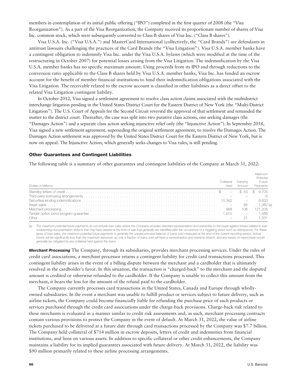members in contemplation of its initial public offering ("IPO") completed in the first quarter of 2008 (the "Visa Reorganization"). As a part of the Visa Reorganization, the Company received its proportionate number of shares of Visa Inc. common stock, which were subsequently converted to Class B shares of Visa Inc. ("Class B shares").

Visa U.S.A. Inc. ("Visa U.S.A.") and MasterCard International (collectively, the "Card Brands") are defendants in antitrust lawsuits challenging the practices of the Card Brands (the "Visa Litigation"). Visa U.S.A. member banks have a contingent obligation to indemnify Visa Inc. under the Visa U.S.A. bylaws (which were modified at the time of the restructuring in October 2007) for potential losses arising from the Visa Litigation. The indemnification by the Visa U.S.A. member banks has no specific maximum amount. Using proceeds from its IPO and through reductions to the conversion ratio applicable to the Class B shares held by Visa U.S.A. member banks, Visa Inc. has funded an escrow account for the benefit of member financial institutions to fund their indemnification obligations associated with the Visa Litigation. The receivable related to the escrow account is classified in other liabilities as a direct offset to the related Visa Litigation contingent liability.

In October 2012, Visa signed a settlement agreement to resolve class action claims associated with the multidistrict interchange litigation pending in the United States District Court for the Eastern District of New York (the "Multi-District Litigation"). The U.S. Court of Appeals for the Second Circuit reversed the approval of that settlement and remanded the matter to the district court. Thereafter, the case was split into two putative class actions, one seeking damages (the "Damages Action") and a separate class action seeking injunctive relief only (the "Injunctive Action"). In September 2018, Visa signed a new settlement agreement, superseding the original settlement agreement, to resolve the Damages Action. The Damages Action settlement was approved by the United States District Court for the Eastern District of New York, but is now on appeal. The Injunctive Action, which generally seeks changes to Visa rules, is still pending.

#### **Other Guarantees and Contingent Liabilities**

The following table is a summary of other guarantees and contingent liabilities of the Company at March 31, 2022:

| (Dollars in Millions) | Held  | Carivina<br>Amount | Maximum<br>Potential<br>Future<br>Payments |
|-----------------------|-------|--------------------|--------------------------------------------|
|                       |       |                    |                                            |
|                       |       |                    |                                            |
|                       |       |                    | 9.933                                      |
|                       |       | -85                | 7.382 (a)                                  |
|                       | 968   | 106                | 121,205                                    |
|                       | 1.615 |                    | 1.488                                      |
|                       |       |                    | 1.331                                      |

*(a) The maximum potential future payments do not include loan sales where the Company provides standard representation and warranties to the buyer against losses related to loan underwriting documentation defects that may have existed at the time of sale that generally are identified after the occurrence of a triggering event such as delinquency. For these types of loan sales, the maximum potential future payments is generally the unpaid principal balance of loans sold measured at the end of the current reporting period. Actual* losses will be significantly less than the maximum exposure, as only a fraction of loans sold will have a representation and warranty breach, and any losses on repurchase would *generally be mitigated by any collateral held against the loans.*

*Merchant Processing* The Company, through its subsidiaries, provides merchant processing services. Under the rules of credit card associations, a merchant processor retains a contingent liability for credit card transactions processed. This contingent liability arises in the event of a billing dispute between the merchant and a cardholder that is ultimately resolved in the cardholder's favor. In this situation, the transaction is "charged-back" to the merchant and the disputed amount is credited or otherwise refunded to the cardholder. If the Company is unable to collect this amount from the merchant, it bears the loss for the amount of the refund paid to the cardholder.

The Company currently processes card transactions in the United States, Canada and Europe through whollyowned subsidiaries. In the event a merchant was unable to fulfill product or services subject to future delivery, such as airline tickets, the Company could become financially liable for refunding the purchase price of such products or services purchased through the credit card associations under the charge-back provisions. Charge-back risk related to these merchants is evaluated in a manner similar to credit risk assessments and, as such, merchant processing contracts contain various provisions to protect the Company in the event of default. At March 31, 2022, the value of airline tickets purchased to be delivered at a future date through card transactions processed by the Company was \$7.7 billion. The Company held collateral of \$714 million in escrow deposits, letters of credit and indemnities from financial institutions, and liens on various assets. In addition to specific collateral or other credit enhancements, the Company maintains a liability for its implied guarantees associated with future delivery. At March 31, 2022, the liability was \$90 million primarily related to these airline processing arrangements.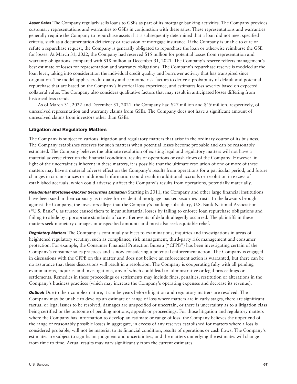*Asset Sales* The Company regularly sells loans to GSEs as part of its mortgage banking activities. The Company provides customary representations and warranties to GSEs in conjunction with these sales. These representations and warranties generally require the Company to repurchase assets if it is subsequently determined that a loan did not meet specified criteria, such as a documentation deficiency or rescission of mortgage insurance. If the Company is unable to cure or refute a repurchase request, the Company is generally obligated to repurchase the loan or otherwise reimburse the GSE for losses. At March 31, 2022, the Company had reserved \$15 million for potential losses from representation and warranty obligations, compared with \$18 million at December 31, 2021. The Company's reserve reflects management's best estimate of losses for representation and warranty obligations. The Company's repurchase reserve is modeled at the loan level, taking into consideration the individual credit quality and borrower activity that has transpired since origination. The model applies credit quality and economic risk factors to derive a probability of default and potential repurchase that are based on the Company's historical loss experience, and estimates loss severity based on expected collateral value. The Company also considers qualitative factors that may result in anticipated losses differing from historical loss trends.

As of March 31, 2022 and December 31, 2021, the Company had \$27 million and \$19 million, respectively, of unresolved representation and warranty claims from GSEs. The Company does not have a significant amount of unresolved claims from investors other than GSEs.

#### **Litigation and Regulatory Matters**

The Company is subject to various litigation and regulatory matters that arise in the ordinary course of its business. The Company establishes reserves for such matters when potential losses become probable and can be reasonably estimated. The Company believes the ultimate resolution of existing legal and regulatory matters will not have a material adverse effect on the financial condition, results of operations or cash flows of the Company. However, in light of the uncertainties inherent in these matters, it is possible that the ultimate resolution of one or more of these matters may have a material adverse effect on the Company's results from operations for a particular period, and future changes in circumstances or additional information could result in additional accruals or resolution in excess of established accruals, which could adversely affect the Company's results from operations, potentially materially.

*Residential Mortgage-Backed Securities Litigation* Starting in 2011, the Company and other large financial institutions have been sued in their capacity as trustee for residential mortgage–backed securities trusts. In the lawsuits brought against the Company, the investors allege that the Company's banking subsidiary, U.S. Bank National Association ("U.S. Bank"), as trustee caused them to incur substantial losses by failing to enforce loan repurchase obligations and failing to abide by appropriate standards of care after events of default allegedly occurred. The plaintiffs in these matters seek monetary damages in unspecified amounts and most also seek equitable relief.

*Regulatory Matters* The Company is continually subject to examinations, inquiries and investigations in areas of heightened regulatory scrutiny, such as compliance, risk management, third-party risk management and consumer protection. For example, the Consumer Financial Protection Bureau ("CFPB") has been investigating certain of the Company's consumer sales practices and is now considering a potential enforcement action. The Company is engaged in discussions with the CFPB on this matter and does not believe an enforcement action is warranted, but there can be no assurance that these discussions will result in a resolution. The Company is cooperating fully with all pending examinations, inquiries and investigations, any of which could lead to administrative or legal proceedings or settlements. Remedies in these proceedings or settlements may include fines, penalties, restitution or alterations in the Company's business practices (which may increase the Company's operating expenses and decrease its revenue).

*Outlook* Due to their complex nature, it can be years before litigation and regulatory matters are resolved. The Company may be unable to develop an estimate or range of loss where matters are in early stages, there are significant factual or legal issues to be resolved, damages are unspecified or uncertain, or there is uncertainty as to a litigation class being certified or the outcome of pending motions, appeals or proceedings. For those litigation and regulatory matters where the Company has information to develop an estimate or range of loss, the Company believes the upper end of the range of reasonably possible losses in aggregate, in excess of any reserves established for matters where a loss is considered probable, will not be material to its financial condition, results of operations or cash flows. The Company's estimates are subject to significant judgment and uncertainties, and the matters underlying the estimates will change from time to time. Actual results may vary significantly from the current estimates.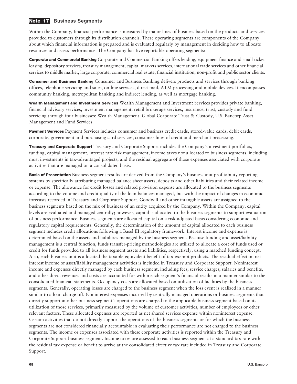## **Note 17 Business Segments**

Within the Company, financial performance is measured by major lines of business based on the products and services provided to customers through its distribution channels. These operating segments are components of the Company about which financial information is prepared and is evaluated regularly by management in deciding how to allocate resources and assess performance. The Company has five reportable operating segments:

**Corporate and Commercial Banking** Corporate and Commercial Banking offers lending, equipment finance and small-ticket leasing, depository services, treasury management, capital markets services, international trade services and other financial services to middle market, large corporate, commercial real estate, financial institution, non-profit and public sector clients.

**Consumer and Business Banking** Consumer and Business Banking delivers products and services through banking offices, telephone servicing and sales, on-line services, direct mail, ATM processing and mobile devices. It encompasses community banking, metropolitan banking and indirect lending, as well as mortgage banking.

**Wealth Management and Investment Services** Wealth Management and Investment Services provides private banking, financial advisory services, investment management, retail brokerage services, insurance, trust, custody and fund servicing through four businesses: Wealth Management, Global Corporate Trust & Custody, U.S. Bancorp Asset Management and Fund Services.

**Payment Services** Payment Services includes consumer and business credit cards, stored-value cards, debit cards, corporate, government and purchasing card services, consumer lines of credit and merchant processing.

**Treasury and Corporate Support** Treasury and Corporate Support includes the Company's investment portfolios, funding, capital management, interest rate risk management, income taxes not allocated to business segments, including most investments in tax-advantaged projects, and the residual aggregate of those expenses associated with corporate activities that are managed on a consolidated basis.

**Basis of Presentation** Business segment results are derived from the Company's business unit profitability reporting systems by specifically attributing managed balance sheet assets, deposits and other liabilities and their related income or expense. The allowance for credit losses and related provision expense are allocated to the business segments according to the volume and credit quality of the loan balances managed, but with the impact of changes in economic forecasts recorded in Treasury and Corporate Support. Goodwill and other intangible assets are assigned to the business segments based on the mix of business of an entity acquired by the Company. Within the Company, capital levels are evaluated and managed centrally; however, capital is allocated to the business segments to support evaluation of business performance. Business segments are allocated capital on a risk-adjusted basis considering economic and regulatory capital requirements. Generally, the determination of the amount of capital allocated to each business segment includes credit allocations following a Basel III regulatory framework. Interest income and expense is determined based on the assets and liabilities managed by the business segment. Because funding and asset/liability management is a central function, funds transfer-pricing methodologies are utilized to allocate a cost of funds used or credit for funds provided to all business segment assets and liabilities, respectively, using a matched funding concept. Also, each business unit is allocated the taxable-equivalent benefit of tax-exempt products. The residual effect on net interest income of asset/liability management activities is included in Treasury and Corporate Support. Noninterest income and expenses directly managed by each business segment, including fees, service charges, salaries and benefits, and other direct revenues and costs are accounted for within each segment's financial results in a manner similar to the consolidated financial statements. Occupancy costs are allocated based on utilization of facilities by the business segments. Generally, operating losses are charged to the business segment when the loss event is realized in a manner similar to a loan charge-off. Noninterest expenses incurred by centrally managed operations or business segments that directly support another business segment's operations are charged to the applicable business segment based on its utilization of those services, primarily measured by the volume of customer activities, number of employees or other relevant factors. These allocated expenses are reported as net shared services expense within noninterest expense. Certain activities that do not directly support the operations of the business segments or for which the business segments are not considered financially accountable in evaluating their performance are not charged to the business segments. The income or expenses associated with these corporate activities is reported within the Treasury and Corporate Support business segment. Income taxes are assessed to each business segment at a standard tax rate with the residual tax expense or benefit to arrive at the consolidated effective tax rate included in Treasury and Corporate Support.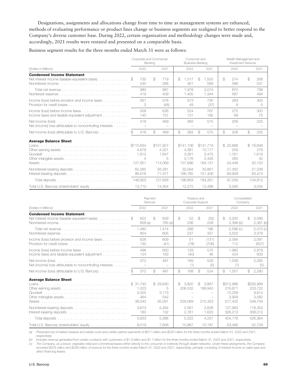Designations, assignments and allocations change from time to time as management systems are enhanced, methods of evaluating performance or product lines change or business segments are realigned to better respond to the Company's diverse customer base. During 2022, certain organization and methodology changes were made and, accordingly, 2021 results were restated and presented on a comparable basis.

#### Business segment results for the three months ended March 31 were as follows:

|                                                                                        |      | Corporate and Commercial                    | Banking       |                                             | Consumer and<br><b>Business Banking</b> |                                                 |               |                                                  | Wealth Management and<br><b>Investment Services</b> |               |                                          |
|----------------------------------------------------------------------------------------|------|---------------------------------------------|---------------|---------------------------------------------|-----------------------------------------|-------------------------------------------------|---------------|--------------------------------------------------|-----------------------------------------------------|---------------|------------------------------------------|
| (Dollars in Millions)                                                                  |      | 2022                                        |               | 2021                                        |                                         | 2022                                            |               | 2021                                             | 2022                                                |               | 2021                                     |
| <b>Condensed Income Statement</b><br>Net interest income (taxable-equivalent basis) \$ |      | 735<br>245                                  | $\mathcal{L}$ | 719<br>268                                  | R.                                      | 1.517<br>461                                    | $\mathbb S$   | 1.505<br>569                                     | \$<br>274<br>596                                    | \$            | 268<br>531                               |
|                                                                                        |      | 980<br>419                                  |               | 987<br>409                                  |                                         | 1.978<br>1.405                                  |               | 2.074<br>1,344                                   | 870<br>587                                          |               | 799<br>494                               |
| Income (loss) before provision and income taxes $\dots \dots \dots$                    |      | 561<br>3                                    |               | 578<br>(48)                                 |                                         | 573<br>49                                       |               | 730<br>(37)                                      | 283<br>8                                            |               | 305<br>5                                 |
| Income taxes and taxable-equivalent adjustment                                         |      | 558<br>140                                  |               | 626<br>157                                  |                                         | 524<br>131                                      |               | 767<br>192                                       | 275<br>69                                           |               | 300<br>75                                |
| Net (income) loss attributable to noncontrolling interests                             |      | 418<br>$\overline{\phantom{0}}$             |               | 469<br>$\equiv$                             |                                         | 393<br>$\overline{\phantom{0}}$                 |               | 575<br>$\equiv$                                  | 206                                                 |               | 225                                      |
| Net income (loss) attributable to U.S. Bancorp                                         | - \$ | 418                                         | $\mathcal{L}$ | 469                                         | $\mathbb{S}$                            | 393                                             | $\mathcal{L}$ | 575                                              | \$<br>206                                           | $\mathcal{L}$ | 225                                      |
| <b>Average Balance Sheet</b>                                                           |      | \$115,634<br>4.676<br>1.912<br>4<br>127,651 |               | \$101.927<br>4.321<br>1.647<br>5<br>114,069 |                                         | \$141.106<br>4.381<br>3,261<br>3.176<br>157.696 |               | \$141,719<br>10.177<br>3.475<br>2.493<br>164,131 | \$ 20,666<br>259<br>1.761<br>265<br>24,446          |               | \$16,846<br>279<br>1.619<br>42<br>20,120 |
|                                                                                        |      | 62.285<br>86,618                            |               | 56.281<br>71.377                            |                                         | 32.094<br>166.765                               |               | 32.861<br>151,406                                | 27,350<br>69.909                                    |               | 21.338<br>83.474                         |
|                                                                                        |      | 148.903                                     |               | 127.658                                     |                                         | 198.859                                         |               | 184,267                                          | 97,259                                              |               | 104,812                                  |
| Total U.S. Bancorp shareholders' equity                                                |      | 13.710                                      |               | 14.354                                      |                                         | 12.275                                          |               | 12.496                                           | 3.595                                               |               | 3.034                                    |

|                                                                                                                                        |   | Payment<br>Services                         |    |                                         | Treasury and<br>Corporate Support |                             |               |                             | Consolidated<br>Company                            |                                                   |
|----------------------------------------------------------------------------------------------------------------------------------------|---|---------------------------------------------|----|-----------------------------------------|-----------------------------------|-----------------------------|---------------|-----------------------------|----------------------------------------------------|---------------------------------------------------|
| (Dollars in Millions)                                                                                                                  |   | 2022                                        |    | 2021                                    |                                   | 2022                        |               | 2021                        | 2022                                               | 2021                                              |
| <b>Condensed Income Statement</b><br>Net interest income (taxable-equivalent basis)                                                    |   | 622<br>858 (a)                              | \$ | 629<br>785 (a)                          | \$                                | 52<br>236                   | \$.           | (32)<br>228                 | \$<br>3.200<br>$2,396$ (b)                         | \$<br>3.089<br>$2,381$ (b)                        |
|                                                                                                                                        |   | 1.480<br>854                                |    | 1.414<br>805                            |                                   | 288<br>237                  |               | 196<br>327                  | 5.596(c)<br>3.502                                  | 5,470(c)<br>3.379                                 |
| Income (loss) before provision and income taxes                                                                                        |   | 626<br>130                                  |    | 609<br>(41)                             |                                   | 51<br>(78)                  |               | (131)<br>(706)              | 2.094<br>112                                       | 2.091<br>(827)                                    |
| Income (loss) before income taxes $\ldots \ldots \ldots \ldots \ldots \ldots \ldots$<br>Income taxes and taxable-equivalent adjustment |   | 496<br>124                                  |    | 650<br>163                              |                                   | 129<br>(40)                 |               | 575<br>46                   | 1.982<br>424                                       | 2,918<br>633                                      |
| Net (income) loss attributable to noncontrolling interests                                                                             |   | 372<br>$\overline{\phantom{m}}$             |    | 487<br>$\equiv$                         |                                   | 169<br>(1)                  |               | 529<br>(5)                  | 1.558<br>(1)                                       | 2,285<br>(5)                                      |
| Net income (loss) attributable to U.S. Bancorp                                                                                         | S | 372                                         | Я. | 487                                     | $\mathcal{L}$                     | 168                         | $\mathcal{L}$ | 524                         | \$<br>1.557                                        | \$<br>2,280                                       |
| <b>Average Balance Sheet</b>                                                                                                           |   | \$31.740<br>1.023<br>3.325<br>464<br>38,540 |    | \$29,630<br>5<br>3.173<br>542<br>35,091 | $\mathbb{S}$                      | 3,820<br>206.532<br>229,069 | $\mathbb{R}$  | 3.867<br>188.940<br>215,323 | \$312,966<br>216.871<br>10.259<br>3.909<br>577.402 | \$293.989<br>203.722<br>9.914<br>3.082<br>548,734 |
| Noninterest-bearing deposits                                                                                                           |   | 3.673<br>160                                |    | 5.264<br>132                            |                                   | 2.561<br>2,761              |               | 2.608<br>1,623              | 127.963<br>326,213                                 | 118.352<br>308,012                                |
|                                                                                                                                        |   | 3.833                                       |    | 5.396                                   |                                   | 5.322                       |               | 4.231                       | 454.176                                            | 426.364                                           |
| Total U.S. Bancorp shareholders' equity                                                                                                |   | 8.019                                       |    | 7.658                                   |                                   | 15.867                      |               | 15.187                      | 53.466                                             | 52.729                                            |

*(a) Presented net of related rewards and rebate costs and certain partner payments of \$671 million and \$535 million for the three months ended March 31, 2022 and 2021, respectively.*

*(b) Includes revenue generated from certain contracts with customers of \$1.9 billion and \$1.7 billion for the three months ended March 31, 2022 and 2021, respectively.*

*(c) The Company, as a lessor, originates retail and commercial leases either directly to the consumer or indirectly through dealer networks. Under these arrangments, the Company recorded \$204 million and \$228 million of revenue for the three months ended March 31, 2022 and 2021, respectively, primarily consisting of interest income on sales-type and direct financing leases.*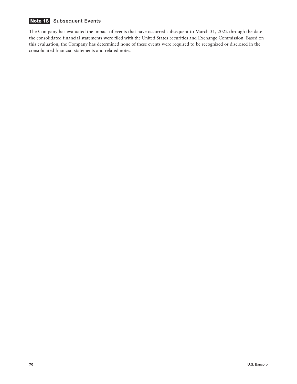## **Note 18 Subsequent Events**

The Company has evaluated the impact of events that have occurred subsequent to March 31, 2022 through the date the consolidated financial statements were filed with the United States Securities and Exchange Commission. Based on this evaluation, the Company has determined none of these events were required to be recognized or disclosed in the consolidated financial statements and related notes.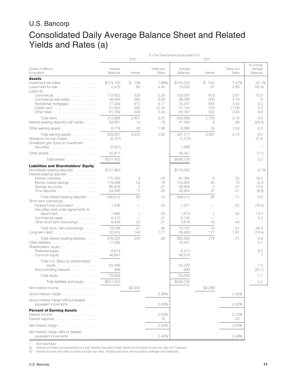# U.S. Bancorp

# Consolidated Daily Average Balance Sheet and Related Yields and Rates (a)

|                                                                                                             |                                                 | For the Three Months Ended March 31            |                                       |                                                 |                                     |                                       |                                 |  |
|-------------------------------------------------------------------------------------------------------------|-------------------------------------------------|------------------------------------------------|---------------------------------------|-------------------------------------------------|-------------------------------------|---------------------------------------|---------------------------------|--|
| (Dollars in Millions)<br>(Unaudited)                                                                        |                                                 | 2022                                           |                                       |                                                 | 2021                                |                                       |                                 |  |
|                                                                                                             | Average<br>Balances                             | Interest                                       | Yields and<br>Rates                   | Average<br>Balances                             | Interest                            | Yields and<br>Rates                   | % Change<br>Average<br>Balances |  |
| <b>Assets</b>                                                                                               |                                                 |                                                |                                       |                                                 |                                     |                                       |                                 |  |
| Investment securities<br>Loans held for sale                                                                | \$174,762<br>5,479                              | \$736<br>60                                    | 1.68%<br>4.40                         | \$145,520<br>10,032                             | $^{\circ}$<br>534<br>67             | 1.47%<br>2.69                         | 20.1%<br>(45.4)                 |  |
| Loans (b)<br>Commercial<br>Commercial real estate<br>Residential mortgages<br>Other retail                  | 112,822<br>39,084<br>77,449<br>21,842<br>61.769 | 629<br>295<br>612<br>562<br>509                | 2.26<br>3.06<br>3.17<br>10.44<br>3.34 | 102,091<br>38,786<br>75,201<br>21,144<br>56,767 | 673<br>305<br>645<br>578<br>532     | 2.67<br>3.19<br>3.44<br>11.08<br>3.80 | 10.5<br>.8<br>3.0<br>3.3<br>8.8 |  |
| Total loans<br>Interest-bearing deposits with banks                                                         | 312,966<br>29,851                               | 2,607<br>14                                    | 3.37<br>.19                           | 293,989<br>41,784                               | 2,733<br>9                          | 3.76<br>.08                           | 6.5<br>(28.6)                   |  |
| Other earning assets                                                                                        | 6,779                                           | 28                                             | 1.68                                  | 6,386                                           | 24                                  | 1.53                                  | 6.2                             |  |
| Total earning assets<br>Allowance for loan losses<br>Unrealized gain (loss) on investment                   | 529,837<br>(5,701)                              | 3,445                                          | 2.62                                  | 497,711<br>(7, 272)                             | 3,367                               | 2.73                                  | 6.5<br>21.6                     |  |
|                                                                                                             | (2,551)                                         |                                                |                                       | 1,838                                           |                                     |                                       |                                 |  |
|                                                                                                             | 55,817                                          |                                                |                                       | 56,457                                          |                                     |                                       | (1.1)                           |  |
| Total assets                                                                                                | \$577,402                                       |                                                |                                       | \$548,734                                       |                                     |                                       | 5.2                             |  |
| <b>Liabilities and Shareholders' Equity</b><br>Noninterest-bearing deposits                                 | \$127,963                                       |                                                |                                       | \$118,352                                       |                                     |                                       | 8.1%                            |  |
| Interest-bearing deposits<br>Interest checking<br>Money market savings<br>Savings accounts<br>Time deposits | 115,062<br>119,588<br>66.978<br>24,585          | 9<br>52<br>$\mathbf{2}$<br>17                  | .03<br>.18<br>.01<br>.28              | 97,385<br>124,825<br>58,848<br>26,954           | 6<br>50<br>$\overline{2}$<br>27     | .02<br>.16<br>.01<br>.41              | 18.2<br>(4.2)<br>13.8<br>(8.8)  |  |
| Total interest-bearing deposits                                                                             | 326,213                                         | 80                                             | .10                                   | 308,012                                         | 85                                  | .11                                   | 5.9                             |  |
| Short-term borrowings<br>Federal funds purchased<br>Securities sold under agreements to                     | 1,236                                           |                                                | .04                                   | 1,471                                           |                                     | .02                                   | (16.0)                          |  |
| repurchase<br>Commercial paper<br>Other short-term borrowings                                               | 1,895<br>6,473<br>9,434                         | $\mathbf{1}$<br>$\overline{\phantom{0}}$<br>20 | .03<br>.01<br>.21                     | 1,673<br>6,145<br>3,818                         | 1<br>$\overline{\phantom{0}}$<br>15 | .04<br>.40                            | 13.3<br>5.3                     |  |
| Total short-term borrowings                                                                                 | 19,038<br>32,972                                | 21<br>144                                      | .46<br>1.77                           | 13,107<br>39,463                                | 16<br>177                           | .51<br>1.81                           | 45.3<br>(16.4)                  |  |
| Total interest-bearing liabilities<br>Shareholders' equity                                                  | 378,223<br>17,282                               | 245                                            | .26                                   | 360,582<br>16,441                               | 278                                 | .31                                   | 4.9<br>5.1                      |  |
| Preferred equity<br>Common equity                                                                           | 6,619<br>46,847                                 |                                                |                                       | 6.213<br>46,516                                 |                                     |                                       | 6.5<br>.7                       |  |
| Total U.S. Bancorp shareholders'<br>Noncontrolling interests                                                | 53,466<br>468                                   |                                                |                                       | 52,729<br>630                                   |                                     |                                       | 1.4<br>(25.7)                   |  |
| Total equity                                                                                                | 53,934                                          |                                                |                                       | 53,359                                          |                                     |                                       | 1.1                             |  |
| Total liabilities and equity                                                                                | \$577,402                                       |                                                |                                       | \$548,734                                       |                                     |                                       | 5.2                             |  |
| Net interest income                                                                                         |                                                 | \$3,200                                        |                                       |                                                 | \$3,089                             |                                       |                                 |  |
| Gross interest margin                                                                                       |                                                 |                                                | 2.36%                                 |                                                 |                                     | 2.42%                                 |                                 |  |
| Gross interest margin without taxable-<br>equivalent increments                                             |                                                 |                                                | 2.34%                                 |                                                 |                                     | 2.40%                                 |                                 |  |
| <b>Percent of Earning Assets</b><br>Interest expense                                                        |                                                 |                                                | 2.62%<br>.18                          |                                                 |                                     | 2.73%<br>.23                          |                                 |  |
| Net interest margin                                                                                         |                                                 |                                                | 2.44%                                 |                                                 |                                     | 2.50%                                 |                                 |  |
| Net interest margin without taxable-<br>equivalent increments                                               |                                                 |                                                | 2.42%                                 |                                                 |                                     | 2.48%                                 |                                 |  |

*\* Not meaningful*

*(a) Interest and rates are presented on a fully taxable-equivalent basis based on a federal income tax rate of 21 percent.*

*(b) Interest income and rates on loans include loan fees. Nonaccrual loans are included in average loan balances.*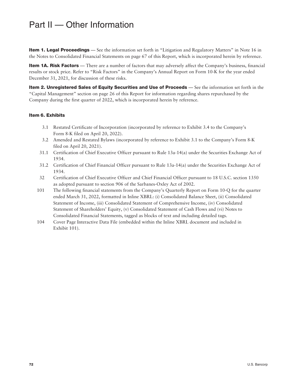# Part II — Other Information

**Item 1. Legal Proceedings** — See the information set forth in "Litigation and Regulatory Matters" in Note 16 in the Notes to Consolidated Financial Statements on page 67 of this Report, which is incorporated herein by reference.

**Item 1A. Risk Factors** — There are a number of factors that may adversely affect the Company's business, financial results or stock price. Refer to "Risk Factors" in the Company's Annual Report on Form 10-K for the year ended December 31, 2021, for discussion of these risks.

**Item 2. Unregistered Sales of Equity Securities and Use of Proceeds** — See the information set forth in the "Capital Management" section on page 26 of this Report for information regarding shares repurchased by the Company during the first quarter of 2022, which is incorporated herein by reference.

# **Item 6. Exhibits**

- 3.1 [Restated Certificate of Incorporation \(incorporated by reference to Exhibit 3.4 to the Company's](https://www.sec.gov/Archives/edgar/data/36104/000119312522111240/d308913dex34.htm) [Form 8-K filed on April 20, 2022\).](https://www.sec.gov/Archives/edgar/data/36104/000119312522111240/d308913dex34.htm)
- 3.2 [Amended and Restated Bylaws \(incorporated by reference to Exhibit 3.1 to the Company's Form 8-K](https://www.sec.gov/Archives/edgar/data/36104/000119312521122822/d171700dex31.htm) [filed on April 20, 2021\).](https://www.sec.gov/Archives/edgar/data/36104/000119312521122822/d171700dex31.htm)
- 31.1 [Certification of Chief Executive Officer pursuant to Rule 13a-14\(a\) under the Securities Exchange Act of](d306477dex311.htm) [1934.](d306477dex311.htm)
- 31.2 [Certification of Chief Financial Officer pursuant to Rule 13a-14\(a\) under the Securities Exchange Act of](d306477dex312.htm) [1934.](d306477dex312.htm)
- 32 [Certification of Chief Executive Officer and Chief Financial Officer pursuant to 18 U.S.C. section 1350](d306477dex32.htm) [as adopted pursuant to section 906 of the Sarbanes-Oxley Act of 2002.](d306477dex32.htm)
- 101 The following financial statements from the Company's Quarterly Report on Form 10-Q for the quarter ended March 31, 2022, formatted in Inline XBRL: (i) Consolidated Balance Sheet, (ii) Consolidated Statement of Income, (iii) Consolidated Statement of Comprehensive Income, (iv) Consolidated Statement of Shareholders' Equity, (v) Consolidated Statement of Cash Flows and (vi) Notes to Consolidated Financial Statements, tagged as blocks of text and including detailed tags.
- 104 Cover Page Interactive Data File (embedded within the Inline XBRL document and included in Exhibit 101).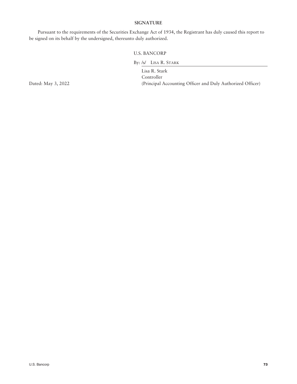# **SIGNATURE**

Pursuant to the requirements of the Securities Exchange Act of 1934, the Registrant has duly caused this report to be signed on its behalf by the undersigned, thereunto duly authorized.

#### U.S. BANCORP

By: /s/ LISA R. STARK

Lisa R. Stark Controller (Principal Accounting Officer and Duly Authorized Officer)

Dated: May 3, 2022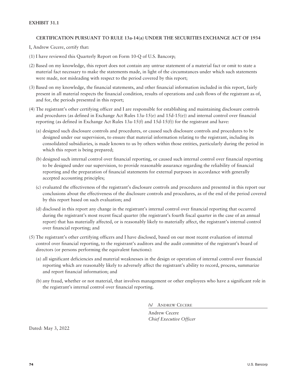### **EXHIBIT 31.1**

#### **CERTIFICATION PURSUANT TO RULE 13a-14(a) UNDER THE SECURITIES EXCHANGE ACT OF 1934**

- I, Andrew Cecere, certify that:
- (1) I have reviewed this Quarterly Report on Form 10-Q of U.S. Bancorp;
- (2) Based on my knowledge, this report does not contain any untrue statement of a material fact or omit to state a material fact necessary to make the statements made, in light of the circumstances under which such statements were made, not misleading with respect to the period covered by this report;
- (3) Based on my knowledge, the financial statements, and other financial information included in this report, fairly present in all material respects the financial condition, results of operations and cash flows of the registrant as of, and for, the periods presented in this report;
- (4) The registrant's other certifying officer and I are responsible for establishing and maintaining disclosure controls and procedures (as defined in Exchange Act Rules 13a-15(e) and 15d-15(e)) and internal control over financial reporting (as defined in Exchange Act Rules  $13a-15(f)$  and  $15d-15(f)$ ) for the registrant and have:
	- (a) designed such disclosure controls and procedures, or caused such disclosure controls and procedures to be designed under our supervision, to ensure that material information relating to the registrant, including its consolidated subsidiaries, is made known to us by others within those entities, particularly during the period in which this report is being prepared;
	- (b) designed such internal control over financial reporting, or caused such internal control over financial reporting to be designed under our supervision, to provide reasonable assurance regarding the reliability of financial reporting and the preparation of financial statements for external purposes in accordance with generally accepted accounting principles;
	- (c) evaluated the effectiveness of the registrant's disclosure controls and procedures and presented in this report our conclusions about the effectiveness of the disclosure controls and procedures, as of the end of the period covered by this report based on such evaluation; and
	- (d) disclosed in this report any change in the registrant's internal control over financial reporting that occurred during the registrant's most recent fiscal quarter (the registrant's fourth fiscal quarter in the case of an annual report) that has materially affected, or is reasonably likely to materially affect, the registrant's internal control over financial reporting; and
- (5) The registrant's other certifying officers and I have disclosed, based on our most recent evaluation of internal control over financial reporting, to the registrant's auditors and the audit committee of the registrant's board of directors (or persons performing the equivalent functions):
	- (a) all significant deficiencies and material weaknesses in the design or operation of internal control over financial reporting which are reasonably likely to adversely affect the registrant's ability to record, process, summarize and report financial information; and
	- (b) any fraud, whether or not material, that involves management or other employees who have a significant role in the registrant's internal control over financial reporting.

/S/ ANDREW CECERE

Andrew Cecere *Chief Executive Officer*

Dated: May 3, 2022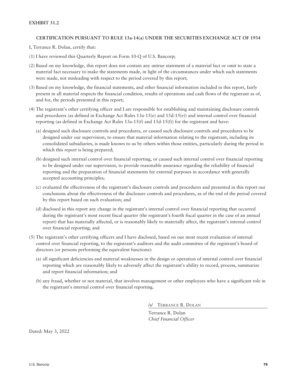### **EXHIBIT 31.2**

#### **CERTIFICATION PURSUANT TO RULE 13a-14(a) UNDER THE SECURITIES EXCHANGE ACT OF 1934**

- I, Terrance R. Dolan, certify that:
- (1) I have reviewed this Quarterly Report on Form 10-Q of U.S. Bancorp;
- (2) Based on my knowledge, this report does not contain any untrue statement of a material fact or omit to state a material fact necessary to make the statements made, in light of the circumstances under which such statements were made, not misleading with respect to the period covered by this report;
- (3) Based on my knowledge, the financial statements, and other financial information included in this report, fairly present in all material respects the financial condition, results of operations and cash flows of the registrant as of, and for, the periods presented in this report;
- (4) The registrant's other certifying officer and I are responsible for establishing and maintaining disclosure controls and procedures (as defined in Exchange Act Rules 13a-15(e) and 15d-15(e)) and internal control over financial reporting (as defined in Exchange Act Rules  $13a-15(f)$  and  $15d-15(f)$ ) for the registrant and have:
	- (a) designed such disclosure controls and procedures, or caused such disclosure controls and procedures to be designed under our supervision, to ensure that material information relating to the registrant, including its consolidated subsidiaries, is made known to us by others within those entities, particularly during the period in which this report is being prepared;
	- (b) designed such internal control over financial reporting, or caused such internal control over financial reporting to be designed under our supervision, to provide reasonable assurance regarding the reliability of financial reporting and the preparation of financial statements for external purposes in accordance with generally accepted accounting principles;
	- (c) evaluated the effectiveness of the registrant's disclosure controls and procedures and presented in this report our conclusions about the effectiveness of the disclosure controls and procedures, as of the end of the period covered by this report based on such evaluation; and
	- (d) disclosed in this report any change in the registrant's internal control over financial reporting that occurred during the registrant's most recent fiscal quarter (the registrant's fourth fiscal quarter in the case of an annual report) that has materially affected, or is reasonably likely to materially affect, the registrant's internal control over financial reporting; and
- (5) The registrant's other certifying officers and I have disclosed, based on our most recent evaluation of internal control over financial reporting, to the registrant's auditors and the audit committee of the registrant's board of directors (or persons performing the equivalent functions):
	- (a) all significant deficiencies and material weaknesses in the design or operation of internal control over financial reporting which are reasonably likely to adversely affect the registrant's ability to record, process, summarize and report financial information; and
	- (b) any fraud, whether or not material, that involves management or other employees who have a significant role in the registrant's internal control over financial reporting.

/s/ TERRANCE R. DOLAN

Terrance R. Dolan *Chief Financial Officer*

Dated: May 3, 2022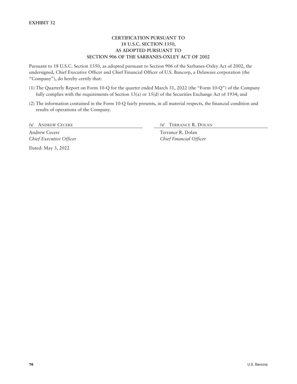# **CERTIFICATION PURSUANT TO 18 U.S.C. SECTION 1350, AS ADOPTED PURSUANT TO SECTION 906 OF THE SARBANES-OXLEY ACT OF 2002**

Pursuant to 18 U.S.C. Section 1350, as adopted pursuant to Section 906 of the Sarbanes-Oxley Act of 2002, the undersigned, Chief Executive Officer and Chief Financial Officer of U.S. Bancorp, a Delaware corporation (the "Company"), do hereby certify that:

- (1) The Quarterly Report on Form 10-Q for the quarter ended March 31, 2022 (the "Form 10-Q") of the Company fully complies with the requirements of Section 13(a) or 15(d) of the Securities Exchange Act of 1934; and
- (2) The information contained in the Form 10-Q fairly presents, in all material respects, the financial condition and results of operations of the Company.

Andrew Cecere *Chief Executive Officer*

Dated: May 3, 2022

/s/ ANDREW CECERE /s/ TERRANCE R. DOLAN

Terrance R. Dolan *Chief Financial Officer*